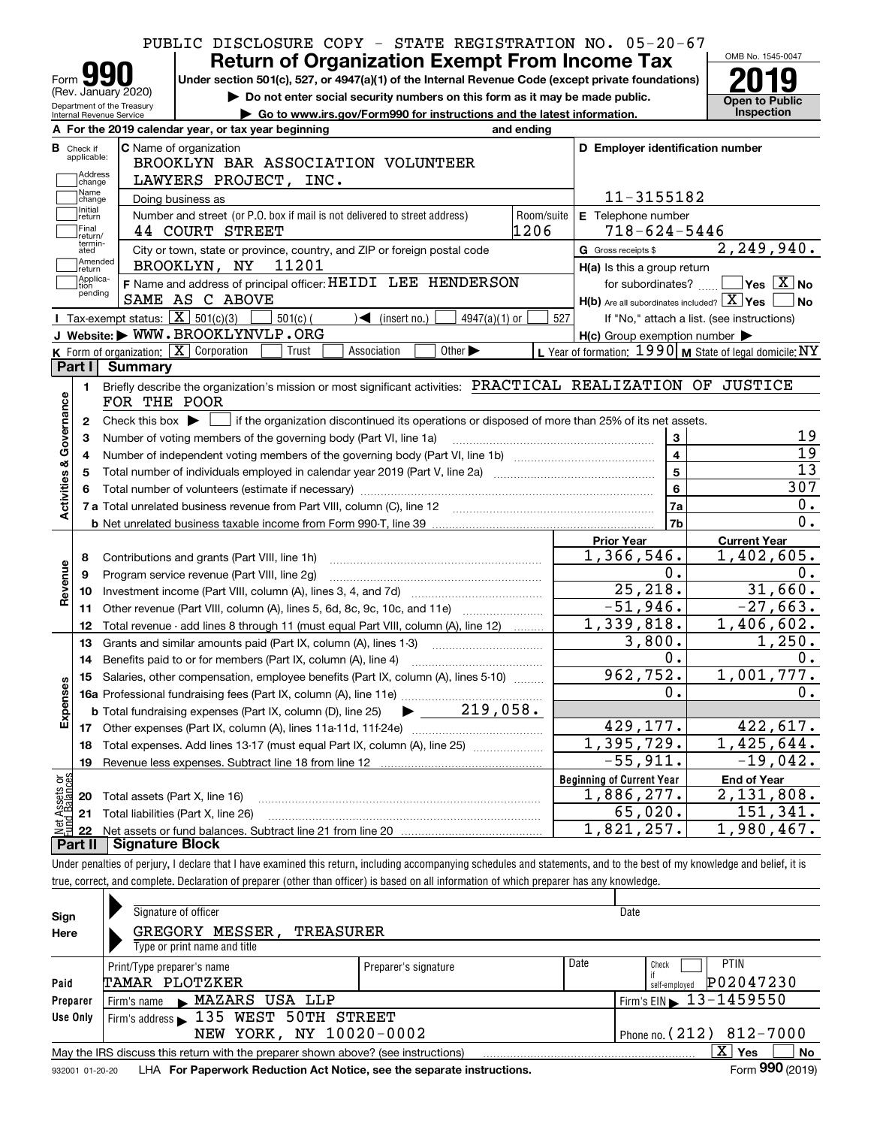|                                                                                                                                                                              |            | PUBLIC DISCLOSURE COPY - STATE REGISTRATION NO. 05-20-67                     | OMB No. 1545-0047                          |
|------------------------------------------------------------------------------------------------------------------------------------------------------------------------------|------------|------------------------------------------------------------------------------|--------------------------------------------|
| <b>Return of Organization Exempt From Income Tax</b><br>Form <b>YY</b><br>Under section 501(c), 527, or 4947(a)(1) of the Internal Revenue Code (except private foundations) |            |                                                                              |                                            |
| (Rev. January 2020)<br>Do not enter social security numbers on this form as it may be made public.                                                                           |            |                                                                              | <b>Open to Public</b>                      |
| Department of the Treasury<br>Go to www.irs.gov/Form990 for instructions and the latest information.<br>Internal Revenue Service                                             |            |                                                                              | Inspection                                 |
| A For the 2019 calendar year, or tax year beginning                                                                                                                          | and ending |                                                                              |                                            |
| <b>C</b> Name of organization<br><b>B</b> Check if<br>applicable:                                                                                                            |            | D Employer identification number                                             |                                            |
| BROOKLYN BAR ASSOCIATION VOLUNTEER<br>Address                                                                                                                                |            |                                                                              |                                            |
| LAWYERS PROJECT, INC.<br>change<br>Name                                                                                                                                      |            |                                                                              |                                            |
| Doing business as<br>change<br>Initial                                                                                                                                       |            | 11-3155182                                                                   |                                            |
| Number and street (or P.O. box if mail is not delivered to street address)<br>return<br> Final                                                                               | Room/suite | E Telephone number                                                           |                                            |
| 44 COURT STREET<br>return/<br>termin-                                                                                                                                        | 1206       | $718 - 624 - 5446$                                                           |                                            |
| City or town, state or province, country, and ZIP or foreign postal code<br>ated<br>Amended<br>BROOKLYN, NY<br>11201                                                         |            | G Gross receipts \$                                                          | 2, 249, 940.                               |
| ∫return<br>Applica-<br>F Name and address of principal officer: HEIDI LEE HENDERSON                                                                                          |            | H(a) Is this a group return                                                  | $\blacksquare$ Yes $\boxed{\text{X}}$ No   |
| tion<br>pending<br>SAME AS C ABOVE                                                                                                                                           |            | for subordinates?<br>$H(b)$ Are all subordinates included? $X$ Yes $\Box$ No |                                            |
| Tax-exempt status: $\boxed{\mathbf{X}}$ 501(c)(3)<br>$501(c)$ (<br>$\blacktriangleleft$ (insert no.)<br>$4947(a)(1)$ or                                                      | 527        |                                                                              | If "No," attach a list. (see instructions) |
| J Website: WWW.BROOKLYNVLP.ORG                                                                                                                                               |            | $H(c)$ Group exemption number $\blacktriangleright$                          |                                            |
| K Form of organization: $\overline{X}$ Corporation<br>Other $\blacktriangleright$<br>Trust<br>Association                                                                    |            | L Year of formation: $1990$ M State of legal domicile: NY                    |                                            |
| Part I<br>Summary                                                                                                                                                            |            |                                                                              |                                            |
| Briefly describe the organization's mission or most significant activities: PRACTICAL REALIZATION OF JUSTICE<br>1.                                                           |            |                                                                              |                                            |
| FOR THE POOR                                                                                                                                                                 |            |                                                                              |                                            |
| Check this box $\blacktriangleright$   if the organization discontinued its operations or disposed of more than 25% of its net assets.<br>2                                  |            |                                                                              |                                            |
| Number of voting members of the governing body (Part VI, line 1a)<br>з                                                                                                       |            | 3                                                                            | 19                                         |
| 4                                                                                                                                                                            |            | $\overline{\mathbf{4}}$                                                      | $\overline{19}$                            |
| 5                                                                                                                                                                            |            | 5                                                                            | $\overline{13}$                            |
|                                                                                                                                                                              |            | 6                                                                            | 307                                        |
| Activities & Governance                                                                                                                                                      |            | 7a                                                                           | 0.                                         |
|                                                                                                                                                                              |            | 7 <sub>b</sub>                                                               | 0.                                         |
|                                                                                                                                                                              |            | <b>Prior Year</b>                                                            | <b>Current Year</b>                        |
| Contributions and grants (Part VIII, line 1h)<br>8                                                                                                                           |            | 1,366,546.                                                                   | 1,402,605.                                 |
| Program service revenue (Part VIII, line 2g)<br>9                                                                                                                            |            | $0$ .                                                                        | 0.                                         |
| Revenue<br>10                                                                                                                                                                |            | 25, 218.                                                                     | 31,660.                                    |
| Other revenue (Part VIII, column (A), lines 5, 6d, 8c, 9c, 10c, and 11e)<br>11                                                                                               |            | $-51,946.$                                                                   | $-27,663.$                                 |
| Total revenue - add lines 8 through 11 (must equal Part VIII, column (A), line 12)<br>12                                                                                     |            | 1,339,818.                                                                   | 1,406,602.                                 |
| 13<br>Grants and similar amounts paid (Part IX, column (A), lines 1-3)                                                                                                       |            | 3,800.                                                                       | 1,250.                                     |
| 14                                                                                                                                                                           |            | 0.                                                                           | 0.                                         |
| 15 Salaries, other compensation, employee benefits (Part IX, column (A), lines 5-10)                                                                                         |            | 962, 752.                                                                    | 1,001,777.                                 |
|                                                                                                                                                                              |            | 0.                                                                           | 0.                                         |
| Expenses<br>$219,058$ .<br><b>b</b> Total fundraising expenses (Part IX, column (D), line 25)                                                                                |            |                                                                              |                                            |
| 17                                                                                                                                                                           |            | 429,177.                                                                     | 422,617.                                   |
| Total expenses. Add lines 13-17 (must equal Part IX, column (A), line 25)<br>18                                                                                              |            | 1,395,729.                                                                   | 1,425,644.                                 |
| 19                                                                                                                                                                           |            | $-55,911.$                                                                   | $-19,042.$                                 |
|                                                                                                                                                                              |            |                                                                              |                                            |
|                                                                                                                                                                              |            | <b>Beginning of Current Year</b>                                             | <b>End of Year</b>                         |
| Total assets (Part X, line 16)<br>20                                                                                                                                         |            | 1,886,277.                                                                   | 2,131,808.                                 |
| Total liabilities (Part X, line 26)<br>21                                                                                                                                    |            | 65,020.                                                                      | 151,341.                                   |
| t Assets or<br>d Balances<br>jet<br>22                                                                                                                                       |            | 1,821,257.                                                                   | 1,980,467.                                 |
| Part II<br><b>Signature Block</b>                                                                                                                                            |            |                                                                              |                                            |
| Under penalties of perjury, I declare that I have examined this return, including accompanying schedules and statements, and to the best of my knowledge and belief, it is   |            |                                                                              |                                            |

| Sign     | Signature of officer                                                                                                                                                                                                                                   |                              | Date                                                 |  |  |  |  |  |
|----------|--------------------------------------------------------------------------------------------------------------------------------------------------------------------------------------------------------------------------------------------------------|------------------------------|------------------------------------------------------|--|--|--|--|--|
| Here     | MESSER,<br><b>GREGORY</b><br>TREASURER                                                                                                                                                                                                                 |                              |                                                      |  |  |  |  |  |
|          | Type or print name and title                                                                                                                                                                                                                           |                              |                                                      |  |  |  |  |  |
|          | Print/Type preparer's name                                                                                                                                                                                                                             | Date<br>Preparer's signature | <b>PTIN</b><br>Check                                 |  |  |  |  |  |
| Paid     | TAMAR PLOTZKER                                                                                                                                                                                                                                         |                              | P02047230<br>self-employed                           |  |  |  |  |  |
| Preparer | Firm's name MAZARS USA LLP                                                                                                                                                                                                                             |                              | $\frac{1}{2}$ Firm's EIN $\triangleright$ 13-1459550 |  |  |  |  |  |
| Use Only | Firm's address 135 WEST 50TH STREET                                                                                                                                                                                                                    |                              |                                                      |  |  |  |  |  |
|          | NEW YORK, NY 10020-0002<br>Phone no. (212) 812-7000                                                                                                                                                                                                    |                              |                                                      |  |  |  |  |  |
|          | May the IRS discuss this return with the preparer shown above? (see instructions)                                                                                                                                                                      |                              | x<br>No<br><b>Yes</b>                                |  |  |  |  |  |
|          | $\sim$ 000 $\sim$<br>$\mathbf{r}$ . The contract of the contract of the contract of the contract of the contract of the contract of the contract of the contract of the contract of the contract of the contract of the contract of the contract of th |                              |                                                      |  |  |  |  |  |

932001 01-20-20 **For Paperwork Reduction Act Notice, see the separate instructions.** LHA Form (2019)

**990**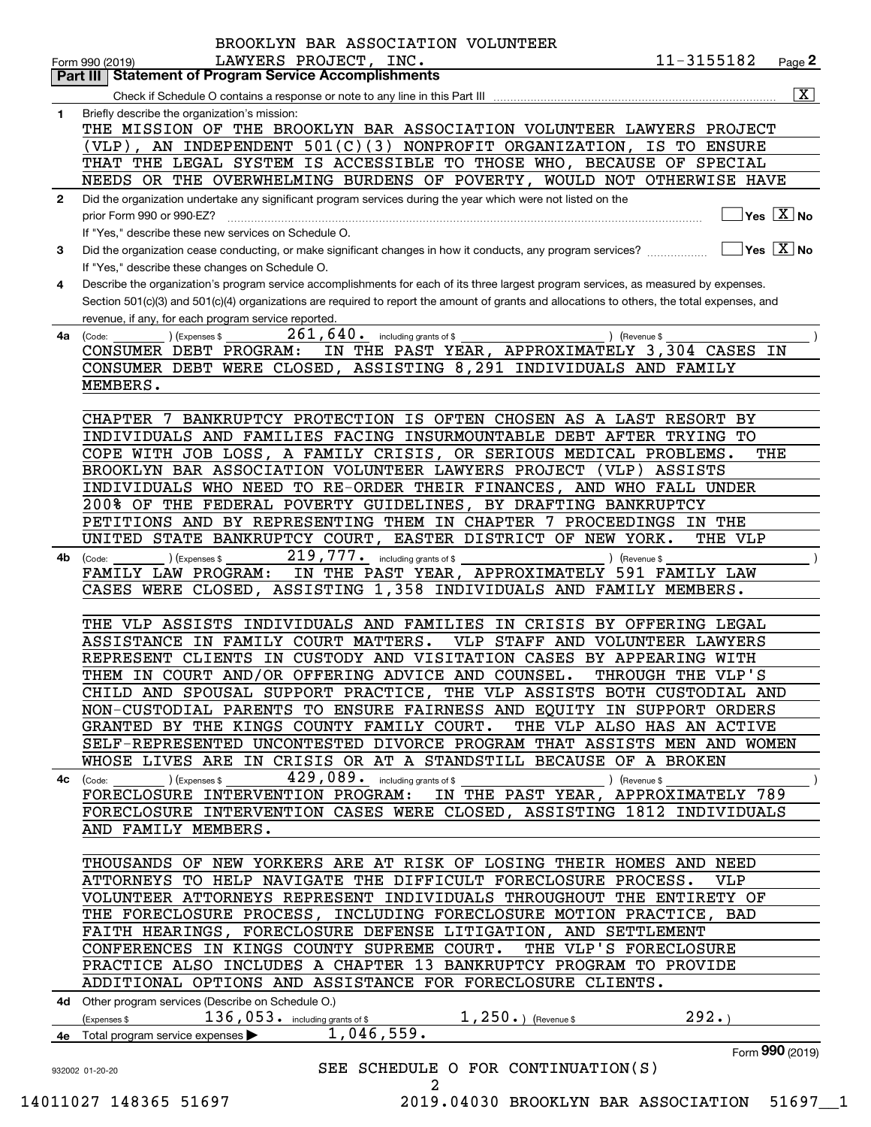|                                                                                                              |                                                |                                                                                                                                              | Page 2                                                                            |
|--------------------------------------------------------------------------------------------------------------|------------------------------------------------|----------------------------------------------------------------------------------------------------------------------------------------------|-----------------------------------------------------------------------------------|
| Part III   Statement of Program Service Accomplishments                                                      |                                                |                                                                                                                                              | $\boxed{\text{X}}$                                                                |
| Briefly describe the organization's mission:                                                                 |                                                |                                                                                                                                              |                                                                                   |
|                                                                                                              |                                                | THE MISSION OF THE BROOKLYN BAR ASSOCIATION VOLUNTEER LAWYERS PROJECT                                                                        |                                                                                   |
|                                                                                                              |                                                | (VLP), AN INDEPENDENT $501(C)(3)$ NONPROFIT ORGANIZATION, IS TO ENSURE                                                                       |                                                                                   |
|                                                                                                              |                                                | THAT THE LEGAL SYSTEM IS ACCESSIBLE TO THOSE WHO, BECAUSE OF SPECIAL                                                                         |                                                                                   |
|                                                                                                              |                                                | NEEDS OR THE OVERWHELMING BURDENS OF POVERTY, WOULD NOT OTHERWISE HAVE                                                                       |                                                                                   |
| Did the organization undertake any significant program services during the year which were not listed on the |                                                |                                                                                                                                              |                                                                                   |
|                                                                                                              |                                                |                                                                                                                                              | $]$ Yes $[\overline{\mathrm{X}}]$ No                                              |
| If "Yes," describe these new services on Schedule O.                                                         |                                                |                                                                                                                                              |                                                                                   |
|                                                                                                              |                                                | Did the organization cease conducting, or make significant changes in how it conducts, any program services?                                 | $\sqrt{}$ Yes $\sqrt{}$ X $\sqrt{}$ No                                            |
| If "Yes," describe these changes on Schedule O.                                                              |                                                |                                                                                                                                              |                                                                                   |
|                                                                                                              |                                                | Describe the organization's program service accomplishments for each of its three largest program services, as measured by expenses.         |                                                                                   |
|                                                                                                              |                                                | Section 501(c)(3) and 501(c)(4) organizations are required to report the amount of grants and allocations to others, the total expenses, and |                                                                                   |
| revenue, if any, for each program service reported.                                                          |                                                |                                                                                                                                              |                                                                                   |
| ) (Expenses \$                                                                                               | $\overline{261,640}$ including grants of \$    | ) (Revenue \$                                                                                                                                |                                                                                   |
| CONSUMER DEBT PROGRAM:                                                                                       |                                                | IN THE PAST YEAR, APPROXIMATELY 3,304 CASES IN                                                                                               |                                                                                   |
|                                                                                                              |                                                | CONSUMER DEBT WERE CLOSED, ASSISTING 8,291 INDIVIDUALS AND FAMILY                                                                            |                                                                                   |
| MEMBERS.                                                                                                     |                                                |                                                                                                                                              |                                                                                   |
|                                                                                                              |                                                |                                                                                                                                              |                                                                                   |
|                                                                                                              |                                                | CHAPTER 7 BANKRUPTCY PROTECTION IS OFTEN CHOSEN AS A LAST RESORT BY                                                                          |                                                                                   |
|                                                                                                              |                                                | INDIVIDUALS AND FAMILIES FACING INSURMOUNTABLE DEBT AFTER TRYING TO                                                                          |                                                                                   |
|                                                                                                              |                                                | COPE WITH JOB LOSS, A FAMILY CRISIS, OR SERIOUS MEDICAL PROBLEMS.                                                                            | THE                                                                               |
|                                                                                                              |                                                | BROOKLYN BAR ASSOCIATION VOLUNTEER LAWYERS PROJECT (VLP) ASSISTS                                                                             |                                                                                   |
|                                                                                                              |                                                | INDIVIDUALS WHO NEED TO RE-ORDER THEIR FINANCES, AND WHO FALL UNDER                                                                          |                                                                                   |
|                                                                                                              |                                                | 200% OF THE FEDERAL POVERTY GUIDELINES, BY DRAFTING BANKRUPTCY                                                                               |                                                                                   |
|                                                                                                              |                                                | PETITIONS AND BY REPRESENTING THEM IN CHAPTER 7 PROCEEDINGS IN THE                                                                           |                                                                                   |
|                                                                                                              |                                                | UNITED STATE BANKRUPTCY COURT, EASTER DISTRICT OF NEW YORK.                                                                                  | THE VLP                                                                           |
| ) (Expenses \$                                                                                               | 219,777. including grants of \$                | ) (Revenue \$                                                                                                                                |                                                                                   |
| FAMILY LAW PROGRAM:                                                                                          |                                                | IN THE PAST YEAR, APPROXIMATELY 591 FAMILY LAW                                                                                               |                                                                                   |
|                                                                                                              |                                                | CASES WERE CLOSED, ASSISTING 1,358 INDIVIDUALS AND FAMILY MEMBERS.                                                                           |                                                                                   |
|                                                                                                              |                                                |                                                                                                                                              |                                                                                   |
|                                                                                                              |                                                | THE VLP ASSISTS INDIVIDUALS AND FAMILIES IN CRISIS BY OFFERING LEGAL                                                                         |                                                                                   |
| ASSISTANCE IN FAMILY COURT MATTERS.                                                                          |                                                | VLP STAFF AND VOLUNTEER LAWYERS                                                                                                              |                                                                                   |
|                                                                                                              |                                                | REPRESENT CLIENTS IN CUSTODY AND VISITATION CASES BY APPEARING WITH                                                                          |                                                                                   |
| THEM IN COURT AND/OR OFFERING ADVICE AND COUNSEL.                                                            |                                                |                                                                                                                                              | THROUGH THE VLP'S                                                                 |
|                                                                                                              |                                                | CHILD AND SPOUSAL SUPPORT PRACTICE, THE VLP ASSISTS BOTH CUSTODIAL AND                                                                       |                                                                                   |
|                                                                                                              |                                                | NON-CUSTODIAL PARENTS TO ENSURE FAIRNESS AND EQUITY IN SUPPORT ORDERS                                                                        |                                                                                   |
| GRANTED BY THE KINGS COUNTY FAMILY COURT.                                                                    |                                                | THE VLP ALSO HAS AN ACTIVE                                                                                                                   |                                                                                   |
|                                                                                                              |                                                | SELF-REPRESENTED UNCONTESTED DIVORCE PROGRAM THAT ASSISTS MEN AND WOMEN                                                                      |                                                                                   |
|                                                                                                              |                                                | WHOSE LIVES ARE IN CRISIS OR AT A STANDSTILL BECAUSE OF A BROKEN                                                                             |                                                                                   |
| ) (Expenses \$                                                                                               | $\overline{429}$ , 089. including grants of \$ | ) (Revenue \$                                                                                                                                |                                                                                   |
| FORECLOSURE INTERVENTION PROGRAM:                                                                            |                                                | IN THE PAST YEAR, APPROXIMATELY 789                                                                                                          |                                                                                   |
|                                                                                                              |                                                | FORECLOSURE INTERVENTION CASES WERE CLOSED, ASSISTING 1812 INDIVIDUALS                                                                       |                                                                                   |
| AND FAMILY MEMBERS.                                                                                          |                                                |                                                                                                                                              |                                                                                   |
|                                                                                                              |                                                |                                                                                                                                              |                                                                                   |
|                                                                                                              |                                                | THOUSANDS OF NEW YORKERS ARE AT RISK OF LOSING THEIR HOMES AND NEED                                                                          |                                                                                   |
|                                                                                                              |                                                | ATTORNEYS TO HELP NAVIGATE THE DIFFICULT FORECLOSURE PROCESS.                                                                                | VLP                                                                               |
|                                                                                                              |                                                | VOLUNTEER ATTORNEYS REPRESENT INDIVIDUALS THROUGHOUT THE ENTIRETY OF                                                                         |                                                                                   |
|                                                                                                              |                                                | THE FORECLOSURE PROCESS, INCLUDING FORECLOSURE MOTION PRACTICE, BAD                                                                          |                                                                                   |
|                                                                                                              |                                                | FAITH HEARINGS, FORECLOSURE DEFENSE LITIGATION, AND SETTLEMENT                                                                               |                                                                                   |
| CONFERENCES IN KINGS COUNTY SUPREME COURT.                                                                   |                                                | THE VLP'S FORECLOSURE                                                                                                                        |                                                                                   |
|                                                                                                              |                                                | PRACTICE ALSO INCLUDES A CHAPTER 13 BANKRUPTCY PROGRAM TO PROVIDE                                                                            |                                                                                   |
|                                                                                                              |                                                | ADDITIONAL OPTIONS AND ASSISTANCE FOR FORECLOSURE CLIENTS.                                                                                   |                                                                                   |
| 4d Other program services (Describe on Schedule O.)                                                          |                                                |                                                                                                                                              |                                                                                   |
| $136,053$ $\cdot$ including grants of \$                                                                     |                                                | $1,250.$ (Revenue \$                                                                                                                         | 292.                                                                              |
| Total program service expenses                                                                               |                                                |                                                                                                                                              |                                                                                   |
|                                                                                                              |                                                |                                                                                                                                              | Form 990 (2019)                                                                   |
|                                                                                                              |                                                |                                                                                                                                              |                                                                                   |
|                                                                                                              |                                                | 1,046,559.<br>2<br>14011027 148365 51697                                                                                                     | SEE SCHEDULE O FOR CONTINUATION(S)<br>2019.04030 BROOKLYN BAR ASSOCIATION 51697_1 |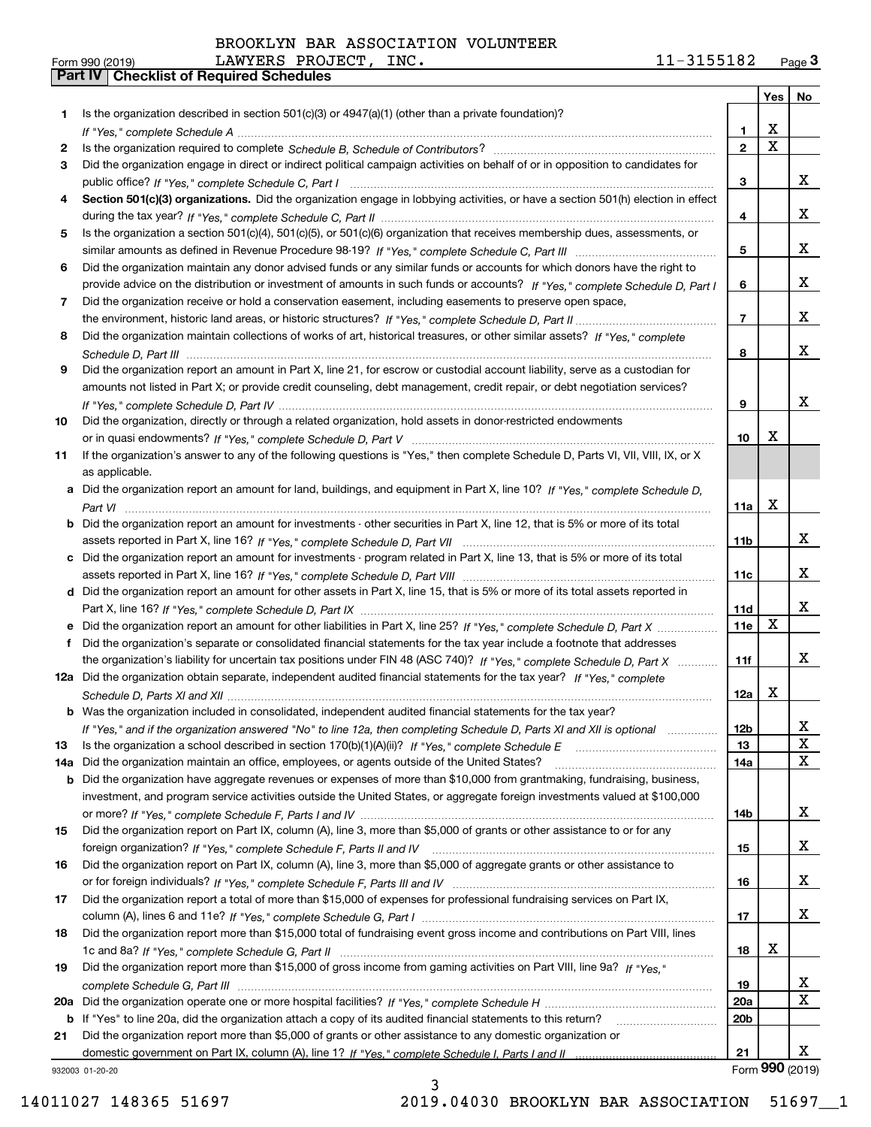|     |                                                                                                                                  |                 | Yes                     | No              |
|-----|----------------------------------------------------------------------------------------------------------------------------------|-----------------|-------------------------|-----------------|
| 1   | Is the organization described in section 501(c)(3) or 4947(a)(1) (other than a private foundation)?                              |                 |                         |                 |
|     |                                                                                                                                  | 1.              | х                       |                 |
| 2   |                                                                                                                                  | $\overline{2}$  | $\overline{\mathbf{x}}$ |                 |
| 3   | Did the organization engage in direct or indirect political campaign activities on behalf of or in opposition to candidates for  |                 |                         |                 |
|     |                                                                                                                                  | 3               |                         | x               |
| 4   | Section 501(c)(3) organizations. Did the organization engage in lobbying activities, or have a section 501(h) election in effect |                 |                         |                 |
|     |                                                                                                                                  | 4               |                         | x               |
| 5   | Is the organization a section 501(c)(4), 501(c)(5), or 501(c)(6) organization that receives membership dues, assessments, or     |                 |                         |                 |
|     |                                                                                                                                  | 5               |                         | X               |
| 6   | Did the organization maintain any donor advised funds or any similar funds or accounts for which donors have the right to        |                 |                         |                 |
|     | provide advice on the distribution or investment of amounts in such funds or accounts? If "Yes," complete Schedule D, Part I     | 6               |                         | X               |
| 7   | Did the organization receive or hold a conservation easement, including easements to preserve open space,                        |                 |                         |                 |
|     |                                                                                                                                  | $\overline{7}$  |                         | x               |
| 8   | Did the organization maintain collections of works of art, historical treasures, or other similar assets? If "Yes," complete     |                 |                         |                 |
|     |                                                                                                                                  | 8               |                         | x               |
| 9   | Did the organization report an amount in Part X, line 21, for escrow or custodial account liability, serve as a custodian for    |                 |                         |                 |
|     | amounts not listed in Part X; or provide credit counseling, debt management, credit repair, or debt negotiation services?        |                 |                         |                 |
|     |                                                                                                                                  | 9               |                         | x               |
| 10  | Did the organization, directly or through a related organization, hold assets in donor-restricted endowments                     |                 |                         |                 |
|     |                                                                                                                                  | 10              | X                       |                 |
| 11  | If the organization's answer to any of the following questions is "Yes," then complete Schedule D, Parts VI, VII, VIII, IX, or X |                 |                         |                 |
|     | as applicable.                                                                                                                   |                 |                         |                 |
|     | a Did the organization report an amount for land, buildings, and equipment in Part X, line 10? If "Yes," complete Schedule D.    |                 |                         |                 |
|     |                                                                                                                                  | 11a             | X                       |                 |
| b   | Did the organization report an amount for investments - other securities in Part X, line 12, that is 5% or more of its total     |                 |                         | x               |
|     |                                                                                                                                  | 11 <sub>b</sub> |                         |                 |
|     | c Did the organization report an amount for investments - program related in Part X, line 13, that is 5% or more of its total    |                 |                         | x               |
|     |                                                                                                                                  | 11c             |                         |                 |
|     | d Did the organization report an amount for other assets in Part X, line 15, that is 5% or more of its total assets reported in  | 11d             |                         | x               |
|     | e Did the organization report an amount for other liabilities in Part X, line 25? If "Yes," complete Schedule D, Part X          | 11e             | X                       |                 |
| f   | Did the organization's separate or consolidated financial statements for the tax year include a footnote that addresses          |                 |                         |                 |
|     | the organization's liability for uncertain tax positions under FIN 48 (ASC 740)? If "Yes," complete Schedule D, Part X           | 11f             |                         | X               |
|     | 12a Did the organization obtain separate, independent audited financial statements for the tax year? If "Yes," complete          |                 |                         |                 |
|     |                                                                                                                                  | 12a             | X                       |                 |
|     | <b>b</b> Was the organization included in consolidated, independent audited financial statements for the tax year?               |                 |                         |                 |
|     | If "Yes," and if the organization answered "No" to line 12a, then completing Schedule D, Parts XI and XII is optional            | 12D             |                         | ᅀ               |
| 13  | Is the organization a school described in section $170(b)(1)(A)(ii)?$ If "Yes," complete Schedule E                              | 13              |                         | X               |
| 14a | Did the organization maintain an office, employees, or agents outside of the United States?                                      | 14a             |                         | X               |
| b   | Did the organization have aggregate revenues or expenses of more than \$10,000 from grantmaking, fundraising, business,          |                 |                         |                 |
|     | investment, and program service activities outside the United States, or aggregate foreign investments valued at \$100,000       |                 |                         |                 |
|     |                                                                                                                                  | 14b             |                         | x               |
| 15  | Did the organization report on Part IX, column (A), line 3, more than \$5,000 of grants or other assistance to or for any        |                 |                         |                 |
|     |                                                                                                                                  | 15              |                         | x               |
| 16  | Did the organization report on Part IX, column (A), line 3, more than \$5,000 of aggregate grants or other assistance to         |                 |                         |                 |
|     |                                                                                                                                  | 16              |                         | x               |
| 17  | Did the organization report a total of more than \$15,000 of expenses for professional fundraising services on Part IX,          |                 |                         |                 |
|     |                                                                                                                                  | 17              |                         | x               |
| 18  | Did the organization report more than \$15,000 total of fundraising event gross income and contributions on Part VIII, lines     |                 |                         |                 |
|     |                                                                                                                                  | 18              | х                       |                 |
| 19  | Did the organization report more than \$15,000 of gross income from gaming activities on Part VIII, line 9a? If "Yes."           |                 |                         |                 |
|     |                                                                                                                                  | 19              |                         | x               |
|     |                                                                                                                                  | <b>20a</b>      |                         | $\mathbf X$     |
| b   | If "Yes" to line 20a, did the organization attach a copy of its audited financial statements to this return?                     | 20 <sub>b</sub> |                         |                 |
| 21  | Did the organization report more than \$5,000 of grants or other assistance to any domestic organization or                      |                 |                         |                 |
|     |                                                                                                                                  | 21              |                         | x               |
|     | 932003 01-20-20                                                                                                                  |                 |                         | Form 990 (2019) |

3 14011027 148365 51697 2019.04030 BROOKLYN BAR ASSOCIATION 51697\_\_1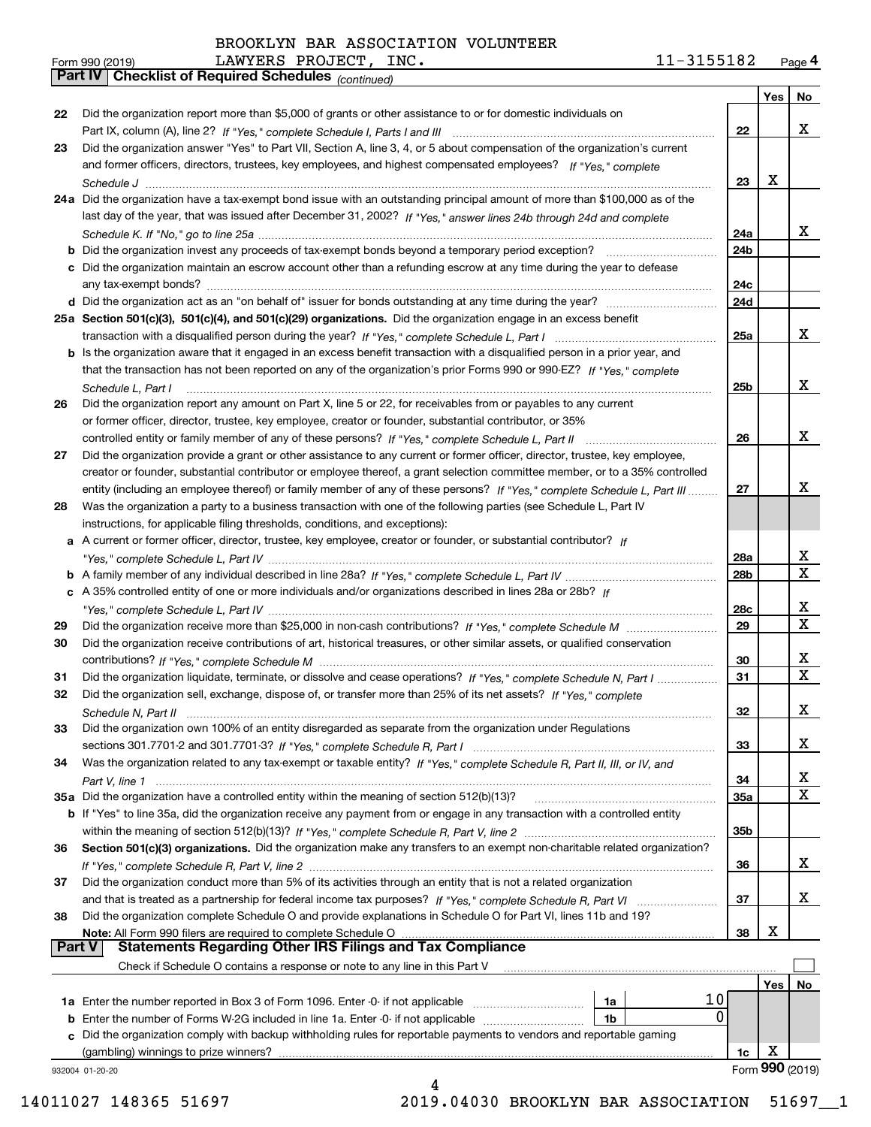*(continued)*

| Form 990 (2019) |                                                       | LAWYERS PROJECT, | INC. | 11-3155182 | Page 4 |
|-----------------|-------------------------------------------------------|------------------|------|------------|--------|
|                 | Part IV   Checklist of Required Schedules (continued) |                  |      |            |        |

|               |                                                                                                                              |            | <b>Yes</b>       | No                |
|---------------|------------------------------------------------------------------------------------------------------------------------------|------------|------------------|-------------------|
| 22            | Did the organization report more than \$5,000 of grants or other assistance to or for domestic individuals on                |            |                  |                   |
|               |                                                                                                                              | 22         |                  | x                 |
| 23            | Did the organization answer "Yes" to Part VII, Section A, line 3, 4, or 5 about compensation of the organization's current   |            |                  |                   |
|               | and former officers, directors, trustees, key employees, and highest compensated employees? If "Yes," complete               |            |                  |                   |
|               |                                                                                                                              | 23         | х                |                   |
|               | 24a Did the organization have a tax-exempt bond issue with an outstanding principal amount of more than \$100,000 as of the  |            |                  |                   |
|               | last day of the year, that was issued after December 31, 2002? If "Yes," answer lines 24b through 24d and complete           |            |                  |                   |
|               |                                                                                                                              | 24a        |                  | x                 |
|               |                                                                                                                              | 24b        |                  |                   |
|               | c Did the organization maintain an escrow account other than a refunding escrow at any time during the year to defease       |            |                  |                   |
|               |                                                                                                                              | 24c        |                  |                   |
|               |                                                                                                                              | 24d        |                  |                   |
|               | 25a Section 501(c)(3), 501(c)(4), and 501(c)(29) organizations. Did the organization engage in an excess benefit             | 25a        |                  | x                 |
|               | b Is the organization aware that it engaged in an excess benefit transaction with a disqualified person in a prior year, and |            |                  |                   |
|               | that the transaction has not been reported on any of the organization's prior Forms 990 or 990-EZ? If "Yes," complete        |            |                  |                   |
|               | Schedule L. Part I                                                                                                           | 25b        |                  | X                 |
| 26            | Did the organization report any amount on Part X, line 5 or 22, for receivables from or payables to any current              |            |                  |                   |
|               | or former officer, director, trustee, key employee, creator or founder, substantial contributor, or 35%                      |            |                  |                   |
|               | controlled entity or family member of any of these persons? If "Yes," complete Schedule L, Part II                           | 26         |                  | X                 |
| 27            | Did the organization provide a grant or other assistance to any current or former officer, director, trustee, key employee,  |            |                  |                   |
|               | creator or founder, substantial contributor or employee thereof, a grant selection committee member, or to a 35% controlled  |            |                  |                   |
|               | entity (including an employee thereof) or family member of any of these persons? If "Yes," complete Schedule L, Part III     | 27         |                  | X                 |
| 28            | Was the organization a party to a business transaction with one of the following parties (see Schedule L, Part IV            |            |                  |                   |
|               | instructions, for applicable filing thresholds, conditions, and exceptions):                                                 |            |                  |                   |
|               | a A current or former officer, director, trustee, key employee, creator or founder, or substantial contributor? If           |            |                  |                   |
|               |                                                                                                                              | 28a        |                  | x                 |
|               |                                                                                                                              | 28b        |                  | $\mathbf X$       |
|               | c A 35% controlled entity of one or more individuals and/or organizations described in lines 28a or 28b? If                  |            |                  |                   |
|               |                                                                                                                              | 28c        |                  | x                 |
| 29            |                                                                                                                              | 29         |                  | $\mathbf{x}$      |
| 30            | Did the organization receive contributions of art, historical treasures, or other similar assets, or qualified conservation  |            |                  |                   |
|               |                                                                                                                              | 30         |                  | x<br>$\mathbf{x}$ |
| 31            | Did the organization liquidate, terminate, or dissolve and cease operations? If "Yes," complete Schedule N, Part I           | 31         |                  |                   |
| 32            | Did the organization sell, exchange, dispose of, or transfer more than 25% of its net assets? If "Yes," complete             |            |                  | x                 |
|               | Schedule N. Part II                                                                                                          | 32         |                  |                   |
| 33            | Did the organization own 100% of an entity disregarded as separate from the organization under Regulations                   | 33         |                  | x                 |
| 34            | Was the organization related to any tax-exempt or taxable entity? If "Yes," complete Schedule R, Part II, III, or IV, and    |            |                  |                   |
|               |                                                                                                                              | 34         |                  | x                 |
|               | 35a Did the organization have a controlled entity within the meaning of section 512(b)(13)?                                  | <b>35a</b> |                  | X                 |
|               | b If "Yes" to line 35a, did the organization receive any payment from or engage in any transaction with a controlled entity  |            |                  |                   |
|               |                                                                                                                              | 35b        |                  |                   |
| 36            | Section 501(c)(3) organizations. Did the organization make any transfers to an exempt non-charitable related organization?   |            |                  |                   |
|               |                                                                                                                              | 36         |                  | x                 |
| 37            | Did the organization conduct more than 5% of its activities through an entity that is not a related organization             |            |                  |                   |
|               | and that is treated as a partnership for federal income tax purposes? If "Yes," complete Schedule R, Part VI                 | 37         |                  | x                 |
| 38            | Did the organization complete Schedule O and provide explanations in Schedule O for Part VI, lines 11b and 19?               |            |                  |                   |
|               | Note: All Form 990 filers are required to complete Schedule O                                                                | 38         | х                |                   |
| <b>Part V</b> | <b>Statements Regarding Other IRS Filings and Tax Compliance</b>                                                             |            |                  |                   |
|               | Check if Schedule O contains a response or note to any line in this Part V                                                   |            |                  |                   |
|               |                                                                                                                              |            | Yes <sub>1</sub> | No                |
|               | 10<br>1a                                                                                                                     |            |                  |                   |
| b             | 0<br>Enter the number of Forms W-2G included in line 1a. Enter -0- if not applicable<br>1b                                   |            |                  |                   |
| c             | Did the organization comply with backup withholding rules for reportable payments to vendors and reportable gaming           |            | х                |                   |
|               | (gambling) winnings to prize winners?                                                                                        | 1c         |                  | Form 990 (2019)   |
|               | 932004 01-20-20<br>4                                                                                                         |            |                  |                   |
|               |                                                                                                                              |            |                  |                   |

14011027 148365 51697 2019.04030 BROOKLYN BAR ASSOCIATION 51697\_\_1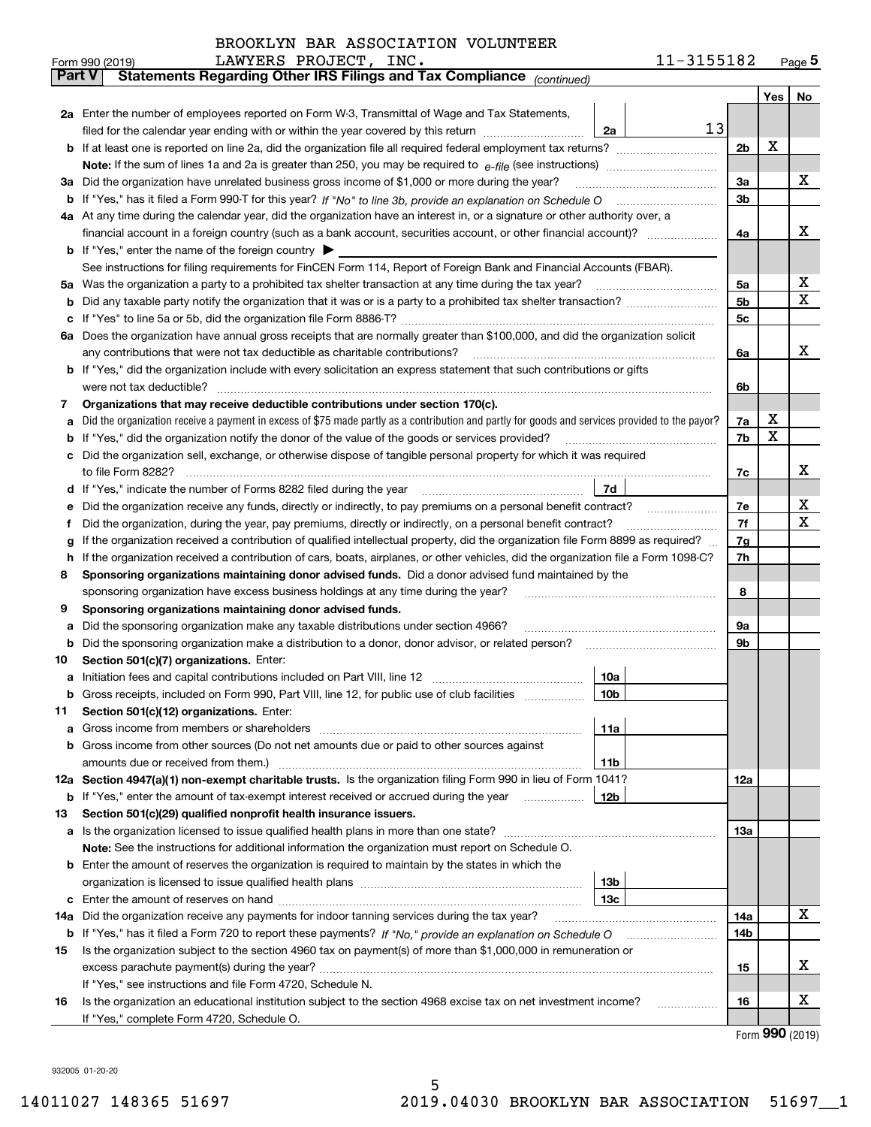|     | LAWYERS PROJECT, INC.<br>Form 990 (2019)                                                                                                                                                  |                 | 11-3155182 |     |     | $_{\text{Page}}$ 5 |  |  |
|-----|-------------------------------------------------------------------------------------------------------------------------------------------------------------------------------------------|-----------------|------------|-----|-----|--------------------|--|--|
|     | Statements Regarding Other IRS Filings and Tax Compliance (continued)<br>Part V                                                                                                           |                 |            |     |     |                    |  |  |
|     |                                                                                                                                                                                           |                 |            |     | Yes | No                 |  |  |
|     | 2a Enter the number of employees reported on Form W-3, Transmittal of Wage and Tax Statements,                                                                                            |                 |            |     |     |                    |  |  |
|     | filed for the calendar year ending with or within the year covered by this return                                                                                                         | 2a              | 13         |     |     |                    |  |  |
|     |                                                                                                                                                                                           |                 |            | 2b  | х   |                    |  |  |
|     |                                                                                                                                                                                           |                 |            |     |     |                    |  |  |
| За  | Did the organization have unrelated business gross income of \$1,000 or more during the year?                                                                                             |                 |            | 3a  |     | х                  |  |  |
| b   |                                                                                                                                                                                           |                 |            | 3b  |     |                    |  |  |
|     | 4a At any time during the calendar year, did the organization have an interest in, or a signature or other authority over, a                                                              |                 |            |     |     |                    |  |  |
|     |                                                                                                                                                                                           |                 |            | 4a  |     | х                  |  |  |
|     | <b>b</b> If "Yes," enter the name of the foreign country $\blacktriangleright$                                                                                                            |                 |            |     |     |                    |  |  |
|     | See instructions for filing requirements for FinCEN Form 114, Report of Foreign Bank and Financial Accounts (FBAR).                                                                       |                 |            |     |     |                    |  |  |
| 5a  | Was the organization a party to a prohibited tax shelter transaction at any time during the tax year?                                                                                     |                 |            | 5a  |     | х                  |  |  |
| b   |                                                                                                                                                                                           |                 |            | 5b  |     | X                  |  |  |
| с   |                                                                                                                                                                                           |                 |            | 5c  |     |                    |  |  |
|     | 6a Does the organization have annual gross receipts that are normally greater than \$100,000, and did the organization solicit                                                            |                 |            |     |     |                    |  |  |
|     | any contributions that were not tax deductible as charitable contributions?                                                                                                               |                 |            | 6a  |     | х                  |  |  |
|     | <b>b</b> If "Yes," did the organization include with every solicitation an express statement that such contributions or gifts                                                             |                 |            |     |     |                    |  |  |
|     | were not tax deductible?                                                                                                                                                                  |                 |            |     |     |                    |  |  |
| 7   | Organizations that may receive deductible contributions under section 170(c).                                                                                                             |                 |            |     |     |                    |  |  |
| а   | Did the organization receive a payment in excess of \$75 made partly as a contribution and partly for goods and services provided to the payor?                                           |                 |            | 7a  | х   |                    |  |  |
| b   | If "Yes," did the organization notify the donor of the value of the goods or services provided?                                                                                           |                 |            | 7b  | X   |                    |  |  |
|     | Did the organization sell, exchange, or otherwise dispose of tangible personal property for which it was required                                                                         |                 |            |     |     |                    |  |  |
|     |                                                                                                                                                                                           |                 |            | 7c  |     | х                  |  |  |
| d   |                                                                                                                                                                                           | 7d              |            |     |     |                    |  |  |
| е   |                                                                                                                                                                                           |                 |            | 7e  |     | х                  |  |  |
| f   | Did the organization, during the year, pay premiums, directly or indirectly, on a personal benefit contract?                                                                              |                 |            | 7f  |     | X                  |  |  |
| g   | If the organization received a contribution of qualified intellectual property, did the organization file Form 8899 as required?                                                          |                 |            | 7g  |     |                    |  |  |
| h   | If the organization received a contribution of cars, boats, airplanes, or other vehicles, did the organization file a Form 1098-C?                                                        |                 |            | 7h  |     |                    |  |  |
| 8   | Sponsoring organizations maintaining donor advised funds. Did a donor advised fund maintained by the                                                                                      |                 |            |     |     |                    |  |  |
|     | sponsoring organization have excess business holdings at any time during the year?                                                                                                        |                 |            | 8   |     |                    |  |  |
| 9   | Sponsoring organizations maintaining donor advised funds.                                                                                                                                 |                 |            |     |     |                    |  |  |
| а   | Did the sponsoring organization make any taxable distributions under section 4966?                                                                                                        |                 |            | 9а  |     |                    |  |  |
| b   | Did the sponsoring organization make a distribution to a donor, donor advisor, or related person?                                                                                         |                 |            | 9b  |     |                    |  |  |
| 10  | Section 501(c)(7) organizations. Enter:                                                                                                                                                   |                 |            |     |     |                    |  |  |
| а   |                                                                                                                                                                                           | 10a             |            |     |     |                    |  |  |
|     | Gross receipts, included on Form 990, Part VIII, line 12, for public use of club facilities                                                                                               | 10b             |            |     |     |                    |  |  |
| 11  | Section 501(c)(12) organizations. Enter:                                                                                                                                                  |                 |            |     |     |                    |  |  |
| а   | Gross income from members or shareholders                                                                                                                                                 | 11a             |            |     |     |                    |  |  |
| b   | Gross income from other sources (Do not net amounts due or paid to other sources against                                                                                                  |                 |            |     |     |                    |  |  |
|     |                                                                                                                                                                                           | 11b             |            |     |     |                    |  |  |
|     | 12a Section 4947(a)(1) non-exempt charitable trusts. Is the organization filing Form 990 in lieu of Form 1041?                                                                            |                 |            | 12a |     |                    |  |  |
|     | <b>b</b> If "Yes," enter the amount of tax-exempt interest received or accrued during the year                                                                                            | 12b             |            |     |     |                    |  |  |
| 13  | Section 501(c)(29) qualified nonprofit health insurance issuers.                                                                                                                          |                 |            |     |     |                    |  |  |
| a   | Is the organization licensed to issue qualified health plans in more than one state?<br>Note: See the instructions for additional information the organization must report on Schedule O. |                 |            | 13a |     |                    |  |  |
|     |                                                                                                                                                                                           |                 |            |     |     |                    |  |  |
| b   | Enter the amount of reserves the organization is required to maintain by the states in which the                                                                                          | 13 <sub>b</sub> |            |     |     |                    |  |  |
| с   |                                                                                                                                                                                           | 13с             |            |     |     |                    |  |  |
| 14a | Did the organization receive any payments for indoor tanning services during the tax year?                                                                                                |                 |            | 14a |     | x                  |  |  |
|     | <b>b</b> If "Yes," has it filed a Form 720 to report these payments? If "No," provide an explanation on Schedule O                                                                        |                 |            | 14b |     |                    |  |  |
| 15  | Is the organization subject to the section 4960 tax on payment(s) of more than \$1,000,000 in remuneration or                                                                             |                 |            |     |     |                    |  |  |
|     |                                                                                                                                                                                           |                 |            | 15  |     | х                  |  |  |
|     | If "Yes," see instructions and file Form 4720, Schedule N.                                                                                                                                |                 |            |     |     |                    |  |  |
| 16  | Is the organization an educational institution subject to the section 4968 excise tax on net investment income?                                                                           |                 |            | 16  |     | х                  |  |  |
|     | If "Yes," complete Form 4720, Schedule O.                                                                                                                                                 |                 |            |     |     |                    |  |  |

Form (2019) **990**

932005 01-20-20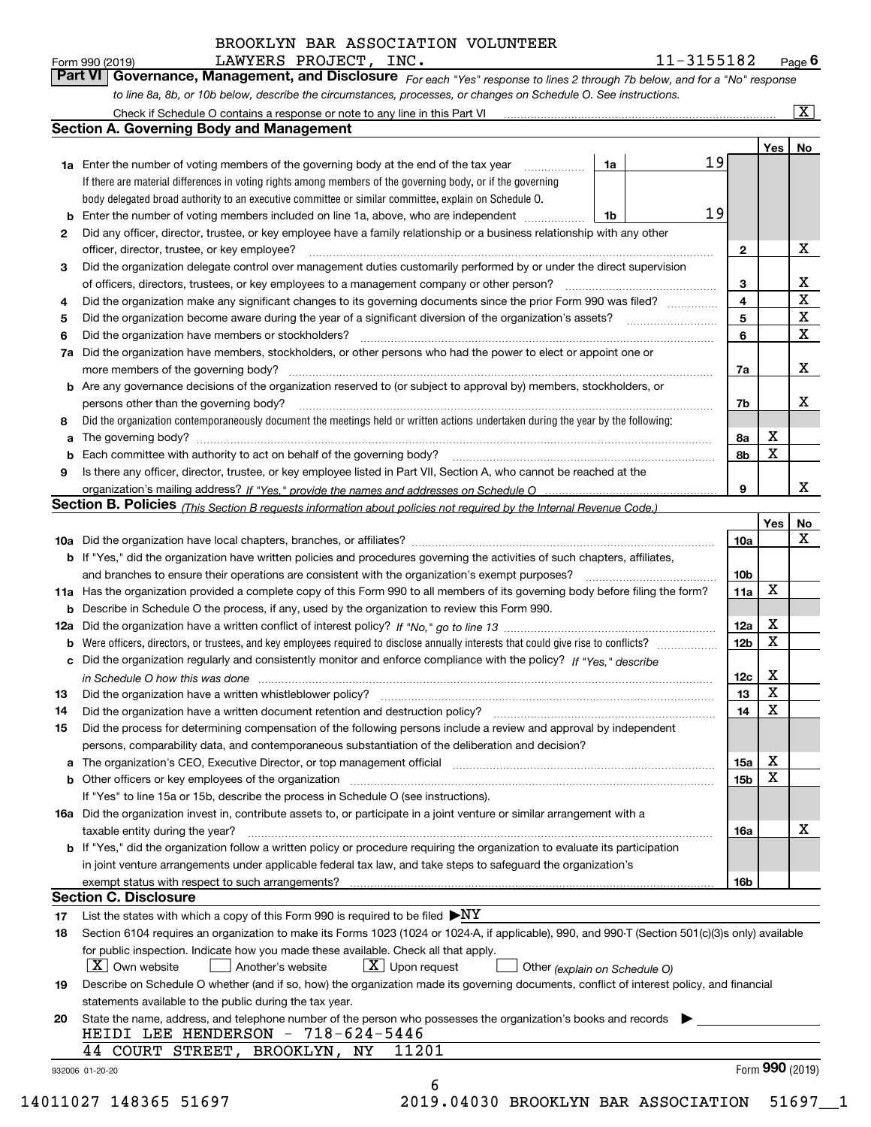*For each "Yes" response to lines 2 through 7b below, and for a "No" response to line 8a, 8b, or 10b below, describe the circumstances, processes, or changes on Schedule O. See instructions.* Form 990 (2019) **LAWYERS PROJECT, INC. 11-3155182** Page 6<br>**Part VI Governance, Management, and Disclosure** For each "Yes" response to lines 2 through 7b below, and for a "No" response

|    |                                                                                                                                                                                                                                |    |  |                         | Yes <sub>1</sub> | No                      |
|----|--------------------------------------------------------------------------------------------------------------------------------------------------------------------------------------------------------------------------------|----|--|-------------------------|------------------|-------------------------|
|    | 1a Enter the number of voting members of the governing body at the end of the tax year                                                                                                                                         | 1a |  | 19                      |                  |                         |
|    | If there are material differences in voting rights among members of the governing body, or if the governing                                                                                                                    |    |  |                         |                  |                         |
|    | body delegated broad authority to an executive committee or similar committee, explain on Schedule O.                                                                                                                          |    |  |                         |                  |                         |
| b  | Enter the number of voting members included on line 1a, above, who are independent                                                                                                                                             | 1b |  | 19                      |                  |                         |
| 2  | Did any officer, director, trustee, or key employee have a family relationship or a business relationship with any other                                                                                                       |    |  |                         |                  |                         |
|    | officer, director, trustee, or key employee?                                                                                                                                                                                   |    |  | $\mathbf{2}$            |                  | X                       |
| З  | Did the organization delegate control over management duties customarily performed by or under the direct supervision                                                                                                          |    |  |                         |                  |                         |
|    | of officers, directors, trustees, or key employees to a management company or other person?                                                                                                                                    |    |  | 3                       |                  | X                       |
| 4  | Did the organization make any significant changes to its governing documents since the prior Form 990 was filed?                                                                                                               |    |  | $\overline{\mathbf{4}}$ |                  | $\overline{\mathbf{x}}$ |
| 5  |                                                                                                                                                                                                                                |    |  | 5                       |                  | $\overline{\mathbf{x}}$ |
| 6  | Did the organization have members or stockholders?                                                                                                                                                                             |    |  | 6                       |                  | $\mathbf X$             |
| 7a | Did the organization have members, stockholders, or other persons who had the power to elect or appoint one or                                                                                                                 |    |  |                         |                  |                         |
|    |                                                                                                                                                                                                                                |    |  | 7a                      |                  | X                       |
|    | <b>b</b> Are any governance decisions of the organization reserved to (or subject to approval by) members, stockholders, or                                                                                                    |    |  |                         |                  |                         |
|    | persons other than the governing body?                                                                                                                                                                                         |    |  | 7b                      |                  | X                       |
| 8  | Did the organization contemporaneously document the meetings held or written actions undertaken during the year by the following:                                                                                              |    |  |                         |                  |                         |
| a  |                                                                                                                                                                                                                                |    |  | 8а                      | X                |                         |
| b  |                                                                                                                                                                                                                                |    |  | 8b                      | X                |                         |
| 9  | Is there any officer, director, trustee, or key employee listed in Part VII, Section A, who cannot be reached at the                                                                                                           |    |  |                         |                  |                         |
|    |                                                                                                                                                                                                                                |    |  | 9                       |                  | X                       |
|    | Section B. Policies (This Section B requests information about policies not required by the Internal Revenue Code.)                                                                                                            |    |  |                         |                  |                         |
|    |                                                                                                                                                                                                                                |    |  |                         | Yes              | No                      |
|    |                                                                                                                                                                                                                                |    |  | 10a                     |                  | X                       |
|    | <b>b</b> If "Yes," did the organization have written policies and procedures governing the activities of such chapters, affiliates,                                                                                            |    |  |                         |                  |                         |
|    |                                                                                                                                                                                                                                |    |  | 10 <sub>b</sub>         |                  |                         |
|    | 11a Has the organization provided a complete copy of this Form 990 to all members of its governing body before filing the form?                                                                                                |    |  | 11a                     | X                |                         |
|    | <b>b</b> Describe in Schedule O the process, if any, used by the organization to review this Form 990.                                                                                                                         |    |  |                         |                  |                         |
|    |                                                                                                                                                                                                                                |    |  | 12a                     | X                |                         |
|    | <b>b</b> Were officers, directors, or trustees, and key employees required to disclose annually interests that could give rise to conflicts?                                                                                   |    |  | 12 <sub>b</sub>         | х                |                         |
|    | c Did the organization regularly and consistently monitor and enforce compliance with the policy? If "Yes," describe                                                                                                           |    |  |                         |                  |                         |
|    | in Schedule O how this was done manufactured and continuum control of the Schedule O how this was done manufactured and continuum control of the Schedule O how this was done                                                  |    |  | 12c                     | X                |                         |
| 13 |                                                                                                                                                                                                                                |    |  | 13                      | X                |                         |
| 14 |                                                                                                                                                                                                                                |    |  | 14                      | X                |                         |
| 15 | Did the process for determining compensation of the following persons include a review and approval by independent                                                                                                             |    |  |                         |                  |                         |
|    | persons, comparability data, and contemporaneous substantiation of the deliberation and decision?                                                                                                                              |    |  |                         |                  |                         |
|    | a The organization's CEO, Executive Director, or top management official manufactured content content of the organization's CEO, Executive Director, or top management official manufactured content of the state of the conte |    |  | 15a                     | X                |                         |
|    |                                                                                                                                                                                                                                |    |  | 15b                     | x                |                         |
|    | If "Yes" to line 15a or 15b, describe the process in Schedule O (see instructions).                                                                                                                                            |    |  |                         |                  |                         |
|    | 16a Did the organization invest in, contribute assets to, or participate in a joint venture or similar arrangement with a                                                                                                      |    |  |                         |                  |                         |
|    | taxable entity during the year?                                                                                                                                                                                                |    |  | 16a                     |                  | X                       |
|    | b If "Yes," did the organization follow a written policy or procedure requiring the organization to evaluate its participation                                                                                                 |    |  |                         |                  |                         |
|    | in joint venture arrangements under applicable federal tax law, and take steps to safeguard the organization's                                                                                                                 |    |  |                         |                  |                         |
|    | exempt status with respect to such arrangements?                                                                                                                                                                               |    |  | 16b                     |                  |                         |
|    | <b>Section C. Disclosure</b>                                                                                                                                                                                                   |    |  |                         |                  |                         |
| 17 | List the states with which a copy of this Form 990 is required to be filed $\blacktriangleright$ NY                                                                                                                            |    |  |                         |                  |                         |
| 18 | Section 6104 requires an organization to make its Forms 1023 (1024 or 1024-A, if applicable), 990, and 990-T (Section 501(c)(3)s only) available                                                                               |    |  |                         |                  |                         |
|    | for public inspection. Indicate how you made these available. Check all that apply.                                                                                                                                            |    |  |                         |                  |                         |
|    | $X$ Upon request<br>$\mid$ $\rm X\mid$ Own website<br>Another's website                                                                                                                                                        |    |  |                         |                  |                         |
| 19 | Other (explain on Schedule O)<br>Describe on Schedule O whether (and if so, how) the organization made its governing documents, conflict of interest policy, and financial                                                     |    |  |                         |                  |                         |
|    | statements available to the public during the tax year.                                                                                                                                                                        |    |  |                         |                  |                         |
|    | State the name, address, and telephone number of the person who possesses the organization's books and records                                                                                                                 |    |  |                         |                  |                         |
| 20 | HEIDI LEE HENDERSON - 718-624-5446                                                                                                                                                                                             |    |  |                         |                  |                         |
|    | 44 COURT STREET, BROOKLYN, NY<br>11201                                                                                                                                                                                         |    |  |                         |                  |                         |
|    |                                                                                                                                                                                                                                |    |  |                         |                  | Form 990 (2019)         |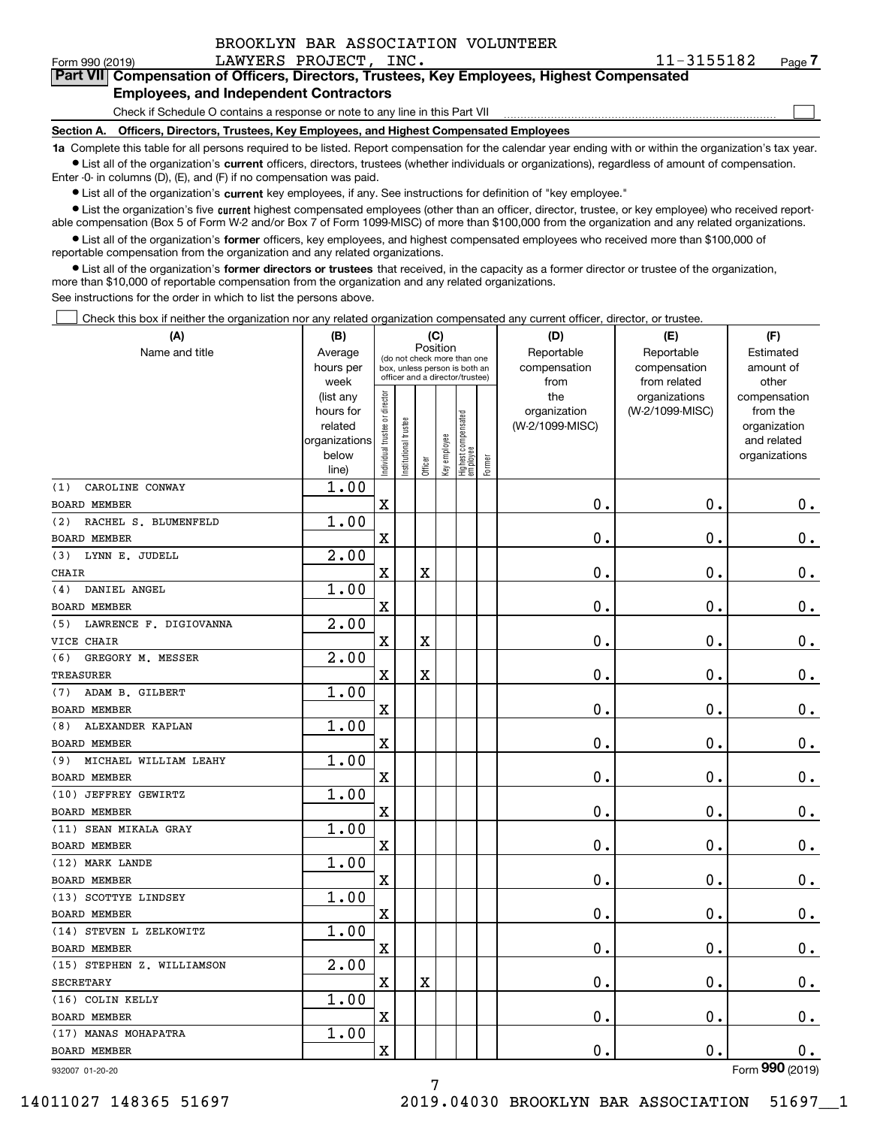|  | BROOKLYN BAR ASSOCIATION VOLUNTEER |  |
|--|------------------------------------|--|
|  |                                    |  |

 $\mathcal{L}^{\text{max}}$ 

#### Form 990 (2019) LAWYERS PROJECT, INC. 1 $1$ - $3155182$  Page **7Part VII Compensation of Officers, Directors, Trustees, Key Employees, Highest Compensated Employees, and Independent Contractors**

Check if Schedule O contains a response or note to any line in this Part VII

**Section A. Officers, Directors, Trustees, Key Employees, and Highest Compensated Employees**

**1a**  Complete this table for all persons required to be listed. Report compensation for the calendar year ending with or within the organization's tax year. **•** List all of the organization's current officers, directors, trustees (whether individuals or organizations), regardless of amount of compensation.

Enter -0- in columns (D), (E), and (F) if no compensation was paid.

 $\bullet$  List all of the organization's  $\,$ current key employees, if any. See instructions for definition of "key employee."

**•** List the organization's five current highest compensated employees (other than an officer, director, trustee, or key employee) who received reportable compensation (Box 5 of Form W-2 and/or Box 7 of Form 1099-MISC) of more than \$100,000 from the organization and any related organizations.

**•** List all of the organization's former officers, key employees, and highest compensated employees who received more than \$100,000 of reportable compensation from the organization and any related organizations.

**former directors or trustees**  ¥ List all of the organization's that received, in the capacity as a former director or trustee of the organization, more than \$10,000 of reportable compensation from the organization and any related organizations.

See instructions for the order in which to list the persons above.

Check this box if neither the organization nor any related organization compensated any current officer, director, or trustee.  $\mathcal{L}^{\text{max}}$ 

| (A)                           | (B)               |                                         |                      | (C)                                                              |              |                                  |        | (D)             | (E)                           | (F)                   |
|-------------------------------|-------------------|-----------------------------------------|----------------------|------------------------------------------------------------------|--------------|----------------------------------|--------|-----------------|-------------------------------|-----------------------|
| Name and title                | Average           | Position<br>(do not check more than one |                      |                                                                  |              |                                  |        | Reportable      | Reportable                    | Estimated             |
|                               | hours per         |                                         |                      | box, unless person is both an<br>officer and a director/trustee) |              |                                  |        | compensation    | compensation                  | amount of             |
|                               | week<br>(list any |                                         |                      |                                                                  |              |                                  |        | from<br>the     | from related<br>organizations | other<br>compensation |
|                               | hours for         |                                         |                      |                                                                  |              |                                  |        | organization    | (W-2/1099-MISC)               | from the              |
|                               | related           |                                         |                      |                                                                  |              |                                  |        | (W-2/1099-MISC) |                               | organization          |
|                               | organizations     |                                         |                      |                                                                  |              |                                  |        |                 |                               | and related           |
|                               | below             | ndividual trustee or director           | nstitutional trustee | Officer                                                          | Key employee | Highest compensated<br> employee | Former |                 |                               | organizations         |
| CAROLINE CONWAY<br>(1)        | line)<br>1.00     |                                         |                      |                                                                  |              |                                  |        |                 |                               |                       |
| <b>BOARD MEMBER</b>           |                   | $\mathbf X$                             |                      |                                                                  |              |                                  |        | $\mathbf 0$ .   | $\mathbf 0$ .                 | $0_{.}$               |
| RACHEL S. BLUMENFELD<br>(2)   | 1.00              |                                         |                      |                                                                  |              |                                  |        |                 |                               |                       |
| <b>BOARD MEMBER</b>           |                   | $\overline{\textbf{X}}$                 |                      |                                                                  |              |                                  |        | $\mathbf 0$ .   | $\mathbf 0$ .                 | $\mathbf 0$ .         |
| LYNN E. JUDELL<br>(3)         | 2.00              |                                         |                      |                                                                  |              |                                  |        |                 |                               |                       |
| <b>CHAIR</b>                  |                   | $\mathbf X$                             |                      | X                                                                |              |                                  |        | $\mathbf 0$ .   | $\mathbf 0$ .                 | $\mathbf 0$ .         |
| DANIEL ANGEL<br>(4)           | 1.00              |                                         |                      |                                                                  |              |                                  |        |                 |                               |                       |
| <b>BOARD MEMBER</b>           |                   | $\mathbf X$                             |                      |                                                                  |              |                                  |        | $\mathbf 0$ .   | $\mathbf 0$ .                 | $\mathbf 0$ .         |
| LAWRENCE F. DIGIOVANNA<br>(5) | 2.00              |                                         |                      |                                                                  |              |                                  |        |                 |                               |                       |
| VICE CHAIR                    |                   | $\mathbf X$                             |                      | X                                                                |              |                                  |        | $0$ .           | $\mathbf 0$ .                 | $\mathbf 0$ .         |
| (6)<br>GREGORY M. MESSER      | 2.00              |                                         |                      |                                                                  |              |                                  |        |                 |                               |                       |
| TREASURER                     |                   | $\mathbf X$                             |                      | $\overline{\textbf{X}}$                                          |              |                                  |        | 0.              | $\mathbf 0$ .                 | $0$ .                 |
| ADAM B. GILBERT<br>(7)        | 1.00              |                                         |                      |                                                                  |              |                                  |        |                 |                               |                       |
| <b>BOARD MEMBER</b>           |                   | $\mathbf X$                             |                      |                                                                  |              |                                  |        | $\mathbf 0$ .   | $\mathbf 0$ .                 | $0_{.}$               |
| ALEXANDER KAPLAN<br>(8)       | 1.00              |                                         |                      |                                                                  |              |                                  |        |                 |                               |                       |
| <b>BOARD MEMBER</b>           |                   | $\overline{\mathbf{X}}$                 |                      |                                                                  |              |                                  |        | $\mathbf 0$ .   | $\mathbf 0$ .                 | $0$ .                 |
| MICHAEL WILLIAM LEAHY<br>(9)  | 1.00              |                                         |                      |                                                                  |              |                                  |        |                 |                               |                       |
| <b>BOARD MEMBER</b>           |                   | $\overline{\textbf{X}}$                 |                      |                                                                  |              |                                  |        | 0.              | $\mathbf 0$ .                 | $\mathbf 0$ .         |
| (10) JEFFREY GEWIRTZ          | 1.00              |                                         |                      |                                                                  |              |                                  |        |                 |                               |                       |
| <b>BOARD MEMBER</b>           |                   | $\mathbf X$                             |                      |                                                                  |              |                                  |        | $\mathbf 0$ .   | $\mathbf 0$ .                 | $\mathbf 0$ .         |
| (11) SEAN MIKALA GRAY         | 1.00              |                                         |                      |                                                                  |              |                                  |        |                 |                               |                       |
| <b>BOARD MEMBER</b>           |                   | $\mathbf X$                             |                      |                                                                  |              |                                  |        | $\mathbf{0}$ .  | $\mathbf 0$ .                 | $\mathbf 0$ .         |
| (12) MARK LANDE               | 1.00              |                                         |                      |                                                                  |              |                                  |        |                 |                               |                       |
| <b>BOARD MEMBER</b>           |                   | $\overline{\mathbf{X}}$                 |                      |                                                                  |              |                                  |        | $\mathbf 0$ .   | $\mathbf 0$ .                 | $\mathbf 0$ .         |
| (13) SCOTTYE LINDSEY          | 1.00              |                                         |                      |                                                                  |              |                                  |        |                 |                               |                       |
| <b>BOARD MEMBER</b>           |                   | $\mathbf x$                             |                      |                                                                  |              |                                  |        | $\mathbf 0$ .   | $\mathbf 0$ .                 | 0.                    |
| (14) STEVEN L ZELKOWITZ       | 1.00              |                                         |                      |                                                                  |              |                                  |        |                 |                               |                       |
| <b>BOARD MEMBER</b>           |                   | $\mathbf x$                             |                      |                                                                  |              |                                  |        | $\mathbf 0$ .   | $\mathbf 0$ .                 | $\mathbf 0$ .         |
| (15) STEPHEN Z. WILLIAMSON    | 2.00              |                                         |                      |                                                                  |              |                                  |        |                 |                               |                       |
| <b>SECRETARY</b>              |                   | $\mathbf X$                             |                      | $\overline{\textbf{X}}$                                          |              |                                  |        | $\mathbf 0$ .   | $\mathbf 0$ .                 | $0$ .                 |
| (16) COLIN KELLY              | 1.00              |                                         |                      |                                                                  |              |                                  |        |                 |                               |                       |
| <b>BOARD MEMBER</b>           |                   | $\mathbf x$                             |                      |                                                                  |              |                                  |        | $\mathbf 0$ .   | $\mathbf 0$ .                 | $\mathbf 0$ .         |
| (17) MANAS MOHAPATRA          | 1.00              |                                         |                      |                                                                  |              |                                  |        |                 |                               |                       |
| <b>BOARD MEMBER</b>           |                   | $\mathbf X$                             |                      |                                                                  |              |                                  |        | $\mathbf 0$ .   | $\mathbf 0$ .                 | $\mathbf 0$ .         |

932007 01-20-20

7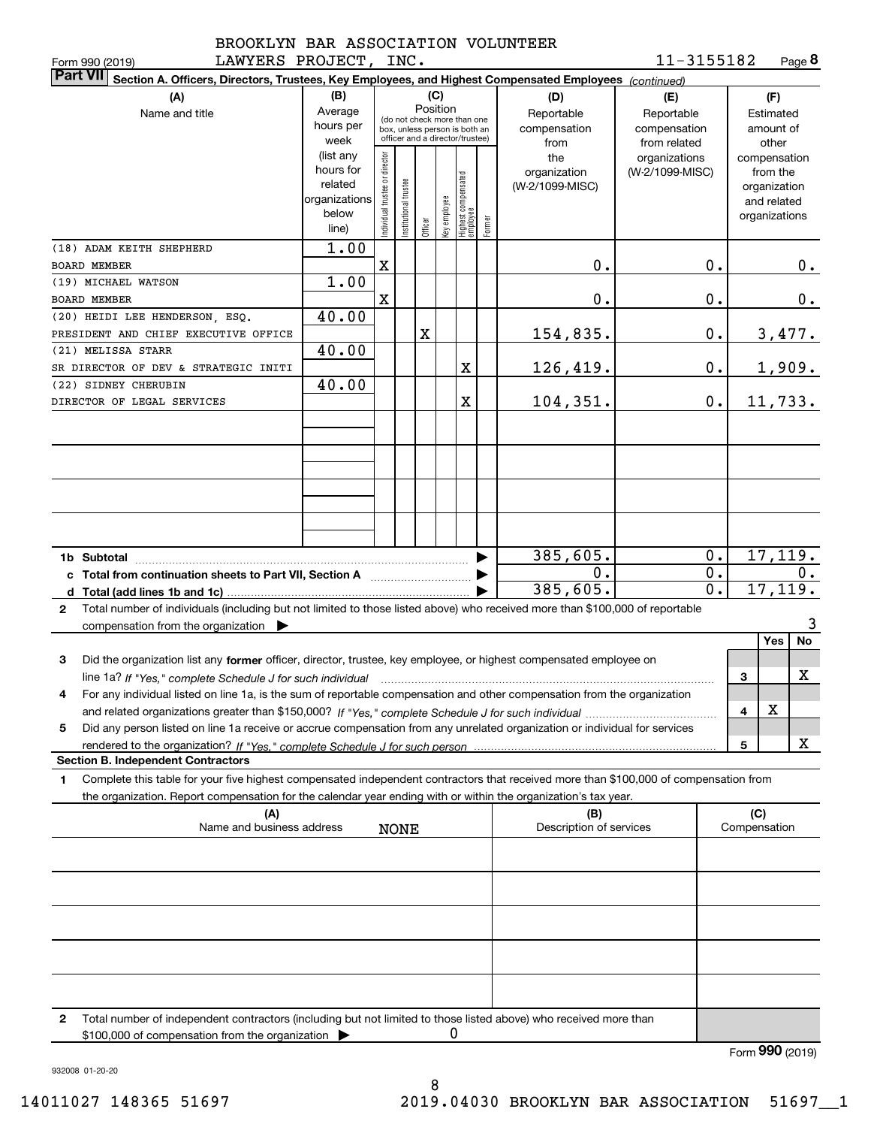|  | BROOKLYN BAR ASSOCIATION VOLUNTEER |  |
|--|------------------------------------|--|
|  |                                    |  |

**8**11-3155182

| LAWYERS PROJECT,<br>Form 990 (2019)                                                                                                             |                                                                                                             |                               | INC.                 |                     |                     |                                                                                                                                        |        |                                                                                     | 11-3155182                                                                            |                     | Page 8                                                                                                             |       |
|-------------------------------------------------------------------------------------------------------------------------------------------------|-------------------------------------------------------------------------------------------------------------|-------------------------------|----------------------|---------------------|---------------------|----------------------------------------------------------------------------------------------------------------------------------------|--------|-------------------------------------------------------------------------------------|---------------------------------------------------------------------------------------|---------------------|--------------------------------------------------------------------------------------------------------------------|-------|
| <b>Part VII</b><br>Section A. Officers, Directors, Trustees, Key Employees, and Highest Compensated Employees (continued)                       |                                                                                                             |                               |                      |                     |                     |                                                                                                                                        |        |                                                                                     |                                                                                       |                     |                                                                                                                    |       |
| (A)<br>Name and title                                                                                                                           | (B)<br>Average<br>hours per<br>week<br>(list any<br>hours for<br>related<br>organizations<br>below<br>line) | ndividual trustee or director | nstitutional trustee | Position<br>Officer | (C)<br>Key employee | (do not check more than one<br>box, unless person is both an<br>officer and a director/trustee)<br>  Highest compensated<br>  employee | Former | (D)<br>Reportable<br>compensation<br>from<br>the<br>organization<br>(W-2/1099-MISC) | (E)<br>Reportable<br>compensation<br>from related<br>organizations<br>(W-2/1099-MISC) |                     | (F)<br>Estimated<br>amount of<br>other<br>compensation<br>from the<br>organization<br>and related<br>organizations |       |
| (18) ADAM KEITH SHEPHERD<br><b>BOARD MEMBER</b>                                                                                                 | 1.00                                                                                                        | $\mathbf X$                   |                      |                     |                     |                                                                                                                                        |        | 0.                                                                                  | 0.                                                                                    |                     |                                                                                                                    | 0.    |
| (19) MICHAEL WATSON                                                                                                                             | 1.00                                                                                                        |                               |                      |                     |                     |                                                                                                                                        |        |                                                                                     |                                                                                       |                     |                                                                                                                    |       |
| <b>BOARD MEMBER</b>                                                                                                                             |                                                                                                             | X                             |                      |                     |                     |                                                                                                                                        |        | 0.                                                                                  | $\mathbf 0$ .                                                                         |                     |                                                                                                                    | 0.    |
| (20) HEIDI LEE HENDERSON, ESQ.                                                                                                                  | 40.00                                                                                                       |                               |                      |                     |                     |                                                                                                                                        |        |                                                                                     |                                                                                       |                     |                                                                                                                    |       |
| PRESIDENT AND CHIEF EXECUTIVE OFFICE                                                                                                            |                                                                                                             |                               |                      | X                   |                     |                                                                                                                                        |        | 154,835.                                                                            | $\mathbf 0$ .                                                                         |                     | <u>3,477.</u>                                                                                                      |       |
| (21) MELISSA STARR                                                                                                                              | 40.00                                                                                                       |                               |                      |                     |                     |                                                                                                                                        |        |                                                                                     |                                                                                       |                     |                                                                                                                    |       |
| SR DIRECTOR OF DEV & STRATEGIC INITI                                                                                                            |                                                                                                             |                               |                      |                     |                     | $\mathbf X$                                                                                                                            |        | 126,419.                                                                            | 0.                                                                                    |                     | <u>1,909.</u>                                                                                                      |       |
| (22) SIDNEY CHERUBIN                                                                                                                            | 40.00                                                                                                       |                               |                      |                     |                     |                                                                                                                                        |        |                                                                                     |                                                                                       |                     |                                                                                                                    |       |
| DIRECTOR OF LEGAL SERVICES                                                                                                                      |                                                                                                             |                               |                      |                     |                     | X                                                                                                                                      |        | 104, 351.                                                                           | $0$ .                                                                                 |                     | 11,733.                                                                                                            |       |
|                                                                                                                                                 |                                                                                                             |                               |                      |                     |                     |                                                                                                                                        |        |                                                                                     |                                                                                       |                     |                                                                                                                    |       |
|                                                                                                                                                 |                                                                                                             |                               |                      |                     |                     |                                                                                                                                        |        |                                                                                     |                                                                                       |                     |                                                                                                                    |       |
|                                                                                                                                                 |                                                                                                             |                               |                      |                     |                     |                                                                                                                                        |        |                                                                                     |                                                                                       |                     |                                                                                                                    |       |
|                                                                                                                                                 |                                                                                                             |                               |                      |                     |                     |                                                                                                                                        |        |                                                                                     |                                                                                       |                     |                                                                                                                    |       |
|                                                                                                                                                 |                                                                                                             |                               |                      |                     |                     |                                                                                                                                        |        | 385,605.                                                                            | 0.                                                                                    |                     | 17, 119.                                                                                                           |       |
|                                                                                                                                                 |                                                                                                             |                               |                      |                     |                     |                                                                                                                                        |        | 0.                                                                                  | 0.                                                                                    |                     |                                                                                                                    | $0$ . |
| c Total from continuation sheets to Part VII, Section A <b>Constant Contact Part</b>                                                            |                                                                                                             |                               |                      |                     |                     |                                                                                                                                        |        | 385,605.                                                                            | $\overline{0}$ .                                                                      |                     | 17, 119.                                                                                                           |       |
|                                                                                                                                                 |                                                                                                             |                               |                      |                     |                     |                                                                                                                                        |        |                                                                                     |                                                                                       |                     |                                                                                                                    |       |
| Total number of individuals (including but not limited to those listed above) who received more than \$100,000 of reportable<br>$\mathbf{2}$    |                                                                                                             |                               |                      |                     |                     |                                                                                                                                        |        |                                                                                     |                                                                                       |                     |                                                                                                                    | 3     |
| compensation from the organization $\blacktriangleright$                                                                                        |                                                                                                             |                               |                      |                     |                     |                                                                                                                                        |        |                                                                                     |                                                                                       |                     | Yes                                                                                                                | No    |
|                                                                                                                                                 |                                                                                                             |                               |                      |                     |                     |                                                                                                                                        |        |                                                                                     |                                                                                       |                     |                                                                                                                    |       |
| Did the organization list any former officer, director, trustee, key employee, or highest compensated employee on<br>3                          |                                                                                                             |                               |                      |                     |                     |                                                                                                                                        |        |                                                                                     |                                                                                       |                     |                                                                                                                    |       |
| line 1a? If "Yes," complete Schedule J for such individual manufactured contained and the 1a? If "Yes," complete Schedule J for such individual |                                                                                                             |                               |                      |                     |                     |                                                                                                                                        |        |                                                                                     |                                                                                       | 3                   |                                                                                                                    | x     |
| For any individual listed on line 1a, is the sum of reportable compensation and other compensation from the organization                        |                                                                                                             |                               |                      |                     |                     |                                                                                                                                        |        |                                                                                     |                                                                                       |                     | X                                                                                                                  |       |
|                                                                                                                                                 |                                                                                                             |                               |                      |                     |                     |                                                                                                                                        |        |                                                                                     |                                                                                       | 4                   |                                                                                                                    |       |
| Did any person listed on line 1a receive or accrue compensation from any unrelated organization or individual for services<br>5                 |                                                                                                             |                               |                      |                     |                     |                                                                                                                                        |        |                                                                                     |                                                                                       |                     |                                                                                                                    |       |
| <b>Section B. Independent Contractors</b>                                                                                                       |                                                                                                             |                               |                      |                     |                     |                                                                                                                                        |        |                                                                                     |                                                                                       | 5                   |                                                                                                                    | x     |
|                                                                                                                                                 |                                                                                                             |                               |                      |                     |                     |                                                                                                                                        |        |                                                                                     |                                                                                       |                     |                                                                                                                    |       |
| Complete this table for your five highest compensated independent contractors that received more than \$100,000 of compensation from<br>1.      |                                                                                                             |                               |                      |                     |                     |                                                                                                                                        |        |                                                                                     |                                                                                       |                     |                                                                                                                    |       |
| the organization. Report compensation for the calendar year ending with or within the organization's tax year.                                  |                                                                                                             |                               |                      |                     |                     |                                                                                                                                        |        | (B)                                                                                 |                                                                                       |                     |                                                                                                                    |       |
| (A)<br>Name and business address                                                                                                                |                                                                                                             |                               | <b>NONE</b>          |                     |                     |                                                                                                                                        |        | Description of services                                                             |                                                                                       | (C)<br>Compensation |                                                                                                                    |       |
|                                                                                                                                                 |                                                                                                             |                               |                      |                     |                     |                                                                                                                                        |        |                                                                                     |                                                                                       |                     |                                                                                                                    |       |
|                                                                                                                                                 |                                                                                                             |                               |                      |                     |                     |                                                                                                                                        |        |                                                                                     |                                                                                       |                     |                                                                                                                    |       |
|                                                                                                                                                 |                                                                                                             |                               |                      |                     |                     |                                                                                                                                        |        |                                                                                     |                                                                                       |                     |                                                                                                                    |       |
|                                                                                                                                                 |                                                                                                             |                               |                      |                     |                     |                                                                                                                                        |        |                                                                                     |                                                                                       |                     |                                                                                                                    |       |
|                                                                                                                                                 |                                                                                                             |                               |                      |                     |                     |                                                                                                                                        |        |                                                                                     |                                                                                       |                     |                                                                                                                    |       |
|                                                                                                                                                 |                                                                                                             |                               |                      |                     |                     |                                                                                                                                        |        |                                                                                     |                                                                                       |                     |                                                                                                                    |       |
|                                                                                                                                                 |                                                                                                             |                               |                      |                     |                     |                                                                                                                                        |        |                                                                                     |                                                                                       |                     |                                                                                                                    |       |
|                                                                                                                                                 |                                                                                                             |                               |                      |                     |                     |                                                                                                                                        |        |                                                                                     |                                                                                       |                     |                                                                                                                    |       |
|                                                                                                                                                 |                                                                                                             |                               |                      |                     |                     |                                                                                                                                        |        |                                                                                     |                                                                                       |                     |                                                                                                                    |       |
|                                                                                                                                                 |                                                                                                             |                               |                      |                     |                     |                                                                                                                                        |        |                                                                                     |                                                                                       |                     |                                                                                                                    |       |
| Total number of independent contractors (including but not limited to those listed above) who received more than<br>2                           |                                                                                                             |                               |                      |                     |                     |                                                                                                                                        |        |                                                                                     |                                                                                       |                     |                                                                                                                    |       |
| \$100,000 of compensation from the organization                                                                                                 |                                                                                                             |                               |                      |                     | 0                   |                                                                                                                                        |        |                                                                                     |                                                                                       |                     |                                                                                                                    |       |
|                                                                                                                                                 |                                                                                                             |                               |                      |                     |                     |                                                                                                                                        |        |                                                                                     |                                                                                       |                     | Form 990 (2019)                                                                                                    |       |

932008 01-20-20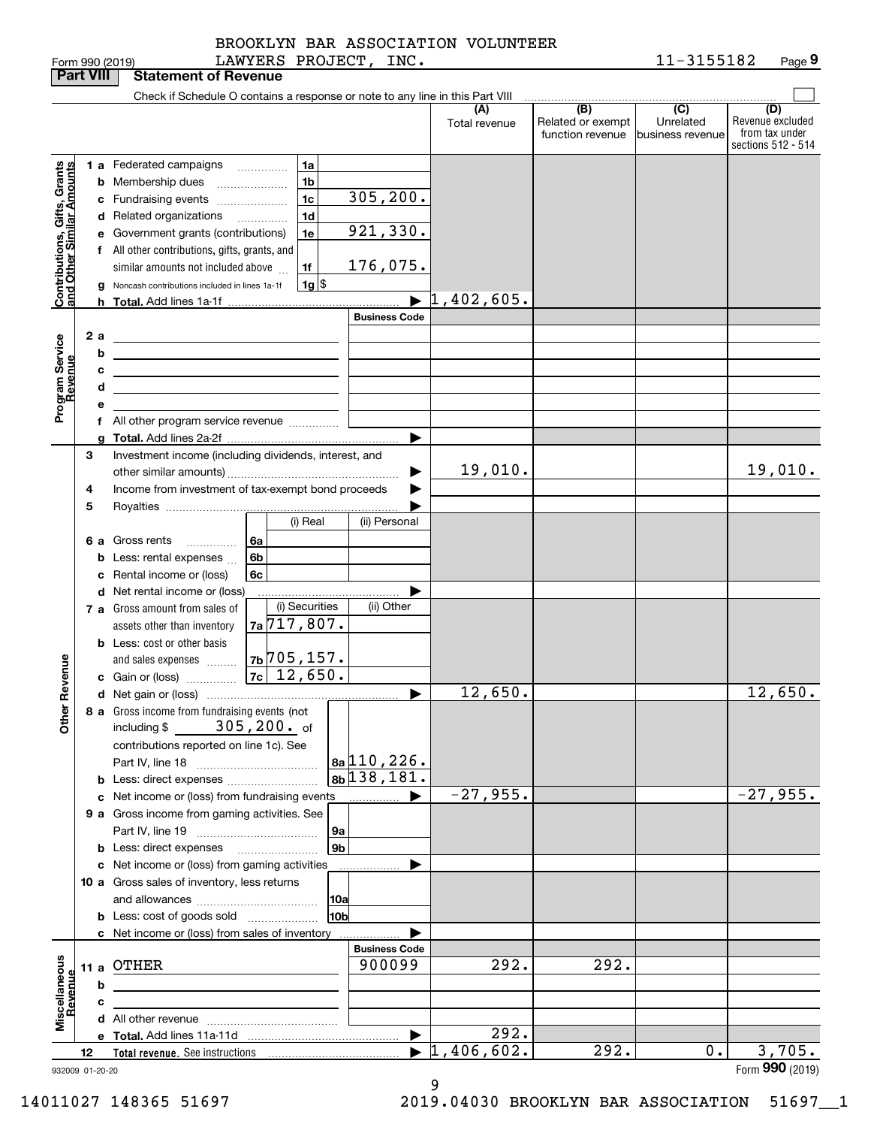|                                                           |    |    | LAWYERS PROJECT,<br>Form 990 (2019)                                                                                   |   | INC.                     |                                  |                                              | 11-3155182                                        | Page 9                                                          |
|-----------------------------------------------------------|----|----|-----------------------------------------------------------------------------------------------------------------------|---|--------------------------|----------------------------------|----------------------------------------------|---------------------------------------------------|-----------------------------------------------------------------|
| <b>Part VIII</b>                                          |    |    | <b>Statement of Revenue</b>                                                                                           |   |                          |                                  |                                              |                                                   |                                                                 |
|                                                           |    |    | Check if Schedule O contains a response or note to any line in this Part VIII                                         |   |                          |                                  |                                              |                                                   |                                                                 |
|                                                           |    |    |                                                                                                                       |   |                          | (A)<br>Total revenue             | (B)<br>Related or exempt<br>function revenue | $\overline{(C)}$<br>Unrelated<br>business revenue | (D)<br>Revenue excluded<br>from tax under<br>sections 512 - 514 |
|                                                           |    |    | 1a<br><b>1 a</b> Federated campaigns<br>$\overline{\phantom{a}}$                                                      |   |                          |                                  |                                              |                                                   |                                                                 |
| Contributions, Gifts, Grants<br>and Other Similar Amounts |    |    | 1 <sub>b</sub><br><b>b</b> Membership dues                                                                            |   |                          |                                  |                                              |                                                   |                                                                 |
|                                                           |    |    | 1 <sub>c</sub><br>c Fundraising events                                                                                |   | 305, 200.                |                                  |                                              |                                                   |                                                                 |
|                                                           |    |    | 1 <sub>d</sub><br>d Related organizations<br>.                                                                        |   |                          |                                  |                                              |                                                   |                                                                 |
|                                                           |    |    | 1e<br>e Government grants (contributions)                                                                             |   | 921,330.                 |                                  |                                              |                                                   |                                                                 |
|                                                           |    |    | f All other contributions, gifts, grants, and                                                                         |   |                          |                                  |                                              |                                                   |                                                                 |
|                                                           |    |    | 1f<br>similar amounts not included above                                                                              |   | 176,075.                 |                                  |                                              |                                                   |                                                                 |
|                                                           |    |    | $1g$ \$<br>Noncash contributions included in lines 1a-1f                                                              |   |                          |                                  |                                              |                                                   |                                                                 |
|                                                           |    |    |                                                                                                                       |   |                          | $\blacktriangleright$ 1,402,605. |                                              |                                                   |                                                                 |
|                                                           |    |    |                                                                                                                       |   | <b>Business Code</b>     |                                  |                                              |                                                   |                                                                 |
|                                                           |    | 2a |                                                                                                                       |   |                          |                                  |                                              |                                                   |                                                                 |
| Program Service<br>Revenue                                |    | b  |                                                                                                                       |   |                          |                                  |                                              |                                                   |                                                                 |
|                                                           |    | с  | <u> 1989 - Johann Barn, amerikansk politiker (</u>                                                                    |   |                          |                                  |                                              |                                                   |                                                                 |
|                                                           |    | d  | <u> 1989 - Johann Stein, marwolaethau (b. 1989)</u>                                                                   |   |                          |                                  |                                              |                                                   |                                                                 |
|                                                           |    | е  | <u> 1989 - Johann Barbara, martin amerikan basar dan berasal dalam basar dalam basar dalam basar dalam basar dala</u> |   |                          |                                  |                                              |                                                   |                                                                 |
|                                                           |    |    | f All other program service revenue                                                                                   |   |                          |                                  |                                              |                                                   |                                                                 |
|                                                           |    | a  |                                                                                                                       |   | ▶                        |                                  |                                              |                                                   |                                                                 |
|                                                           | 3  |    | Investment income (including dividends, interest, and                                                                 |   |                          |                                  |                                              |                                                   |                                                                 |
|                                                           |    |    |                                                                                                                       |   |                          | 19,010.                          |                                              |                                                   | 19,010.                                                         |
|                                                           | 4  |    | Income from investment of tax-exempt bond proceeds                                                                    |   |                          |                                  |                                              |                                                   |                                                                 |
|                                                           | 5  |    |                                                                                                                       |   |                          |                                  |                                              |                                                   |                                                                 |
|                                                           |    |    | (i) Real                                                                                                              |   | (ii) Personal            |                                  |                                              |                                                   |                                                                 |
|                                                           |    | 6а | Gross rents<br>l 6a                                                                                                   |   |                          |                                  |                                              |                                                   |                                                                 |
|                                                           |    | b  | .<br>6b<br>Less: rental expenses                                                                                      |   |                          |                                  |                                              |                                                   |                                                                 |
|                                                           |    |    | Rental income or (loss)<br>6c                                                                                         |   |                          |                                  |                                              |                                                   |                                                                 |
|                                                           |    |    | d Net rental income or (loss)                                                                                         |   |                          |                                  |                                              |                                                   |                                                                 |
|                                                           |    |    | (i) Securities<br>7 a Gross amount from sales of                                                                      |   | (ii) Other               |                                  |                                              |                                                   |                                                                 |
|                                                           |    |    | $7a\overline{717,807}$ .<br>assets other than inventory                                                               |   |                          |                                  |                                              |                                                   |                                                                 |
|                                                           |    |    | <b>b</b> Less: cost or other basis                                                                                    |   |                          |                                  |                                              |                                                   |                                                                 |
|                                                           |    |    | $7b$ 705, 157.                                                                                                        |   |                          |                                  |                                              |                                                   |                                                                 |
| evenue                                                    |    |    | and sales expenses<br>$7c$ 12,650.<br>c Gain or (loss)                                                                |   |                          |                                  |                                              |                                                   |                                                                 |
|                                                           |    |    |                                                                                                                       |   |                          | 12,650.                          |                                              |                                                   | 12,650.                                                         |
| Other R                                                   |    |    | 8 a Gross income from fundraising events (not                                                                         |   |                          |                                  |                                              |                                                   |                                                                 |
|                                                           |    |    | $305,200$ of<br>including \$                                                                                          |   |                          |                                  |                                              |                                                   |                                                                 |
|                                                           |    |    | contributions reported on line 1c). See                                                                               |   |                          |                                  |                                              |                                                   |                                                                 |
|                                                           |    |    |                                                                                                                       |   | $ a_2 110, 226.$         |                                  |                                              |                                                   |                                                                 |
|                                                           |    |    | <b>b</b> Less: direct expenses <i>managered</i> b                                                                     |   | $8b$ <sup>138,181.</sup> |                                  |                                              |                                                   |                                                                 |
|                                                           |    |    | c Net income or (loss) from fundraising events                                                                        | . | ▶                        | $-27,955.$                       |                                              |                                                   | $-27,955.$                                                      |
|                                                           |    |    | 9 a Gross income from gaming activities. See                                                                          |   |                          |                                  |                                              |                                                   |                                                                 |
|                                                           |    |    | 9а                                                                                                                    |   |                          |                                  |                                              |                                                   |                                                                 |
|                                                           |    |    | 9 <sub>b</sub>                                                                                                        |   |                          |                                  |                                              |                                                   |                                                                 |
|                                                           |    |    | c Net income or (loss) from gaming activities                                                                         |   |                          |                                  |                                              |                                                   |                                                                 |
|                                                           |    |    | 10 a Gross sales of inventory, less returns                                                                           |   |                          |                                  |                                              |                                                   |                                                                 |
|                                                           |    |    | 10a                                                                                                                   |   |                          |                                  |                                              |                                                   |                                                                 |
|                                                           |    |    | 10bl<br><b>b</b> Less: cost of goods sold                                                                             |   |                          |                                  |                                              |                                                   |                                                                 |
|                                                           |    |    | c Net income or (loss) from sales of inventory                                                                        |   |                          |                                  |                                              |                                                   |                                                                 |
|                                                           |    |    |                                                                                                                       |   | <b>Business Code</b>     |                                  |                                              |                                                   |                                                                 |
|                                                           |    |    | 11 a OTHER                                                                                                            |   | 900099                   | 292.                             | 292.                                         |                                                   |                                                                 |
| Miscellaneous<br>Revenue                                  |    | b  |                                                                                                                       |   |                          |                                  |                                              |                                                   |                                                                 |
|                                                           |    | с  |                                                                                                                       |   |                          |                                  |                                              |                                                   |                                                                 |
|                                                           |    |    |                                                                                                                       |   |                          |                                  |                                              |                                                   |                                                                 |
|                                                           |    |    |                                                                                                                       |   | $\blacktriangleright$    | 292.                             |                                              |                                                   |                                                                 |
|                                                           | 12 |    |                                                                                                                       |   |                          | 1,406,602.                       | 292.                                         | 0.                                                | 3,705.                                                          |
| 932009 01-20-20                                           |    |    |                                                                                                                       |   |                          |                                  |                                              |                                                   | Form 990 (2019)                                                 |

9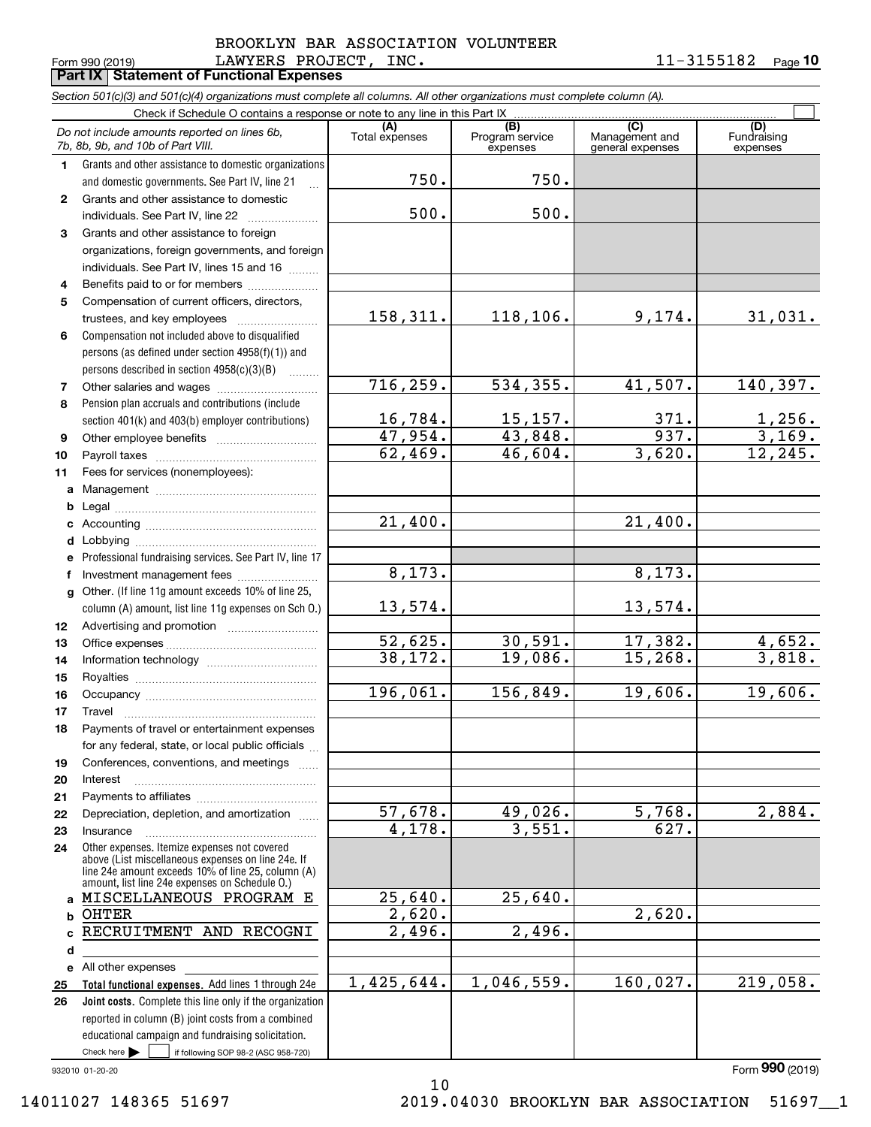#### Form 990 (2019) Page **Part IX Statement of Functional Expenses** LAWYERS PROJECT, INC. 11-3155182 BROOKLYN BAR ASSOCIATION VOLUNTEER

**10**

|                | Section 501(c)(3) and 501(c)(4) organizations must complete all columns. All other organizations must complete column (A).                                                                                 |                           |                             |                                    |                         |
|----------------|------------------------------------------------------------------------------------------------------------------------------------------------------------------------------------------------------------|---------------------------|-----------------------------|------------------------------------|-------------------------|
|                | Check if Schedule O contains a response or note to any line in this Part IX                                                                                                                                | (A)                       | (B)                         | (C)                                | (D)                     |
|                | Do not include amounts reported on lines 6b,<br>7b, 8b, 9b, and 10b of Part VIII.                                                                                                                          | Total expenses            | Program service<br>expenses | Management and<br>general expenses | Fundraising<br>expenses |
| 1.             | Grants and other assistance to domestic organizations                                                                                                                                                      |                           |                             |                                    |                         |
|                | and domestic governments. See Part IV, line 21<br>$\mathbf{r}$                                                                                                                                             | 750.                      | 750.                        |                                    |                         |
| $\mathbf{2}$   | Grants and other assistance to domestic                                                                                                                                                                    |                           |                             |                                    |                         |
|                | individuals. See Part IV, line 22                                                                                                                                                                          | 500.                      | 500.                        |                                    |                         |
| 3              | Grants and other assistance to foreign                                                                                                                                                                     |                           |                             |                                    |                         |
|                | organizations, foreign governments, and foreign                                                                                                                                                            |                           |                             |                                    |                         |
|                | individuals. See Part IV, lines 15 and 16                                                                                                                                                                  |                           |                             |                                    |                         |
| 4              | Benefits paid to or for members                                                                                                                                                                            |                           |                             |                                    |                         |
| 5              | Compensation of current officers, directors,                                                                                                                                                               |                           |                             |                                    |                         |
|                | trustees, and key employees                                                                                                                                                                                | 158, 311.                 | 118,106.                    | 9,174.                             | 31,031.                 |
| 6              | Compensation not included above to disqualified                                                                                                                                                            |                           |                             |                                    |                         |
|                | persons (as defined under section 4958(f)(1)) and                                                                                                                                                          |                           |                             |                                    |                         |
|                | persons described in section 4958(c)(3)(B)<br>.                                                                                                                                                            |                           |                             |                                    |                         |
| $\overline{7}$ | Other salaries and wages                                                                                                                                                                                   | 716, 259.                 | 534,355.                    | 41,507.                            | 140,397.                |
| 8              | Pension plan accruals and contributions (include                                                                                                                                                           |                           |                             |                                    |                         |
|                | section 401(k) and 403(b) employer contributions)                                                                                                                                                          |                           |                             | 371.                               | $\frac{1,256}{3,169}$ . |
| 9              |                                                                                                                                                                                                            | $\frac{16,784.}{47,954.}$ | $\frac{15,157.}{43,848.}$   | 937.                               |                         |
| 10             |                                                                                                                                                                                                            | $\overline{62,469}$ .     | 46,604.                     | 3,620.                             | 12, 245.                |
| 11             | Fees for services (nonemployees):                                                                                                                                                                          |                           |                             |                                    |                         |
| a              |                                                                                                                                                                                                            |                           |                             |                                    |                         |
| b              |                                                                                                                                                                                                            |                           |                             |                                    |                         |
| c              |                                                                                                                                                                                                            | $\overline{21}$ , 400.    |                             | 21,400.                            |                         |
| d              |                                                                                                                                                                                                            |                           |                             |                                    |                         |
| е              | Professional fundraising services. See Part IV, line 17                                                                                                                                                    |                           |                             |                                    |                         |
| f              | Investment management fees                                                                                                                                                                                 | 8,173.                    |                             | 8,173.                             |                         |
| g              | Other. (If line 11g amount exceeds 10% of line 25,                                                                                                                                                         |                           |                             |                                    |                         |
|                | column (A) amount, list line 11g expenses on Sch O.)                                                                                                                                                       | 13,574.                   |                             | 13,574.                            |                         |
| 12             |                                                                                                                                                                                                            |                           |                             |                                    |                         |
| 13             |                                                                                                                                                                                                            | $\overline{52}$ , 625.    | 30,591.                     | 17,382.                            | $\frac{4,652.}{3,818.}$ |
| 14             |                                                                                                                                                                                                            | 38,172.                   | 19,086.                     | 15, 268.                           |                         |
| 15             |                                                                                                                                                                                                            |                           |                             |                                    |                         |
| 16             |                                                                                                                                                                                                            | 196,061.                  | 156,849.                    | 19,606.                            | 19,606.                 |
| 17             |                                                                                                                                                                                                            |                           |                             |                                    |                         |
| 18             | Payments of travel or entertainment expenses                                                                                                                                                               |                           |                             |                                    |                         |
|                | for any federal, state, or local public officials                                                                                                                                                          |                           |                             |                                    |                         |
| 19             | Conferences, conventions, and meetings                                                                                                                                                                     |                           |                             |                                    |                         |
| 20             | Interest                                                                                                                                                                                                   |                           |                             |                                    |                         |
| 21             |                                                                                                                                                                                                            |                           |                             |                                    |                         |
| 22             | Depreciation, depletion, and amortization                                                                                                                                                                  | $\overline{57}$ , 678.    | 49,026.                     | 5,768.                             | 2,884.                  |
| 23             | Insurance                                                                                                                                                                                                  | $\overline{4,178}$ .      | 3,551.                      | 627.                               |                         |
| 24             | Other expenses. Itemize expenses not covered<br>above (List miscellaneous expenses on line 24e. If<br>line 24e amount exceeds 10% of line 25, column (A)<br>amount, list line 24e expenses on Schedule O.) |                           |                             |                                    |                         |
| a              | MISCELLANEOUS PROGRAM E                                                                                                                                                                                    | 25,640.                   | 25,640.                     |                                    |                         |
| b              | <b>OHTER</b>                                                                                                                                                                                               | 2,620.                    |                             | 2,620.                             |                         |
| c              | RECRUITMENT AND RECOGNI                                                                                                                                                                                    | $\overline{2,496}$ .      | 2,496.                      |                                    |                         |
| d              |                                                                                                                                                                                                            |                           |                             |                                    |                         |
| е              | All other expenses                                                                                                                                                                                         |                           |                             |                                    |                         |
| 25             | Total functional expenses. Add lines 1 through 24e                                                                                                                                                         | 1,425,644.                | 1,046,559.                  | 160,027.                           | 219,058.                |
| 26             | Joint costs. Complete this line only if the organization                                                                                                                                                   |                           |                             |                                    |                         |
|                | reported in column (B) joint costs from a combined                                                                                                                                                         |                           |                             |                                    |                         |
|                | educational campaign and fundraising solicitation.                                                                                                                                                         |                           |                             |                                    |                         |
|                | Check here $\blacktriangleright$<br>if following SOP 98-2 (ASC 958-720)                                                                                                                                    |                           |                             |                                    |                         |

10

932010 01-20-20

14011027 148365 51697 2019.04030 BROOKLYN BAR ASSOCIATION 51697\_\_1

Form (2019) **990**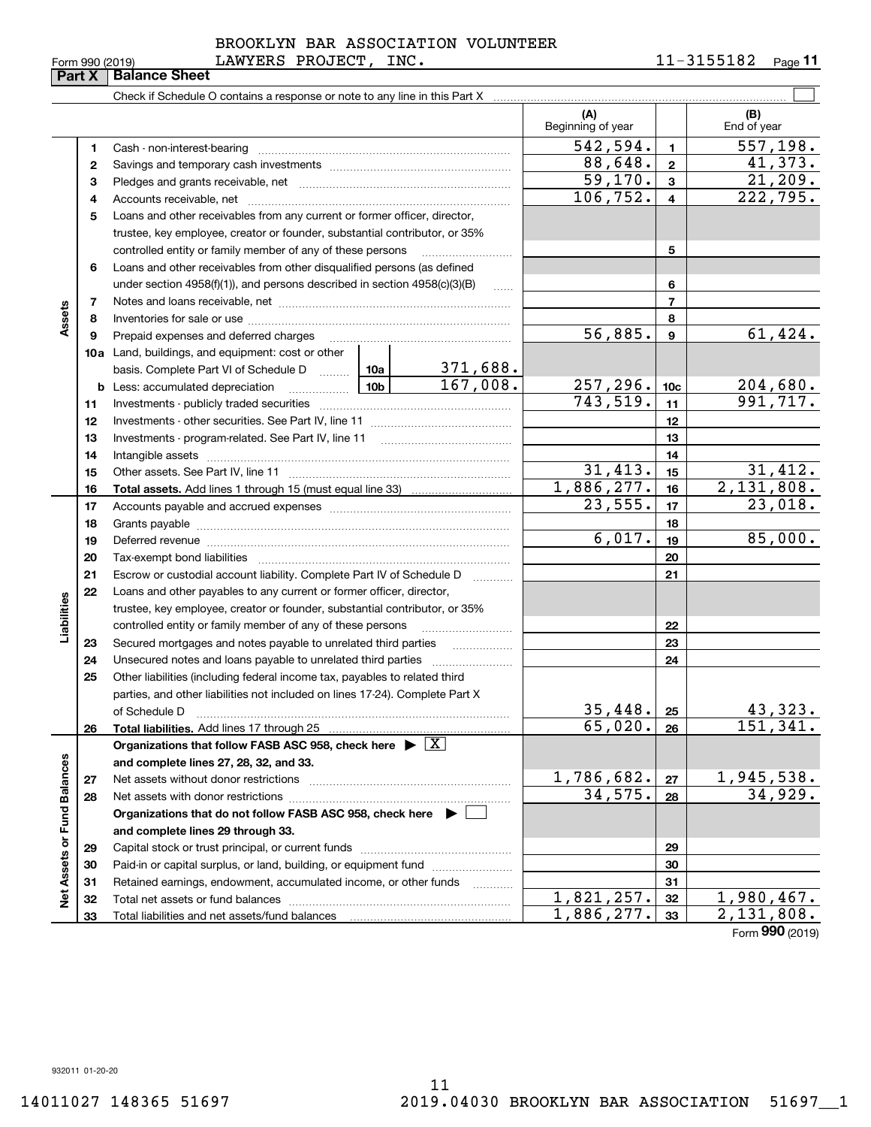| Form 990 (2019) |  |  |
|-----------------|--|--|
|                 |  |  |

#### Form 990 (2019) LAWYERS PROJECT, INC. 1 $1\text{--}3155182$  <sub>Page</sub> BROOKLYN BAR ASSOCIATION VOLUNTEER

|                             | Form 990 (2019)<br>Part X | TAMIDAD LAVUDCI, TMC.<br><b>Balance Sheet</b>                                                                                                                                                                                  |               |                              |                  | TT-JIJJIOT<br>Page II  |
|-----------------------------|---------------------------|--------------------------------------------------------------------------------------------------------------------------------------------------------------------------------------------------------------------------------|---------------|------------------------------|------------------|------------------------|
|                             |                           |                                                                                                                                                                                                                                |               |                              |                  |                        |
|                             |                           |                                                                                                                                                                                                                                |               | (A)<br>Beginning of year     |                  | (B)<br>End of year     |
|                             | 1                         | Cash - non-interest-bearing                                                                                                                                                                                                    |               | 542,594.                     | $\blacksquare$   | 557, 198.              |
|                             | 2                         |                                                                                                                                                                                                                                |               | 88,648.                      | $\overline{2}$   | 41,373.                |
|                             | 3                         |                                                                                                                                                                                                                                |               | $\overline{59,170}$ .        | 3                | 21,209.                |
|                             | 4                         |                                                                                                                                                                                                                                |               | 106, 752.                    | $\overline{4}$   | $\overline{222,795}$ . |
|                             | 5                         | Loans and other receivables from any current or former officer, director,                                                                                                                                                      |               |                              |                  |                        |
|                             |                           | trustee, key employee, creator or founder, substantial contributor, or 35%                                                                                                                                                     |               |                              |                  |                        |
|                             |                           | controlled entity or family member of any of these persons                                                                                                                                                                     |               |                              | 5                |                        |
|                             | 6                         | Loans and other receivables from other disqualified persons (as defined                                                                                                                                                        |               |                              |                  |                        |
|                             |                           | under section 4958(f)(1)), and persons described in section 4958(c)(3)(B)                                                                                                                                                      | <b>Carlos</b> |                              | 6                |                        |
|                             | 7                         |                                                                                                                                                                                                                                |               |                              | $\overline{7}$   |                        |
| Assets                      | 8                         |                                                                                                                                                                                                                                |               |                              | 8                |                        |
|                             | 9                         | Prepaid expenses and deferred charges                                                                                                                                                                                          |               | 56,885.                      | $\boldsymbol{9}$ | 61, 424.               |
|                             |                           | 10a Land, buildings, and equipment: cost or other                                                                                                                                                                              |               |                              |                  |                        |
|                             |                           | basis. Complete Part VI of Schedule D  10a                                                                                                                                                                                     | 371,688.      |                              |                  |                        |
|                             | b                         |                                                                                                                                                                                                                                | 167,008.      | 257,296.                     | 10 <sub>c</sub>  | 204,680.               |
|                             | 11                        |                                                                                                                                                                                                                                |               | 743, 519.                    | 11               | 991, 717.              |
|                             | 12                        |                                                                                                                                                                                                                                |               |                              | 12               |                        |
|                             | 13                        |                                                                                                                                                                                                                                |               |                              | 13               |                        |
|                             | 14                        |                                                                                                                                                                                                                                |               |                              | 14               |                        |
|                             | 15                        |                                                                                                                                                                                                                                |               | 31,413.                      | 15               | 31,412.                |
|                             | 16                        |                                                                                                                                                                                                                                |               | 1,886,277.                   | 16               | 2,131,808.             |
|                             | 17                        |                                                                                                                                                                                                                                |               | 23,555.                      | 17               | 23,018.                |
|                             | 18                        |                                                                                                                                                                                                                                |               |                              | 18               |                        |
|                             | 19                        | Deferred revenue material contracts and a contract of the contract of the contract of the contract of the contract of the contract of the contract of the contract of the contract of the contract of the contract of the cont |               | 6,017.                       | 19               | 85,000.                |
|                             | 20                        |                                                                                                                                                                                                                                |               |                              | 20               |                        |
|                             | 21                        | Escrow or custodial account liability. Complete Part IV of Schedule D                                                                                                                                                          |               |                              | 21               |                        |
|                             | 22                        | Loans and other payables to any current or former officer, director,                                                                                                                                                           |               |                              |                  |                        |
| Liabilities                 |                           | trustee, key employee, creator or founder, substantial contributor, or 35%                                                                                                                                                     |               |                              |                  |                        |
|                             |                           | controlled entity or family member of any of these persons                                                                                                                                                                     |               |                              | 22               |                        |
|                             | 23                        |                                                                                                                                                                                                                                |               |                              | 23               |                        |
|                             | 24                        |                                                                                                                                                                                                                                |               |                              | 24               |                        |
|                             | 25                        | Other liabilities (including federal income tax, payables to related third                                                                                                                                                     |               |                              |                  |                        |
|                             |                           | parties, and other liabilities not included on lines 17-24). Complete Part X                                                                                                                                                   |               |                              |                  |                        |
|                             |                           | of Schedule D                                                                                                                                                                                                                  |               | 35,448.                      | 25               | 43,323.                |
|                             | 26                        | Total liabilities. Add lines 17 through 25                                                                                                                                                                                     |               | 65,020.                      | 26               | 151, 341.              |
|                             |                           | Organizations that follow FASB ASC 958, check here $\blacktriangleright \boxed{X}$                                                                                                                                             |               |                              |                  |                        |
|                             |                           | and complete lines 27, 28, 32, and 33.                                                                                                                                                                                         |               |                              |                  |                        |
|                             | 27                        | Net assets without donor restrictions                                                                                                                                                                                          |               |                              | 27               | 1,945,538.             |
|                             | 28                        |                                                                                                                                                                                                                                |               | $\frac{1,786,682.}{34,575.}$ | 28               | 34,929.                |
|                             |                           | Organizations that do not follow FASB ASC 958, check here $\blacktriangleright$                                                                                                                                                |               |                              |                  |                        |
|                             |                           | and complete lines 29 through 33.                                                                                                                                                                                              |               |                              |                  |                        |
|                             | 29                        |                                                                                                                                                                                                                                |               |                              | 29               |                        |
|                             | 30                        | Paid-in or capital surplus, or land, building, or equipment fund                                                                                                                                                               |               |                              | 30               |                        |
| Net Assets or Fund Balances | 31                        | Retained earnings, endowment, accumulated income, or other funds                                                                                                                                                               |               |                              | 31               |                        |
|                             | 32                        |                                                                                                                                                                                                                                |               | 1,821,257.                   | 32               | <u>1,980,467.</u>      |
|                             | 33                        |                                                                                                                                                                                                                                |               | 1,886,277.                   | 33               | 2,131,808.             |

Form (2019) **990**

932011 01-20-20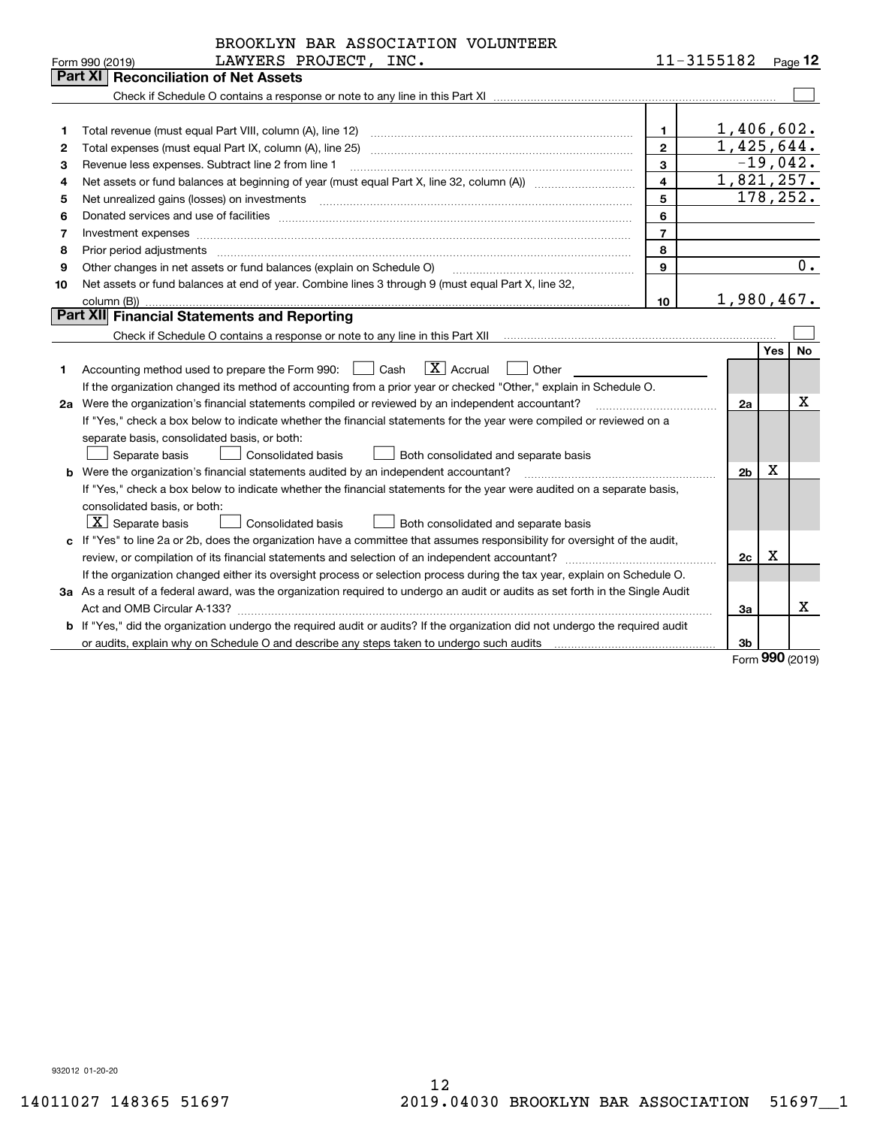|    | BROOKLYN BAR ASSOCIATION VOLUNTEER                                                                                                                                                                                             |                |                        |            |            |
|----|--------------------------------------------------------------------------------------------------------------------------------------------------------------------------------------------------------------------------------|----------------|------------------------|------------|------------|
|    | LAWYERS PROJECT, INC.<br>Form 990 (2019)                                                                                                                                                                                       |                | $11 - 3155182$ Page 12 |            |            |
|    | <b>Reconciliation of Net Assets</b><br>Part XII                                                                                                                                                                                |                |                        |            |            |
|    |                                                                                                                                                                                                                                |                |                        |            |            |
|    |                                                                                                                                                                                                                                |                |                        |            |            |
| 1  |                                                                                                                                                                                                                                | $\mathbf{1}$   |                        |            | 1,406,602. |
| 2  |                                                                                                                                                                                                                                | $\mathbf{2}$   |                        |            | 1,425,644. |
| 3  | Revenue less expenses. Subtract line 2 from line 1                                                                                                                                                                             | 3              |                        |            | $-19,042.$ |
| 4  |                                                                                                                                                                                                                                | $\overline{4}$ |                        |            | 1,821,257. |
| 5  | Net unrealized gains (losses) on investments                                                                                                                                                                                   | 5              |                        |            | 178, 252.  |
| 6  | Donated services and use of facilities [111] Donated and the service of facilities [11] Donated services and use of facilities [11] Donated and the service of the service of the service of the service of the service of the | 6              |                        |            |            |
| 7  |                                                                                                                                                                                                                                | $\overline{7}$ |                        |            |            |
| 8  | Prior period adjustments                                                                                                                                                                                                       | 8              |                        |            |            |
| 9  | Other changes in net assets or fund balances (explain on Schedule O)                                                                                                                                                           | 9              |                        |            | 0.         |
| 10 | Net assets or fund balances at end of year. Combine lines 3 through 9 (must equal Part X, line 32,                                                                                                                             |                |                        |            |            |
|    | column (B))                                                                                                                                                                                                                    | 10             |                        |            | 1,980,467. |
|    | Part XII Financial Statements and Reporting                                                                                                                                                                                    |                |                        |            |            |
|    |                                                                                                                                                                                                                                |                |                        |            |            |
|    |                                                                                                                                                                                                                                |                |                        | <b>Yes</b> | <b>No</b>  |
| 1  | $\boxed{\mathbf{X}}$ Accrual<br>Cash<br>Accounting method used to prepare the Form 990:<br>Other                                                                                                                               |                |                        |            |            |
|    | If the organization changed its method of accounting from a prior year or checked "Other," explain in Schedule O.                                                                                                              |                |                        |            |            |
|    | 2a Were the organization's financial statements compiled or reviewed by an independent accountant?                                                                                                                             |                | 2a                     |            | X          |
|    | If "Yes," check a box below to indicate whether the financial statements for the year were compiled or reviewed on a                                                                                                           |                |                        |            |            |
|    | separate basis, consolidated basis, or both:                                                                                                                                                                                   |                |                        |            |            |
|    | Separate basis<br>Consolidated basis<br>Both consolidated and separate basis                                                                                                                                                   |                |                        |            |            |
|    | b Were the organization's financial statements audited by an independent accountant?                                                                                                                                           |                | 2 <sub>b</sub>         | x          |            |
|    | If "Yes," check a box below to indicate whether the financial statements for the year were audited on a separate basis,                                                                                                        |                |                        |            |            |
|    | consolidated basis, or both:                                                                                                                                                                                                   |                |                        |            |            |
|    | $\boxed{\textbf{X}}$ Separate basis<br>Consolidated basis<br><b>Both consolidated and separate basis</b>                                                                                                                       |                |                        |            |            |
|    | c If "Yes" to line 2a or 2b, does the organization have a committee that assumes responsibility for oversight of the audit,                                                                                                    |                |                        |            |            |
|    |                                                                                                                                                                                                                                |                | 2c                     | X          |            |
|    | If the organization changed either its oversight process or selection process during the tax year, explain on Schedule O.                                                                                                      |                |                        |            |            |
|    | 3a As a result of a federal award, was the organization required to undergo an audit or audits as set forth in the Single Audit                                                                                                |                |                        |            |            |
|    |                                                                                                                                                                                                                                |                | За                     |            | x          |
|    | b If "Yes," did the organization undergo the required audit or audits? If the organization did not undergo the required audit                                                                                                  |                |                        |            |            |
|    | or audits, explain why on Schedule O and describe any steps taken to undergo such audits matures and the content                                                                                                               |                | 3b                     | מחח        |            |

Form (2019) **990**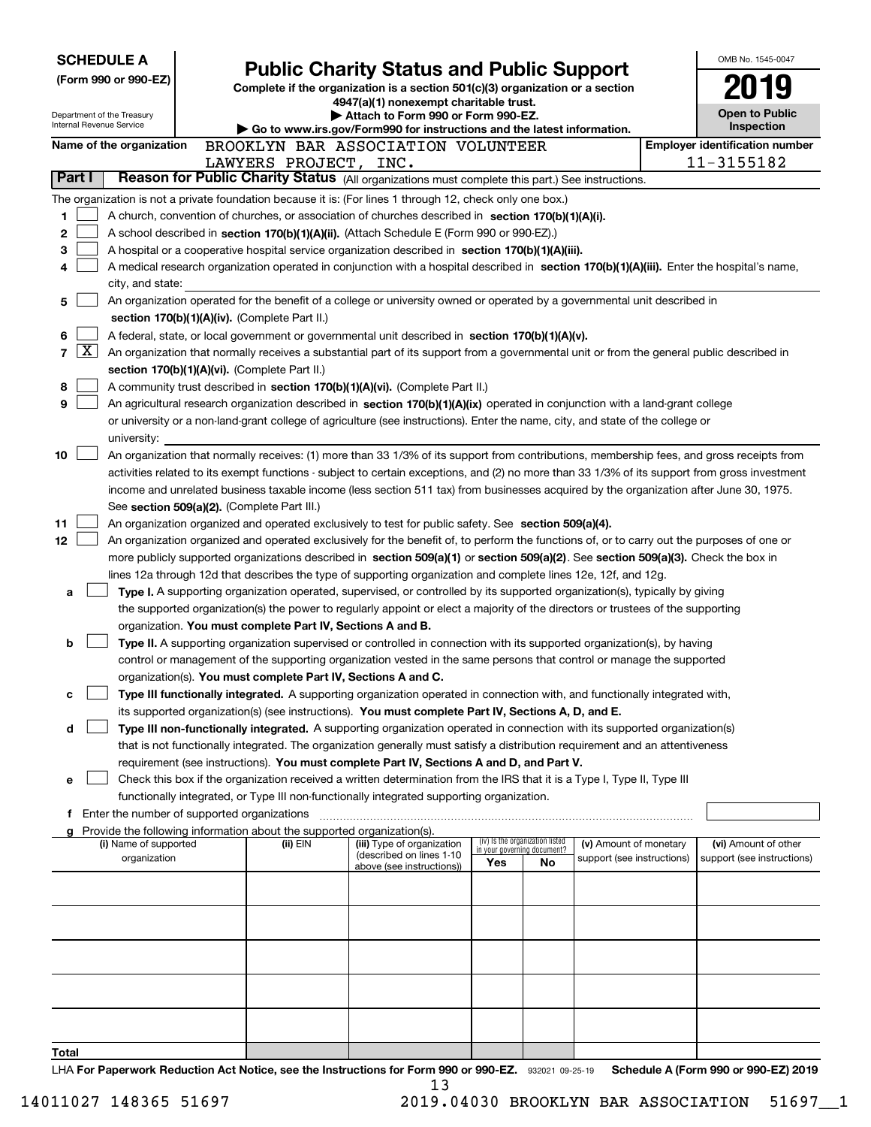|                 |                     | <b>SCHEDULE A</b>                                    |                                               |                                                                                                                                               |     |                                                                |                            | OMB No. 1545-0047                     |
|-----------------|---------------------|------------------------------------------------------|-----------------------------------------------|-----------------------------------------------------------------------------------------------------------------------------------------------|-----|----------------------------------------------------------------|----------------------------|---------------------------------------|
|                 |                     | (Form 990 or 990-EZ)                                 |                                               | <b>Public Charity Status and Public Support</b>                                                                                               |     |                                                                |                            |                                       |
|                 |                     |                                                      |                                               | Complete if the organization is a section 501(c)(3) organization or a section<br>4947(a)(1) nonexempt charitable trust.                       |     |                                                                |                            |                                       |
|                 |                     | Department of the Treasury                           |                                               | Attach to Form 990 or Form 990-EZ.                                                                                                            |     |                                                                |                            | <b>Open to Public</b>                 |
|                 |                     | Internal Revenue Service                             |                                               | Go to www.irs.gov/Form990 for instructions and the latest information.                                                                        |     |                                                                |                            | Inspection                            |
|                 |                     | Name of the organization                             |                                               | BROOKLYN BAR ASSOCIATION VOLUNTEER                                                                                                            |     |                                                                |                            | <b>Employer identification number</b> |
|                 |                     |                                                      | LAWYERS PROJECT, INC.                         |                                                                                                                                               |     |                                                                |                            | 11-3155182                            |
| Part I          |                     |                                                      |                                               | Reason for Public Charity Status (All organizations must complete this part.) See instructions.                                               |     |                                                                |                            |                                       |
|                 |                     |                                                      |                                               | The organization is not a private foundation because it is: (For lines 1 through 12, check only one box.)                                     |     |                                                                |                            |                                       |
| 1               |                     |                                                      |                                               | A church, convention of churches, or association of churches described in section $170(b)(1)(A)(i)$ .                                         |     |                                                                |                            |                                       |
| 2               |                     |                                                      |                                               | A school described in section 170(b)(1)(A)(ii). (Attach Schedule E (Form 990 or 990-EZ).)                                                     |     |                                                                |                            |                                       |
| 3               |                     |                                                      |                                               | A hospital or a cooperative hospital service organization described in section 170(b)(1)(A)(iii).                                             |     |                                                                |                            |                                       |
| 4               |                     |                                                      |                                               | A medical research organization operated in conjunction with a hospital described in section 170(b)(1)(A)(iii). Enter the hospital's name,    |     |                                                                |                            |                                       |
|                 |                     | city, and state:                                     |                                               |                                                                                                                                               |     |                                                                |                            |                                       |
| 5               |                     |                                                      |                                               | An organization operated for the benefit of a college or university owned or operated by a governmental unit described in                     |     |                                                                |                            |                                       |
|                 |                     |                                                      | section 170(b)(1)(A)(iv). (Complete Part II.) |                                                                                                                                               |     |                                                                |                            |                                       |
| 6               |                     |                                                      |                                               | A federal, state, or local government or governmental unit described in section 170(b)(1)(A)(v).                                              |     |                                                                |                            |                                       |
| 7               | $\lfloor x \rfloor$ |                                                      |                                               | An organization that normally receives a substantial part of its support from a governmental unit or from the general public described in     |     |                                                                |                            |                                       |
|                 |                     |                                                      | section 170(b)(1)(A)(vi). (Complete Part II.) |                                                                                                                                               |     |                                                                |                            |                                       |
| 8               |                     |                                                      |                                               | A community trust described in section 170(b)(1)(A)(vi). (Complete Part II.)                                                                  |     |                                                                |                            |                                       |
| 9               |                     |                                                      |                                               | An agricultural research organization described in section 170(b)(1)(A)(ix) operated in conjunction with a land-grant college                 |     |                                                                |                            |                                       |
|                 |                     |                                                      |                                               | or university or a non-land-grant college of agriculture (see instructions). Enter the name, city, and state of the college or                |     |                                                                |                            |                                       |
| 10              |                     | university:                                          |                                               | An organization that normally receives: (1) more than 33 1/3% of its support from contributions, membership fees, and gross receipts from     |     |                                                                |                            |                                       |
|                 |                     |                                                      |                                               | activities related to its exempt functions - subject to certain exceptions, and (2) no more than 33 1/3% of its support from gross investment |     |                                                                |                            |                                       |
|                 |                     |                                                      |                                               | income and unrelated business taxable income (less section 511 tax) from businesses acquired by the organization after June 30, 1975.         |     |                                                                |                            |                                       |
|                 |                     |                                                      | See section 509(a)(2). (Complete Part III.)   |                                                                                                                                               |     |                                                                |                            |                                       |
| 11              |                     |                                                      |                                               | An organization organized and operated exclusively to test for public safety. See section 509(a)(4).                                          |     |                                                                |                            |                                       |
| 12 <sub>2</sub> |                     |                                                      |                                               | An organization organized and operated exclusively for the benefit of, to perform the functions of, or to carry out the purposes of one or    |     |                                                                |                            |                                       |
|                 |                     |                                                      |                                               | more publicly supported organizations described in section 509(a)(1) or section 509(a)(2). See section 509(a)(3). Check the box in            |     |                                                                |                            |                                       |
|                 |                     |                                                      |                                               | lines 12a through 12d that describes the type of supporting organization and complete lines 12e, 12f, and 12g.                                |     |                                                                |                            |                                       |
| a               |                     |                                                      |                                               | Type I. A supporting organization operated, supervised, or controlled by its supported organization(s), typically by giving                   |     |                                                                |                            |                                       |
|                 |                     |                                                      |                                               | the supported organization(s) the power to regularly appoint or elect a majority of the directors or trustees of the supporting               |     |                                                                |                            |                                       |
|                 |                     |                                                      |                                               | organization. You must complete Part IV, Sections A and B.                                                                                    |     |                                                                |                            |                                       |
| b               |                     |                                                      |                                               | Type II. A supporting organization supervised or controlled in connection with its supported organization(s), by having                       |     |                                                                |                            |                                       |
|                 |                     |                                                      |                                               | control or management of the supporting organization vested in the same persons that control or manage the supported                          |     |                                                                |                            |                                       |
|                 |                     |                                                      |                                               | organization(s). You must complete Part IV, Sections A and C.                                                                                 |     |                                                                |                            |                                       |
| с               |                     |                                                      |                                               | Type III functionally integrated. A supporting organization operated in connection with, and functionally integrated with,                    |     |                                                                |                            |                                       |
|                 |                     |                                                      |                                               | its supported organization(s) (see instructions). You must complete Part IV, Sections A, D, and E.                                            |     |                                                                |                            |                                       |
| d               |                     |                                                      |                                               | Type III non-functionally integrated. A supporting organization operated in connection with its supported organization(s)                     |     |                                                                |                            |                                       |
|                 |                     |                                                      |                                               | that is not functionally integrated. The organization generally must satisfy a distribution requirement and an attentiveness                  |     |                                                                |                            |                                       |
|                 |                     |                                                      |                                               | requirement (see instructions). You must complete Part IV, Sections A and D, and Part V.                                                      |     |                                                                |                            |                                       |
| е               |                     |                                                      |                                               | Check this box if the organization received a written determination from the IRS that it is a Type I, Type II, Type III                       |     |                                                                |                            |                                       |
|                 |                     | <b>f</b> Enter the number of supported organizations |                                               | functionally integrated, or Type III non-functionally integrated supporting organization.                                                     |     |                                                                |                            |                                       |
|                 |                     |                                                      |                                               | Provide the following information about the supported organization(s).                                                                        |     |                                                                |                            |                                       |
|                 |                     | (i) Name of supported                                | (ii) EIN                                      | (iii) Type of organization                                                                                                                    |     | (iv) Is the organization listed<br>in your governing document? | (v) Amount of monetary     | (vi) Amount of other                  |
|                 |                     | organization                                         |                                               | (described on lines 1-10<br>above (see instructions))                                                                                         | Yes | No                                                             | support (see instructions) | support (see instructions)            |
|                 |                     |                                                      |                                               |                                                                                                                                               |     |                                                                |                            |                                       |
|                 |                     |                                                      |                                               |                                                                                                                                               |     |                                                                |                            |                                       |
|                 |                     |                                                      |                                               |                                                                                                                                               |     |                                                                |                            |                                       |
|                 |                     |                                                      |                                               |                                                                                                                                               |     |                                                                |                            |                                       |
|                 |                     |                                                      |                                               |                                                                                                                                               |     |                                                                |                            |                                       |
|                 |                     |                                                      |                                               |                                                                                                                                               |     |                                                                |                            |                                       |
|                 |                     |                                                      |                                               |                                                                                                                                               |     |                                                                |                            |                                       |
|                 |                     |                                                      |                                               |                                                                                                                                               |     |                                                                |                            |                                       |
|                 |                     |                                                      |                                               |                                                                                                                                               |     |                                                                |                            |                                       |
|                 |                     |                                                      |                                               |                                                                                                                                               |     |                                                                |                            |                                       |
| Total           |                     |                                                      |                                               | $\Box$ Lev Repersed Reduction Act Notice, see the Instructions for Ferm 000 or 000 EZ $\sim$ 20001 28.25 to                                   |     |                                                                |                            | Schodule A (Form 000 or 000 EZ) 2010  |

LHA For Paperwork Reduction Act Notice, see the Instructions for Form 990 or 990-EZ. 932021 09-25-19 Schedule A (Form 990 or 990-EZ) 2019 13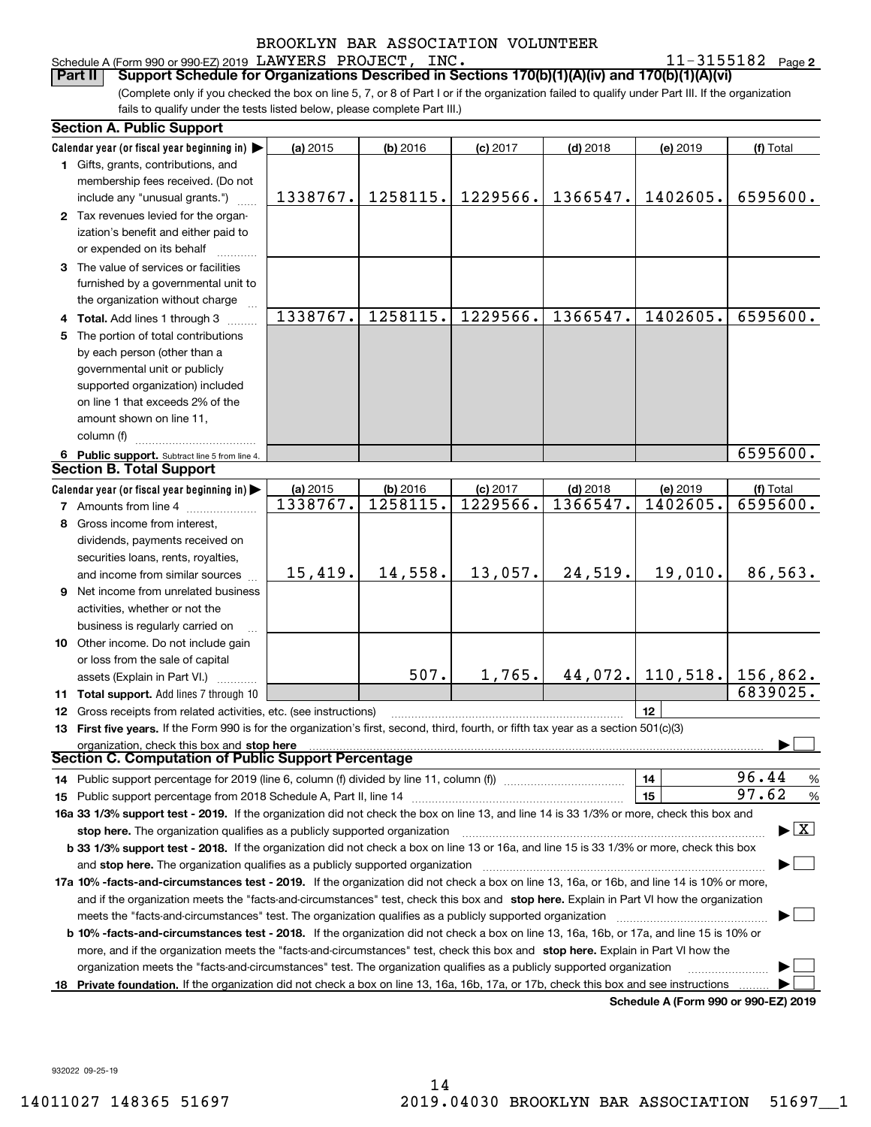|  |  | Schedule A (Form 990 or 990-EZ) 2019 LAWYERS PROJECT, | INC. | $11 - 3155182$ Page 2 |  |
|--|--|-------------------------------------------------------|------|-----------------------|--|
|  |  |                                                       |      |                       |  |

(Complete only if you checked the box on line 5, 7, or 8 of Part I or if the organization failed to qualify under Part III. If the organization fails to qualify under the tests listed below, please complete Part III.) **Part II Support Schedule for Organizations Described in Sections 170(b)(1)(A)(iv) and 170(b)(1)(A)(vi)**

|     | <b>Section A. Public Support</b>                                                                                                           |          |            |            |            |                                      |                                          |
|-----|--------------------------------------------------------------------------------------------------------------------------------------------|----------|------------|------------|------------|--------------------------------------|------------------------------------------|
|     | Calendar year (or fiscal year beginning in)                                                                                                | (a) 2015 | (b) 2016   | $(c)$ 2017 | $(d)$ 2018 | (e) 2019                             | (f) Total                                |
|     | 1 Gifts, grants, contributions, and                                                                                                        |          |            |            |            |                                      |                                          |
|     | membership fees received. (Do not                                                                                                          |          |            |            |            |                                      |                                          |
|     | include any "unusual grants.")                                                                                                             | 1338767. | 1258115.   | 1229566.   | 1366547.   | 1402605.                             | 6595600.                                 |
|     | 2 Tax revenues levied for the organ-                                                                                                       |          |            |            |            |                                      |                                          |
|     | ization's benefit and either paid to                                                                                                       |          |            |            |            |                                      |                                          |
|     | or expended on its behalf                                                                                                                  |          |            |            |            |                                      |                                          |
|     | 3 The value of services or facilities                                                                                                      |          |            |            |            |                                      |                                          |
|     | furnished by a governmental unit to                                                                                                        |          |            |            |            |                                      |                                          |
|     | the organization without charge                                                                                                            |          |            |            |            |                                      |                                          |
|     |                                                                                                                                            | 1338767. | 1258115.   | 1229566.   | 1366547.   | 1402605.                             | 6595600.                                 |
|     | <b>Total.</b> Add lines 1 through 3                                                                                                        |          |            |            |            |                                      |                                          |
| 5.  | The portion of total contributions                                                                                                         |          |            |            |            |                                      |                                          |
|     | by each person (other than a                                                                                                               |          |            |            |            |                                      |                                          |
|     | governmental unit or publicly                                                                                                              |          |            |            |            |                                      |                                          |
|     | supported organization) included                                                                                                           |          |            |            |            |                                      |                                          |
|     | on line 1 that exceeds 2% of the                                                                                                           |          |            |            |            |                                      |                                          |
|     | amount shown on line 11,                                                                                                                   |          |            |            |            |                                      |                                          |
|     | column (f)                                                                                                                                 |          |            |            |            |                                      |                                          |
|     | 6 Public support. Subtract line 5 from line 4.                                                                                             |          |            |            |            |                                      | 6595600.                                 |
|     | <b>Section B. Total Support</b>                                                                                                            |          |            |            |            |                                      |                                          |
|     | Calendar year (or fiscal year beginning in)                                                                                                | (a) 2015 | $(b)$ 2016 | (c) 2017   | $(d)$ 2018 | (e) 2019                             | (f) Total                                |
|     | <b>7</b> Amounts from line 4                                                                                                               | 1338767. | 1258115.   | 1229566.   | 1366547.   | 1402605.                             | 6595600.                                 |
|     | 8 Gross income from interest,                                                                                                              |          |            |            |            |                                      |                                          |
|     | dividends, payments received on                                                                                                            |          |            |            |            |                                      |                                          |
|     | securities loans, rents, royalties,                                                                                                        |          |            |            |            |                                      |                                          |
|     | and income from similar sources                                                                                                            | 15,419.  | 14,558.    | 13,057.    | 24,519.    | 19,010.                              | 86,563.                                  |
| 9   | Net income from unrelated business                                                                                                         |          |            |            |            |                                      |                                          |
|     | activities, whether or not the                                                                                                             |          |            |            |            |                                      |                                          |
|     |                                                                                                                                            |          |            |            |            |                                      |                                          |
|     | business is regularly carried on                                                                                                           |          |            |            |            |                                      |                                          |
|     | 10 Other income. Do not include gain                                                                                                       |          |            |            |            |                                      |                                          |
|     | or loss from the sale of capital                                                                                                           |          | 507.       | 1,765.     |            | $44,072.$ 110, 518. 156, 862.        |                                          |
|     | assets (Explain in Part VI.)                                                                                                               |          |            |            |            |                                      |                                          |
|     | 11 Total support. Add lines 7 through 10                                                                                                   |          |            |            |            |                                      | 6839025.                                 |
| 12  | Gross receipts from related activities, etc. (see instructions)                                                                            |          |            |            |            | 12                                   |                                          |
|     | 13 First five years. If the Form 990 is for the organization's first, second, third, fourth, or fifth tax year as a section 501(c)(3)      |          |            |            |            |                                      |                                          |
|     | <b>Sugal IIL allium, Crieck this box and stop here Communities and Section C. Computation of Public Support Percentage</b>                 |          |            |            |            |                                      |                                          |
|     |                                                                                                                                            |          |            |            |            |                                      |                                          |
|     | 14 Public support percentage for 2019 (line 6, column (f) divided by line 11, column (f) <i>manumanomeron</i>                              |          |            |            |            | 14                                   | 96.44<br>$\%$                            |
|     |                                                                                                                                            |          |            |            |            | 15                                   | 97.62<br>%                               |
|     | 16a 33 1/3% support test - 2019. If the organization did not check the box on line 13, and line 14 is 33 1/3% or more, check this box and  |          |            |            |            |                                      |                                          |
|     | stop here. The organization qualifies as a publicly supported organization                                                                 |          |            |            |            |                                      | $\blacktriangleright$ $\boxed{\text{X}}$ |
|     | b 33 1/3% support test - 2018. If the organization did not check a box on line 13 or 16a, and line 15 is 33 1/3% or more, check this box   |          |            |            |            |                                      |                                          |
|     | and stop here. The organization qualifies as a publicly supported organization                                                             |          |            |            |            |                                      |                                          |
|     | 17a 10% -facts-and-circumstances test - 2019. If the organization did not check a box on line 13, 16a, or 16b, and line 14 is 10% or more, |          |            |            |            |                                      |                                          |
|     | and if the organization meets the "facts-and-circumstances" test, check this box and stop here. Explain in Part VI how the organization    |          |            |            |            |                                      |                                          |
|     | meets the "facts-and-circumstances" test. The organization qualifies as a publicly supported organization                                  |          |            |            |            |                                      |                                          |
|     | b 10% -facts-and-circumstances test - 2018. If the organization did not check a box on line 13, 16a, 16b, or 17a, and line 15 is 10% or    |          |            |            |            |                                      |                                          |
|     | more, and if the organization meets the "facts-and-circumstances" test, check this box and stop here. Explain in Part VI how the           |          |            |            |            |                                      |                                          |
|     | organization meets the "facts-and-circumstances" test. The organization qualifies as a publicly supported organization                     |          |            |            |            |                                      |                                          |
| 18. | Private foundation. If the organization did not check a box on line 13, 16a, 16b, 17a, or 17b, check this box and see instructions         |          |            |            |            |                                      |                                          |
|     |                                                                                                                                            |          |            |            |            | Schodule A (Form 000 or 000 F7) 2010 |                                          |

**Schedule A (Form 990 or 990-EZ) 2019**

932022 09-25-19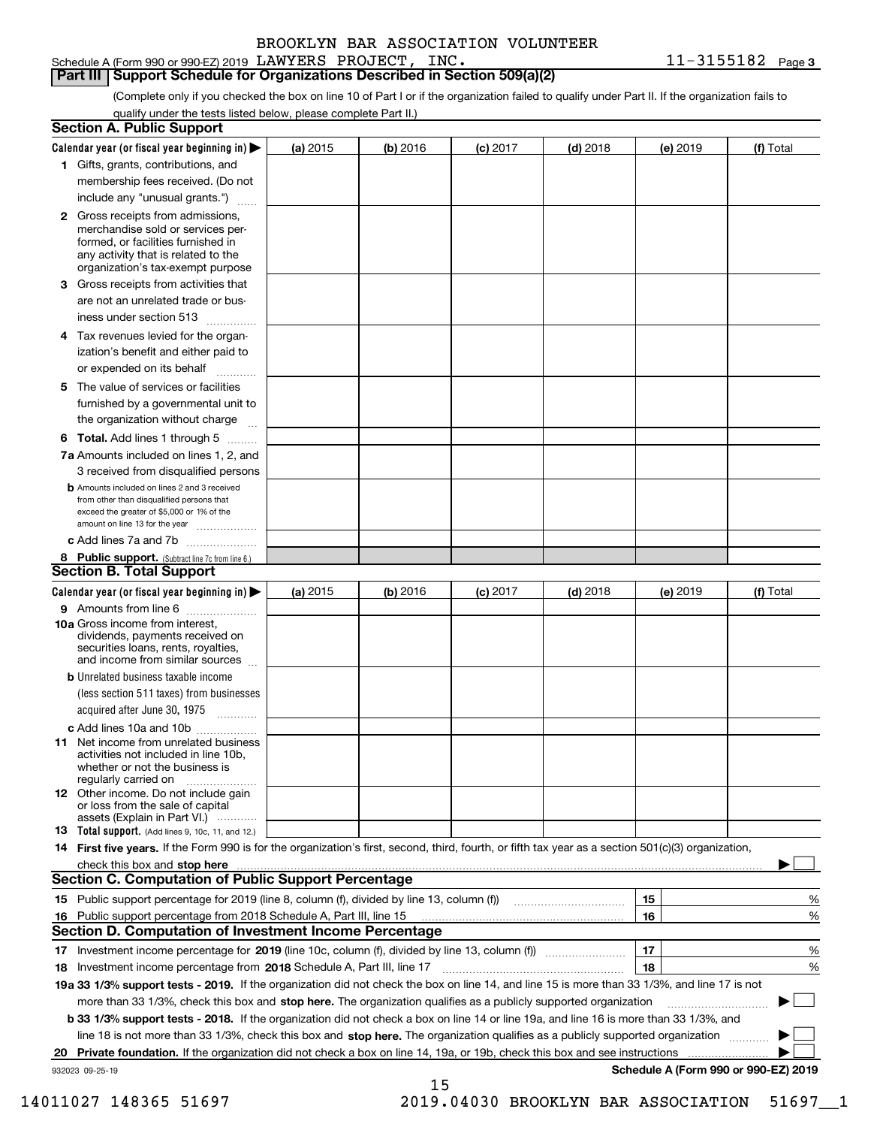Schedule A (Form 990 or 990-EZ) 2019 Page LAWYERS PROJECT, INC. 11-3155182

**Part III Support Schedule for Organizations Described in Section 509(a)(2)** 

(Complete only if you checked the box on line 10 of Part I or if the organization failed to qualify under Part II. If the organization fails to qualify under the tests listed below, please complete Part II.)

| <b>Section A. Public Support</b>                                                                                                                                                         |            |          |            |            |          |                                      |
|------------------------------------------------------------------------------------------------------------------------------------------------------------------------------------------|------------|----------|------------|------------|----------|--------------------------------------|
| Calendar year (or fiscal year beginning in) $\blacktriangleright$                                                                                                                        | (a) 2015   | (b) 2016 | $(c)$ 2017 | $(d)$ 2018 | (e) 2019 | (f) Total                            |
| 1 Gifts, grants, contributions, and                                                                                                                                                      |            |          |            |            |          |                                      |
| membership fees received. (Do not                                                                                                                                                        |            |          |            |            |          |                                      |
| include any "unusual grants.")                                                                                                                                                           |            |          |            |            |          |                                      |
| 2 Gross receipts from admissions,<br>merchandise sold or services per-<br>formed, or facilities furnished in<br>any activity that is related to the<br>organization's tax-exempt purpose |            |          |            |            |          |                                      |
| 3 Gross receipts from activities that                                                                                                                                                    |            |          |            |            |          |                                      |
| are not an unrelated trade or bus-                                                                                                                                                       |            |          |            |            |          |                                      |
| iness under section 513                                                                                                                                                                  |            |          |            |            |          |                                      |
| 4 Tax revenues levied for the organ-                                                                                                                                                     |            |          |            |            |          |                                      |
| ization's benefit and either paid to                                                                                                                                                     |            |          |            |            |          |                                      |
| or expended on its behalf<br>المتمددات                                                                                                                                                   |            |          |            |            |          |                                      |
| 5 The value of services or facilities<br>furnished by a governmental unit to                                                                                                             |            |          |            |            |          |                                      |
| the organization without charge                                                                                                                                                          |            |          |            |            |          |                                      |
| <b>6 Total.</b> Add lines 1 through 5                                                                                                                                                    |            |          |            |            |          |                                      |
| 7a Amounts included on lines 1, 2, and<br>3 received from disqualified persons                                                                                                           |            |          |            |            |          |                                      |
| <b>b</b> Amounts included on lines 2 and 3 received<br>from other than disqualified persons that<br>exceed the greater of \$5,000 or 1% of the<br>amount on line 13 for the year         |            |          |            |            |          |                                      |
| c Add lines 7a and 7b                                                                                                                                                                    |            |          |            |            |          |                                      |
| 8 Public support. (Subtract line 7c from line 6.)<br>Section B. Total Support                                                                                                            |            |          |            |            |          |                                      |
| Calendar year (or fiscal year beginning in) >                                                                                                                                            | (a) $2015$ | (b) 2016 | $(c)$ 2017 | $(d)$ 2018 | (e) 2019 | (f) Total                            |
| 9 Amounts from line 6                                                                                                                                                                    |            |          |            |            |          |                                      |
| <b>10a</b> Gross income from interest,<br>dividends, payments received on<br>securities loans, rents, royalties,<br>and income from similar sources                                      |            |          |            |            |          |                                      |
| <b>b</b> Unrelated business taxable income                                                                                                                                               |            |          |            |            |          |                                      |
| (less section 511 taxes) from businesses<br>acquired after June 30, 1975                                                                                                                 |            |          |            |            |          |                                      |
| c Add lines 10a and 10b                                                                                                                                                                  |            |          |            |            |          |                                      |
| <b>11</b> Net income from unrelated business<br>activities not included in line 10b.<br>whether or not the business is<br>regularly carried on                                           |            |          |            |            |          |                                      |
| 12 Other income. Do not include gain<br>or loss from the sale of capital<br>assets (Explain in Part VI.)                                                                                 |            |          |            |            |          |                                      |
| <b>13</b> Total support. (Add lines 9, 10c, 11, and 12.)                                                                                                                                 |            |          |            |            |          |                                      |
| 14 First five years. If the Form 990 is for the organization's first, second, third, fourth, or fifth tax year as a section 501(c)(3) organization,                                      |            |          |            |            |          |                                      |
| check this box and stop here with an intermediate control to the control of the control of the control of the c                                                                          |            |          |            |            |          |                                      |
| <b>Section C. Computation of Public Support Percentage</b>                                                                                                                               |            |          |            |            |          |                                      |
| 15 Public support percentage for 2019 (line 8, column (f), divided by line 13, column (f))                                                                                               |            |          |            |            | 15       | %                                    |
| 16 Public support percentage from 2018 Schedule A, Part III, line 15                                                                                                                     |            |          |            |            | 16       | %                                    |
| <b>Section D. Computation of Investment Income Percentage</b>                                                                                                                            |            |          |            |            |          |                                      |
| 17 Investment income percentage for 2019 (line 10c, column (f), divided by line 13, column (f))                                                                                          |            |          |            |            | 17       | %                                    |
| 18 Investment income percentage from 2018 Schedule A, Part III, line 17                                                                                                                  |            |          |            |            | 18       | %                                    |
| 19a 33 1/3% support tests - 2019. If the organization did not check the box on line 14, and line 15 is more than 33 1/3%, and line 17 is not                                             |            |          |            |            |          |                                      |
| more than 33 1/3%, check this box and stop here. The organization qualifies as a publicly supported organization                                                                         |            |          |            |            |          | ▶                                    |
| b 33 1/3% support tests - 2018. If the organization did not check a box on line 14 or line 19a, and line 16 is more than 33 1/3%, and                                                    |            |          |            |            |          |                                      |
| line 18 is not more than 33 1/3%, check this box and stop here. The organization qualifies as a publicly supported organization                                                          |            |          |            |            |          |                                      |
| 20 Private foundation. If the organization did not check a box on line 14, 19a, or 19b, check this box and see instructions                                                              |            |          |            |            |          | .                                    |
| 932023 09-25-19                                                                                                                                                                          |            |          |            |            |          | Schedule A (Form 990 or 990-EZ) 2019 |
|                                                                                                                                                                                          |            | 15       |            |            |          |                                      |

14011027 148365 51697 2019.04030 BROOKLYN BAR ASSOCIATION 51697\_\_1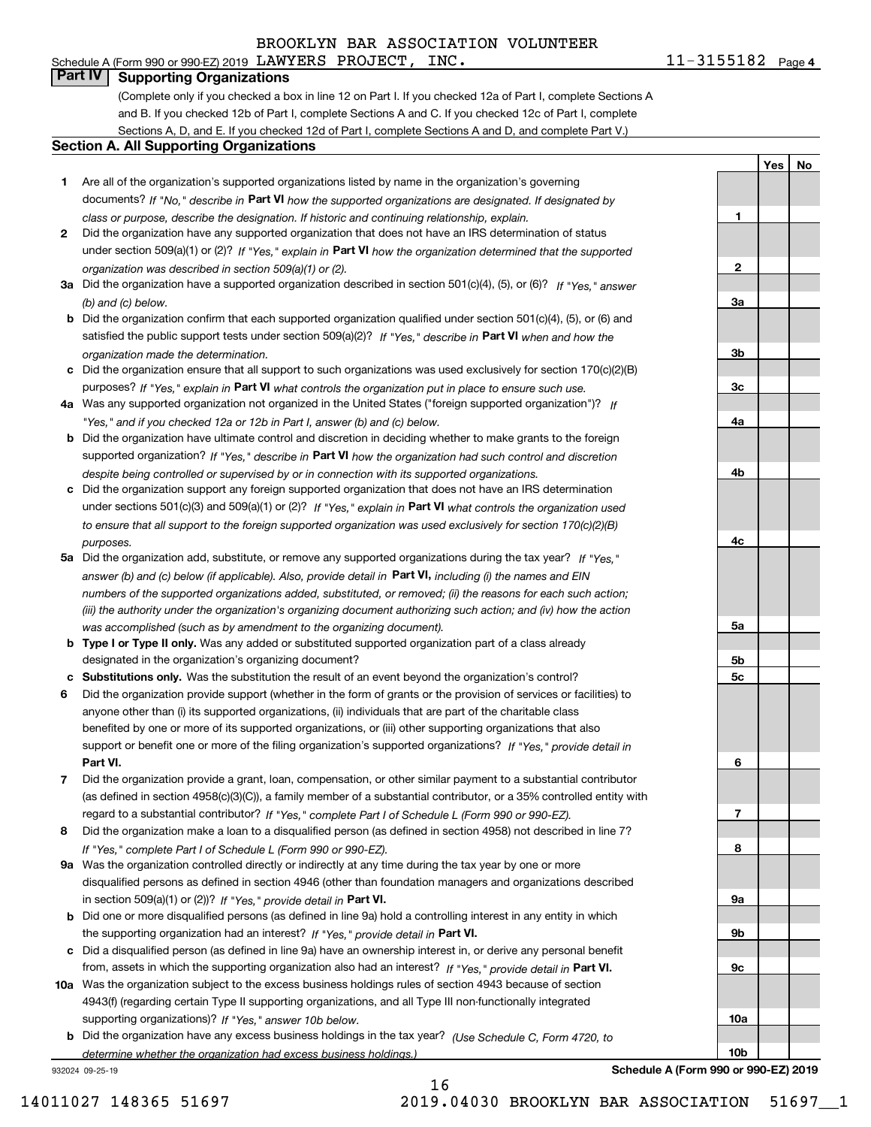# **Part IV Supporting Organizations**

(Complete only if you checked a box in line 12 on Part I. If you checked 12a of Part I, complete Sections A and B. If you checked 12b of Part I, complete Sections A and C. If you checked 12c of Part I, complete Sections A, D, and E. If you checked 12d of Part I, complete Sections A and D, and complete Part V.)

#### **Section A. All Supporting Organizations**

- **1** Are all of the organization's supported organizations listed by name in the organization's governing documents? If "No," describe in **Part VI** how the supported organizations are designated. If designated by *class or purpose, describe the designation. If historic and continuing relationship, explain.*
- **2** Did the organization have any supported organization that does not have an IRS determination of status under section 509(a)(1) or (2)? If "Yes," explain in Part VI how the organization determined that the supported *organization was described in section 509(a)(1) or (2).*
- **3a** Did the organization have a supported organization described in section 501(c)(4), (5), or (6)? If "Yes," answer *(b) and (c) below.*
- **b** Did the organization confirm that each supported organization qualified under section 501(c)(4), (5), or (6) and satisfied the public support tests under section 509(a)(2)? If "Yes," describe in **Part VI** when and how the *organization made the determination.*
- **c**Did the organization ensure that all support to such organizations was used exclusively for section 170(c)(2)(B) purposes? If "Yes," explain in **Part VI** what controls the organization put in place to ensure such use.
- **4a***If* Was any supported organization not organized in the United States ("foreign supported organization")? *"Yes," and if you checked 12a or 12b in Part I, answer (b) and (c) below.*
- **b** Did the organization have ultimate control and discretion in deciding whether to make grants to the foreign supported organization? If "Yes," describe in **Part VI** how the organization had such control and discretion *despite being controlled or supervised by or in connection with its supported organizations.*
- **c** Did the organization support any foreign supported organization that does not have an IRS determination under sections 501(c)(3) and 509(a)(1) or (2)? If "Yes," explain in **Part VI** what controls the organization used *to ensure that all support to the foreign supported organization was used exclusively for section 170(c)(2)(B) purposes.*
- **5a** Did the organization add, substitute, or remove any supported organizations during the tax year? If "Yes," answer (b) and (c) below (if applicable). Also, provide detail in **Part VI,** including (i) the names and EIN *numbers of the supported organizations added, substituted, or removed; (ii) the reasons for each such action; (iii) the authority under the organization's organizing document authorizing such action; and (iv) how the action was accomplished (such as by amendment to the organizing document).*
- **b** Type I or Type II only. Was any added or substituted supported organization part of a class already designated in the organization's organizing document?
- **cSubstitutions only.**  Was the substitution the result of an event beyond the organization's control?
- **6** Did the organization provide support (whether in the form of grants or the provision of services or facilities) to **Part VI.** *If "Yes," provide detail in* support or benefit one or more of the filing organization's supported organizations? anyone other than (i) its supported organizations, (ii) individuals that are part of the charitable class benefited by one or more of its supported organizations, or (iii) other supporting organizations that also
- **7**Did the organization provide a grant, loan, compensation, or other similar payment to a substantial contributor *If "Yes," complete Part I of Schedule L (Form 990 or 990-EZ).* regard to a substantial contributor? (as defined in section 4958(c)(3)(C)), a family member of a substantial contributor, or a 35% controlled entity with
- **8** Did the organization make a loan to a disqualified person (as defined in section 4958) not described in line 7? *If "Yes," complete Part I of Schedule L (Form 990 or 990-EZ).*
- **9a** Was the organization controlled directly or indirectly at any time during the tax year by one or more in section 509(a)(1) or (2))? If "Yes," *provide detail in* <code>Part VI.</code> disqualified persons as defined in section 4946 (other than foundation managers and organizations described
- **b** Did one or more disqualified persons (as defined in line 9a) hold a controlling interest in any entity in which the supporting organization had an interest? If "Yes," provide detail in P**art VI**.
- **c**Did a disqualified person (as defined in line 9a) have an ownership interest in, or derive any personal benefit from, assets in which the supporting organization also had an interest? If "Yes," provide detail in P**art VI.**
- **10a** Was the organization subject to the excess business holdings rules of section 4943 because of section supporting organizations)? If "Yes," answer 10b below. 4943(f) (regarding certain Type II supporting organizations, and all Type III non-functionally integrated
- **b** Did the organization have any excess business holdings in the tax year? (Use Schedule C, Form 4720, to *determine whether the organization had excess business holdings.)*

16

932024 09-25-19



**10b**

#### **Schedule A (Form 990 or 990-EZ) 2019**

14011027 148365 51697 2019.04030 BROOKLYN BAR ASSOCIATION 51697\_\_1

**1**

**YesNo**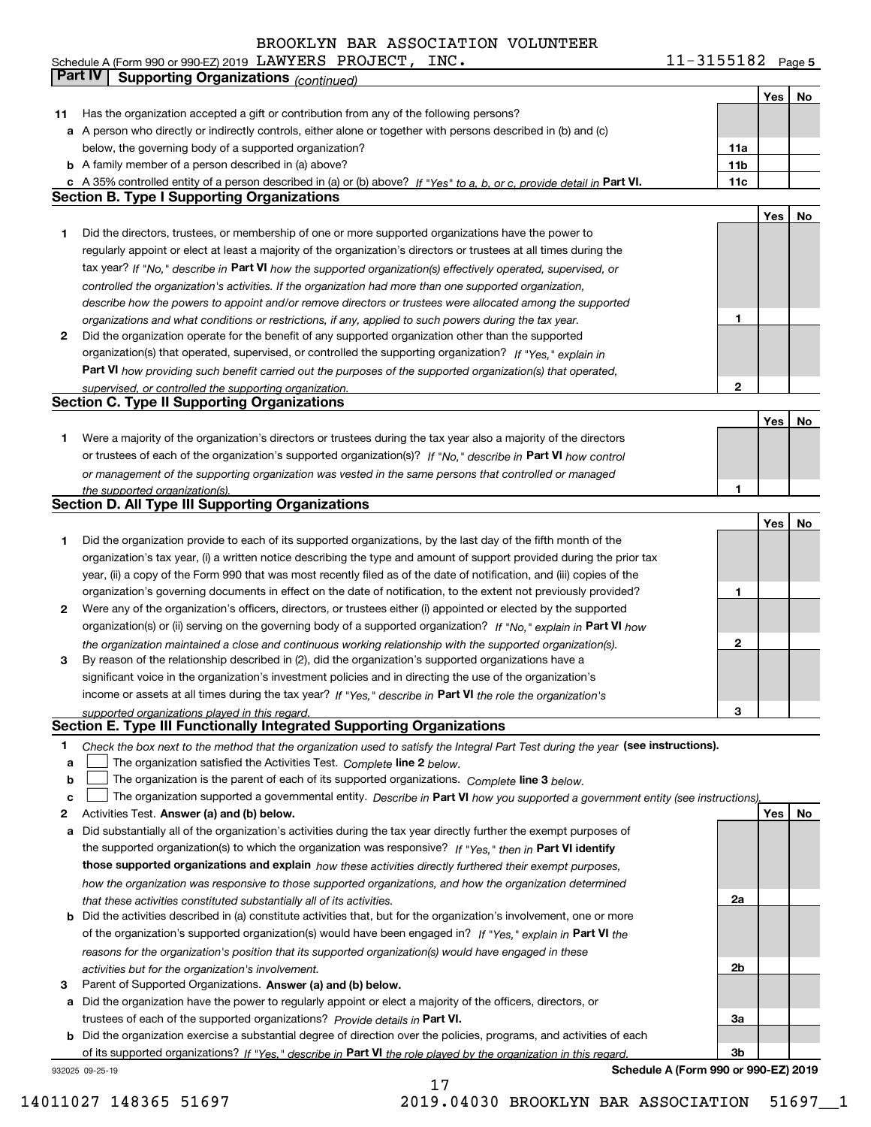11-3155182 Page 5 **Yes No 11** Has the organization accepted a gift or contribution from any of the following persons? **a** A person who directly or indirectly controls, either alone or together with persons described in (b) and (c) **b** A family member of a person described in (a) above? **c11a11bPart VI. 11c Yes No 1** Did the **2** Did the **Part VI 12Part V Yes No 1**or trustees of each of the organization's supported organization(s)? If "No," describe in **Part VI** how control **1Yes No 11***If "Yes" to a, b, or c, provide detail in If "No," describe in how the supported organization(s) effectively operated, supervised, or controlled the organization's activities. If the organization had more than one supported organization, describe how the powers to appoint and/or remove directors or trustees were allocated among the supported organizations and what conditions or restrictions, if any, applied to such powers during the tax year. If "Yes," explain in how providing such benefit carried out the purposes of the supported organization(s) that operated, supervised, or controlled the supporting organization. or management of the supporting organization was vested in the same persons that controlled or managed the supported organization(s).* Schedule A (Form 990 or 990-EZ) 2019 Page LAWYERS PROJECT, INC. 11-3155182 below, the governing body of a supported organization?  $\frac{1}{2}$  35% controlled entity of a person described in (a) or (b) above? If  $\frac{1}{2}$ Did the directors, trustees, or membership of one or more supported organizations have the power to regularly appoint or elect at least a majority of the organization's directors or trustees at all times during the tax yea Did the organization operate for the benefit of any supported organization other than the supported organization(s) that operated, supervised, or controlled the supporting organization? Were a majority of the organization's directors or trustees during the tax year also a majority of the directors Did the organization provide to each of its supported organizations, by the last day of the fifth month of the organization's tax year, (i) a written notice describing the type and amount of support provided during the prior tax year, (ii) a copy of the Form 990 that was most recently filed as of the date of notification, and (iii) copies of the organization's governing documents in effect on the date of notification, to the extent not previously provided? **Part IV Supporting Organizations** *(continued)* **Section B Section C Section D. All Type III Supporting Organizations**

- **2** Were any of the organization's officers, directors, or trustees either (i) appointed or elected by the supported **3**organization(s) or (ii) serving on the governing body of a supported organization? If "No," explain in **Part VI** how *the organization maintained a close and continuous working relationship with the supported organization(s).* By reason of the relationship described in (2), did the organization's supported organizations have a
- income or assets at all times during the tax year? If "Yes," describe in **Part VI** the role the organization's *supported organizations played in this regard.* significant voice in the organization's investment policies and in directing the use of the organization's

### **Section E. Type III Functionally Integrated Supporting Organizations**

- **1**Check the box next to the method that the organization used to satisfy the Integral Part Test during the year (see instructions).
- **alinupy** The organization satisfied the Activities Test. Complete line 2 below.
- **b**The organization is the parent of each of its supported organizations. *Complete* line 3 *below.*  $\mathcal{L}^{\text{max}}$

|  |  | The organization supported a governmental entity. Describe in Part VI how you supported a government entity (see instructions). |  |
|--|--|---------------------------------------------------------------------------------------------------------------------------------|--|
|--|--|---------------------------------------------------------------------------------------------------------------------------------|--|

17

- **2Answer (a) and (b) below. Yes No** Activities Test.
- **a** Did substantially all of the organization's activities during the tax year directly further the exempt purposes of the supported organization(s) to which the organization was responsive? If "Yes," then in **Part VI identify those supported organizations and explain**  *how these activities directly furthered their exempt purposes, how the organization was responsive to those supported organizations, and how the organization determined that these activities constituted substantially all of its activities.*
- **b** Did the activities described in (a) constitute activities that, but for the organization's involvement, one or more of the organization's supported organization(s) would have been engaged in? If "Yes," explain in **Part VI** the *reasons for the organization's position that its supported organization(s) would have engaged in these activities but for the organization's involvement.*
- **3** Parent of Supported Organizations. Answer (a) and (b) below.

**a** Did the organization have the power to regularly appoint or elect a majority of the officers, directors, or trustees of each of the supported organizations? *Provide details in* Part VI.

**b** Did the organization exercise a substantial degree of direction over the policies, programs, and activities of each of its supported organizations? If "Yes," describe in Part VI the role played by the organization in this regard.

932025 09-25-19

**Schedule A (Form 990 or 990-EZ) 2019**

**2**

**3**

**2a**

**2b**

**3a**

**3b**

| Controlled emity of a person described in (a) or (b) above: If "Yes" to a, b, or c, provide detail in Fart VI. | . |     |    |
|----------------------------------------------------------------------------------------------------------------|---|-----|----|
| . Type I Supporting Organizations                                                                              |   |     |    |
|                                                                                                                |   | Yes | No |
| e directors, trustees, or membership of one or more supported organizations have the power to                  |   |     |    |
| rly appoint or elect at least a majority of the organization's directors or trustees at all times during the   |   |     |    |
| ar? If "No," describe in Part VI how the supported organization(s) effectively operated, supervised, or        |   |     |    |
| lled the organization's activities. If the organization had more than one supported organization,              |   |     |    |
| be how the powers to appoint and/or remove directors or trustees were allocated among the supported            |   |     |    |
| zations and what conditions or restrictions, if any, applied to such powers during the tax year.               |   |     |    |
| e organization operate for the benefit of any supported organization other than the supported                  |   |     |    |
| zation(s) that operated, supervised, or controlled the supporting organization? If "Yes," explain in           |   |     |    |
| I how providing such benefit carried out the purposes of the supported organization(s) that operated,          |   |     |    |
| ised, or controlled the supporting organization.                                                               | 2 |     |    |
| . Type II Supporting Organizations                                                                             |   |     |    |
|                                                                                                                |   |     |    |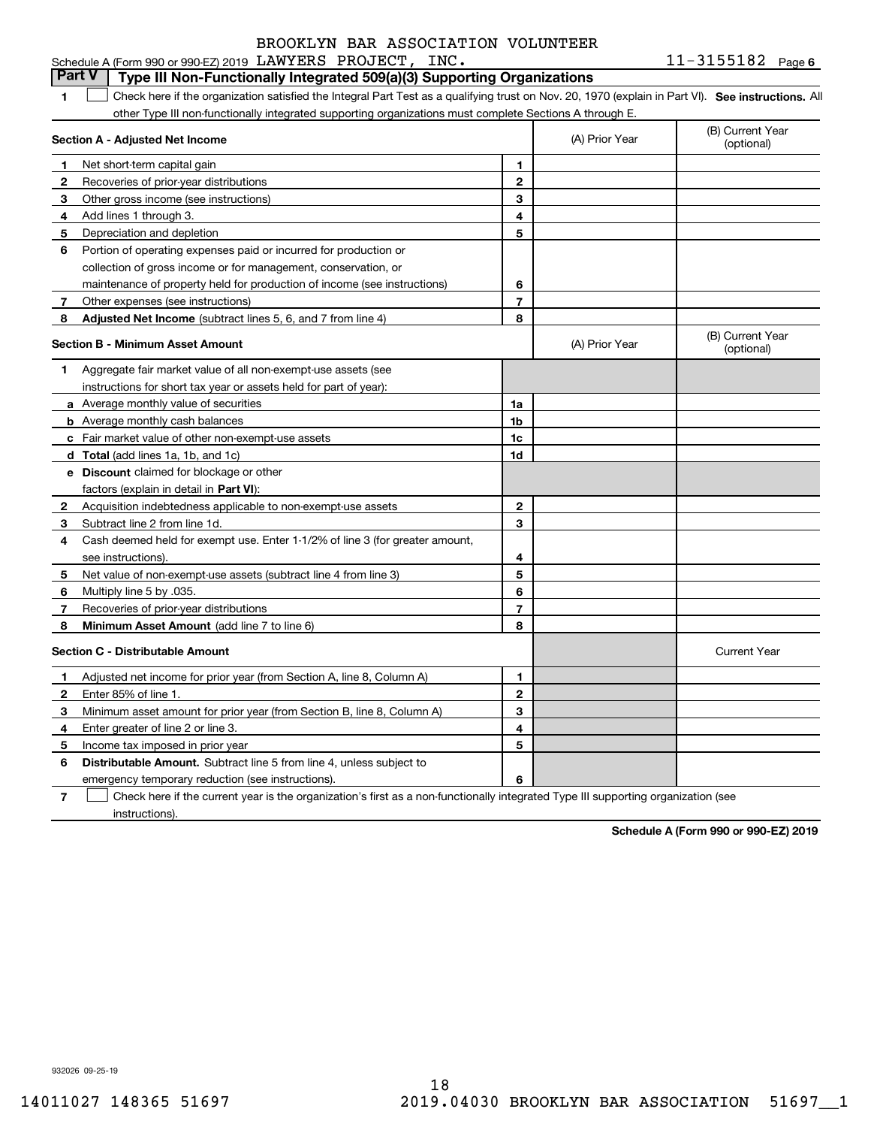11-3155182 Page 6

#### **1SEP 10. See instructions.** All antegral Part Test as a qualifying trust on Nov. 20, 1970 (explain in Part VI). See instructions. All **Section A - Adjusted Net Income 12** Recoveries of prior-year distributions **3** Other gross income (see instructions) **4**Add lines 1 through 3. **56** Portion of operating expenses paid or incurred for production or **7** Other expenses (see instructions) **8** Adjusted Net Income (subtract lines 5, 6, and 7 from line 4) **8 8 1234567Section B - Minimum Asset Amount 1**Aggregate fair market value of all non-exempt-use assets (see **2**Acquisition indebtedness applicable to non-exempt-use assets **3** Subtract line 2 from line 1d. **4**Cash deemed held for exempt use. Enter 1-1/2% of line 3 (for greater amount, **5** Net value of non-exempt-use assets (subtract line 4 from line 3) **678a** Average monthly value of securities **b** Average monthly cash balances **c**Fair market value of other non-exempt-use assets **dTotal**  (add lines 1a, 1b, and 1c) **eDiscount** claimed for blockage or other **1a1b1c1d2345678**factors (explain in detail in **Part VI**): **Minimum Asset Amount**  (add line 7 to line 6) **Section C - Distributable Amount 123456123456Distributable Amount.** Subtract line 5 from line 4, unless subject to Schedule A (Form 990 or 990-EZ) 2019 Page LAWYERS PROJECT, INC. 11-3155182 other Type III non-functionally integrated supporting organizations must complete Sections A through E. (B) Current Year (optional)(A) Prior Year Net short-term capital gain Depreciation and depletion collection of gross income or for management, conservation, or maintenance of property held for production of income (see instructions) (B) Current Year (optional)(A) Prior Year instructions for short tax year or assets held for part of year): see instructions). Multiply line 5 by .035. Recoveries of prior-year distributions Current Year Adjusted net income for prior year (from Section A, line 8, Column A) Enter 85% of line 1. Minimum asset amount for prior year (from Section B, line 8, Column A) Enter greater of line 2 or line 3. Income tax imposed in prior year emergency temporary reduction (see instructions). **Part V Type III Non-Functionally Integrated 509(a)(3) Supporting Organizations**   $\mathcal{L}^{\text{max}}$

**7**Check here if the current year is the organization's first as a non-functionally integrated Type III supporting organization (see instructions). $\mathcal{L}^{\text{max}}$ 

**Schedule A (Form 990 or 990-EZ) 2019**

932026 09-25-19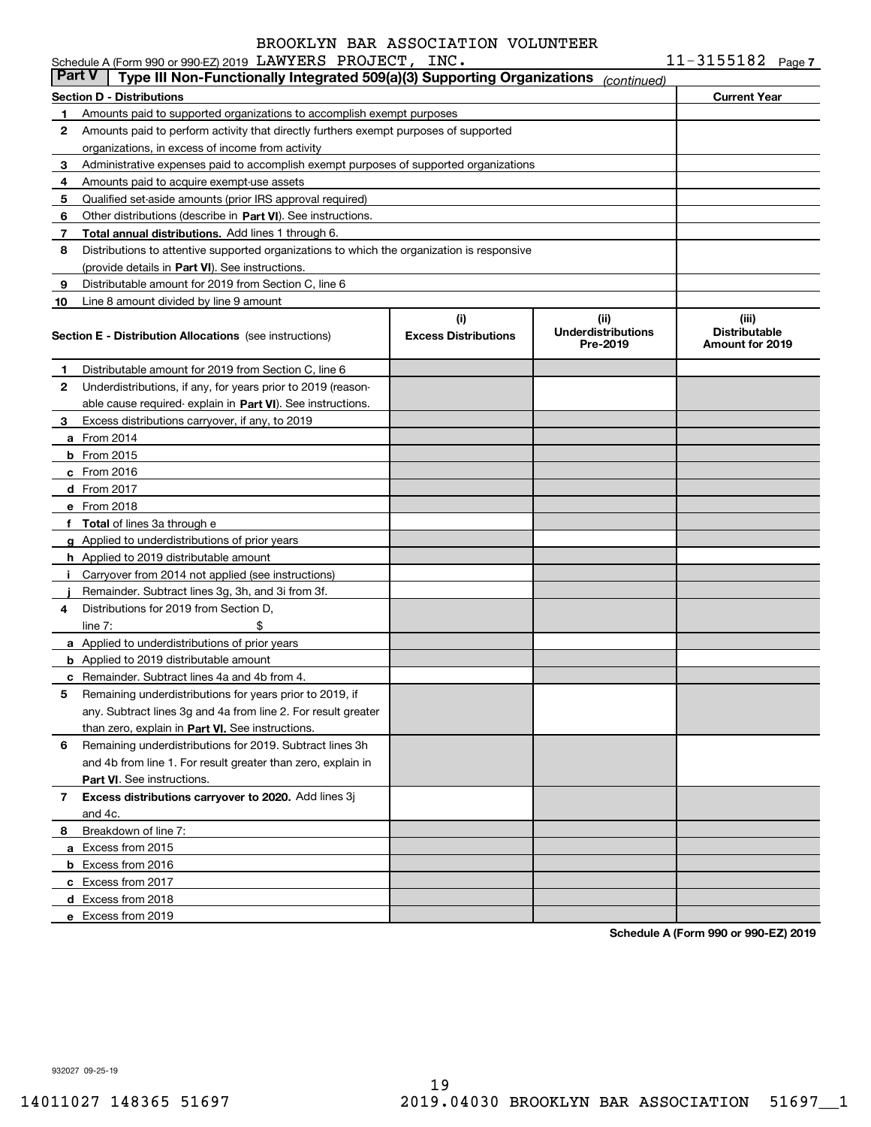|               | Schedule A (Form 990 or 990-EZ) 2019 LAWYERS PROJECT, INC.                                 |                                    |                                               | $11 - 3155182$ Page 7                                   |  |
|---------------|--------------------------------------------------------------------------------------------|------------------------------------|-----------------------------------------------|---------------------------------------------------------|--|
| <b>Part V</b> | Type III Non-Functionally Integrated 509(a)(3) Supporting Organizations                    |                                    | (continued)                                   |                                                         |  |
|               | Section D - Distributions                                                                  |                                    |                                               | <b>Current Year</b>                                     |  |
| 1.            | Amounts paid to supported organizations to accomplish exempt purposes                      |                                    |                                               |                                                         |  |
| 2             | Amounts paid to perform activity that directly furthers exempt purposes of supported       |                                    |                                               |                                                         |  |
|               | organizations, in excess of income from activity                                           |                                    |                                               |                                                         |  |
| 3             | Administrative expenses paid to accomplish exempt purposes of supported organizations      |                                    |                                               |                                                         |  |
| 4             | Amounts paid to acquire exempt-use assets                                                  |                                    |                                               |                                                         |  |
| 5             | Qualified set-aside amounts (prior IRS approval required)                                  |                                    |                                               |                                                         |  |
| 6             | Other distributions (describe in Part VI). See instructions.                               |                                    |                                               |                                                         |  |
| 7             | Total annual distributions. Add lines 1 through 6.                                         |                                    |                                               |                                                         |  |
| 8             | Distributions to attentive supported organizations to which the organization is responsive |                                    |                                               |                                                         |  |
|               | (provide details in Part VI). See instructions.                                            |                                    |                                               |                                                         |  |
| 9             | Distributable amount for 2019 from Section C, line 6                                       |                                    |                                               |                                                         |  |
| 10            | Line 8 amount divided by line 9 amount                                                     |                                    |                                               |                                                         |  |
|               | <b>Section E - Distribution Allocations</b> (see instructions)                             | (i)<br><b>Excess Distributions</b> | (ii)<br><b>Underdistributions</b><br>Pre-2019 | (iii)<br><b>Distributable</b><br><b>Amount for 2019</b> |  |
| 1             | Distributable amount for 2019 from Section C, line 6                                       |                                    |                                               |                                                         |  |
| 2             | Underdistributions, if any, for years prior to 2019 (reason-                               |                                    |                                               |                                                         |  |
|               | able cause required-explain in Part VI). See instructions.                                 |                                    |                                               |                                                         |  |
| 3             | Excess distributions carryover, if any, to 2019                                            |                                    |                                               |                                                         |  |
|               | <b>a</b> From 2014                                                                         |                                    |                                               |                                                         |  |
|               | $b$ From 2015                                                                              |                                    |                                               |                                                         |  |
|               | c From 2016                                                                                |                                    |                                               |                                                         |  |
|               | d From 2017                                                                                |                                    |                                               |                                                         |  |
|               | e From 2018                                                                                |                                    |                                               |                                                         |  |
|               | f Total of lines 3a through e                                                              |                                    |                                               |                                                         |  |
|               | g Applied to underdistributions of prior years                                             |                                    |                                               |                                                         |  |
|               | <b>h</b> Applied to 2019 distributable amount                                              |                                    |                                               |                                                         |  |
| Ť.            | Carryover from 2014 not applied (see instructions)                                         |                                    |                                               |                                                         |  |
|               | Remainder. Subtract lines 3g, 3h, and 3i from 3f.                                          |                                    |                                               |                                                         |  |
| 4             | Distributions for 2019 from Section D.                                                     |                                    |                                               |                                                         |  |
|               | \$<br>line $7:$                                                                            |                                    |                                               |                                                         |  |
|               | a Applied to underdistributions of prior years                                             |                                    |                                               |                                                         |  |
|               | <b>b</b> Applied to 2019 distributable amount                                              |                                    |                                               |                                                         |  |
|               | <b>c</b> Remainder. Subtract lines 4a and 4b from 4.                                       |                                    |                                               |                                                         |  |
|               | Remaining underdistributions for years prior to 2019, if                                   |                                    |                                               |                                                         |  |
|               | any. Subtract lines 3q and 4a from line 2. For result greater                              |                                    |                                               |                                                         |  |
|               | than zero, explain in Part VI. See instructions.                                           |                                    |                                               |                                                         |  |
| 6             | Remaining underdistributions for 2019. Subtract lines 3h                                   |                                    |                                               |                                                         |  |
|               | and 4b from line 1. For result greater than zero, explain in                               |                                    |                                               |                                                         |  |
|               | Part VI. See instructions.                                                                 |                                    |                                               |                                                         |  |
| 7             | Excess distributions carryover to 2020. Add lines 3j                                       |                                    |                                               |                                                         |  |
|               | and 4c.                                                                                    |                                    |                                               |                                                         |  |
| 8             | Breakdown of line 7:                                                                       |                                    |                                               |                                                         |  |
|               | a Excess from 2015                                                                         |                                    |                                               |                                                         |  |
|               | <b>b</b> Excess from 2016                                                                  |                                    |                                               |                                                         |  |
|               | c Excess from 2017                                                                         |                                    |                                               |                                                         |  |
|               | d Excess from 2018                                                                         |                                    |                                               |                                                         |  |
|               | e Excess from 2019                                                                         |                                    |                                               |                                                         |  |
|               |                                                                                            |                                    |                                               |                                                         |  |

**Schedule A (Form 990 or 990-EZ) 2019**

932027 09-25-19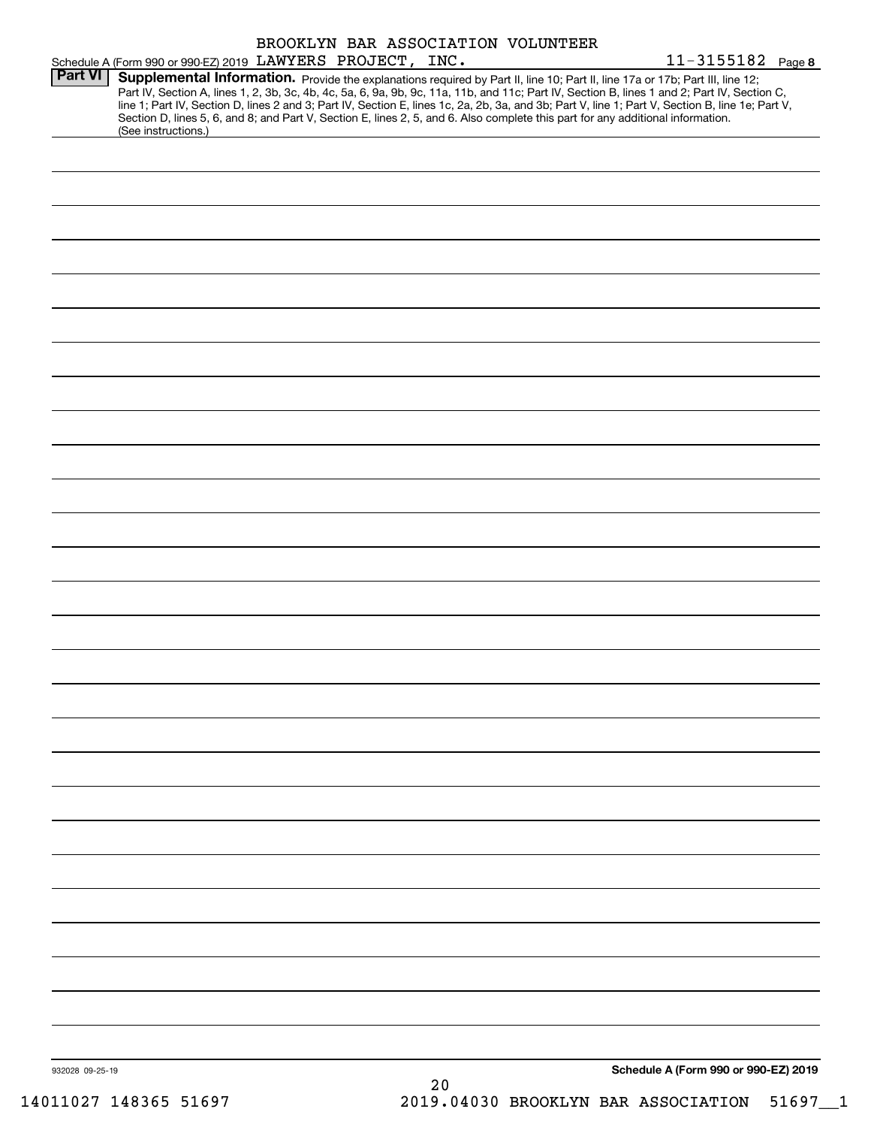|                 |                                                                                                                                                                                                                                                                                                                                                                                                                                                                                                                                                                      | BROOKLYN BAR ASSOCIATION VOLUNTEER |                                      |
|-----------------|----------------------------------------------------------------------------------------------------------------------------------------------------------------------------------------------------------------------------------------------------------------------------------------------------------------------------------------------------------------------------------------------------------------------------------------------------------------------------------------------------------------------------------------------------------------------|------------------------------------|--------------------------------------|
| <b>Part VI</b>  | Schedule A (Form 990 or 990-EZ) 2019 LAWYERS PROJECT, INC.                                                                                                                                                                                                                                                                                                                                                                                                                                                                                                           |                                    | $11 - 3155182$ Page 8                |
|                 | Supplemental Information. Provide the explanations required by Part II, line 10; Part II, line 17a or 17b; Part III, line 12;<br>Part IV, Section A, lines 1, 2, 3b, 3c, 4b, 4c, 5a, 6, 9a, 9b, 9c, 11a, 11b, and 11c; Part IV, Section B, lines 1 and 2; Part IV, Section C,<br>line 1; Part IV, Section D, lines 2 and 3; Part IV, Section E, lines 1c, 2a, 2b, 3a, and 3b; Part V, line 1; Part V, Section B, line 1e; Part V,<br>Section D, lines 5, 6, and 8; and Part V, Section E, lines 2, 5, and 6. Also complete this part for any additional information. |                                    |                                      |
|                 | (See instructions.)                                                                                                                                                                                                                                                                                                                                                                                                                                                                                                                                                  |                                    |                                      |
|                 |                                                                                                                                                                                                                                                                                                                                                                                                                                                                                                                                                                      |                                    |                                      |
|                 |                                                                                                                                                                                                                                                                                                                                                                                                                                                                                                                                                                      |                                    |                                      |
|                 |                                                                                                                                                                                                                                                                                                                                                                                                                                                                                                                                                                      |                                    |                                      |
|                 |                                                                                                                                                                                                                                                                                                                                                                                                                                                                                                                                                                      |                                    |                                      |
|                 |                                                                                                                                                                                                                                                                                                                                                                                                                                                                                                                                                                      |                                    |                                      |
|                 |                                                                                                                                                                                                                                                                                                                                                                                                                                                                                                                                                                      |                                    |                                      |
|                 |                                                                                                                                                                                                                                                                                                                                                                                                                                                                                                                                                                      |                                    |                                      |
|                 |                                                                                                                                                                                                                                                                                                                                                                                                                                                                                                                                                                      |                                    |                                      |
|                 |                                                                                                                                                                                                                                                                                                                                                                                                                                                                                                                                                                      |                                    |                                      |
|                 |                                                                                                                                                                                                                                                                                                                                                                                                                                                                                                                                                                      |                                    |                                      |
|                 |                                                                                                                                                                                                                                                                                                                                                                                                                                                                                                                                                                      |                                    |                                      |
|                 |                                                                                                                                                                                                                                                                                                                                                                                                                                                                                                                                                                      |                                    |                                      |
|                 |                                                                                                                                                                                                                                                                                                                                                                                                                                                                                                                                                                      |                                    |                                      |
|                 |                                                                                                                                                                                                                                                                                                                                                                                                                                                                                                                                                                      |                                    |                                      |
|                 |                                                                                                                                                                                                                                                                                                                                                                                                                                                                                                                                                                      |                                    |                                      |
|                 |                                                                                                                                                                                                                                                                                                                                                                                                                                                                                                                                                                      |                                    |                                      |
|                 |                                                                                                                                                                                                                                                                                                                                                                                                                                                                                                                                                                      |                                    |                                      |
|                 |                                                                                                                                                                                                                                                                                                                                                                                                                                                                                                                                                                      |                                    |                                      |
|                 |                                                                                                                                                                                                                                                                                                                                                                                                                                                                                                                                                                      |                                    |                                      |
|                 |                                                                                                                                                                                                                                                                                                                                                                                                                                                                                                                                                                      |                                    |                                      |
|                 |                                                                                                                                                                                                                                                                                                                                                                                                                                                                                                                                                                      |                                    |                                      |
|                 |                                                                                                                                                                                                                                                                                                                                                                                                                                                                                                                                                                      |                                    |                                      |
|                 |                                                                                                                                                                                                                                                                                                                                                                                                                                                                                                                                                                      |                                    |                                      |
|                 |                                                                                                                                                                                                                                                                                                                                                                                                                                                                                                                                                                      |                                    |                                      |
|                 |                                                                                                                                                                                                                                                                                                                                                                                                                                                                                                                                                                      |                                    |                                      |
|                 |                                                                                                                                                                                                                                                                                                                                                                                                                                                                                                                                                                      |                                    |                                      |
|                 |                                                                                                                                                                                                                                                                                                                                                                                                                                                                                                                                                                      |                                    |                                      |
|                 |                                                                                                                                                                                                                                                                                                                                                                                                                                                                                                                                                                      |                                    |                                      |
|                 |                                                                                                                                                                                                                                                                                                                                                                                                                                                                                                                                                                      |                                    |                                      |
|                 |                                                                                                                                                                                                                                                                                                                                                                                                                                                                                                                                                                      |                                    |                                      |
|                 |                                                                                                                                                                                                                                                                                                                                                                                                                                                                                                                                                                      |                                    |                                      |
|                 |                                                                                                                                                                                                                                                                                                                                                                                                                                                                                                                                                                      |                                    |                                      |
| 932028 09-25-19 |                                                                                                                                                                                                                                                                                                                                                                                                                                                                                                                                                                      |                                    | Schedule A (Form 990 or 990-EZ) 2019 |
|                 |                                                                                                                                                                                                                                                                                                                                                                                                                                                                                                                                                                      | 20                                 |                                      |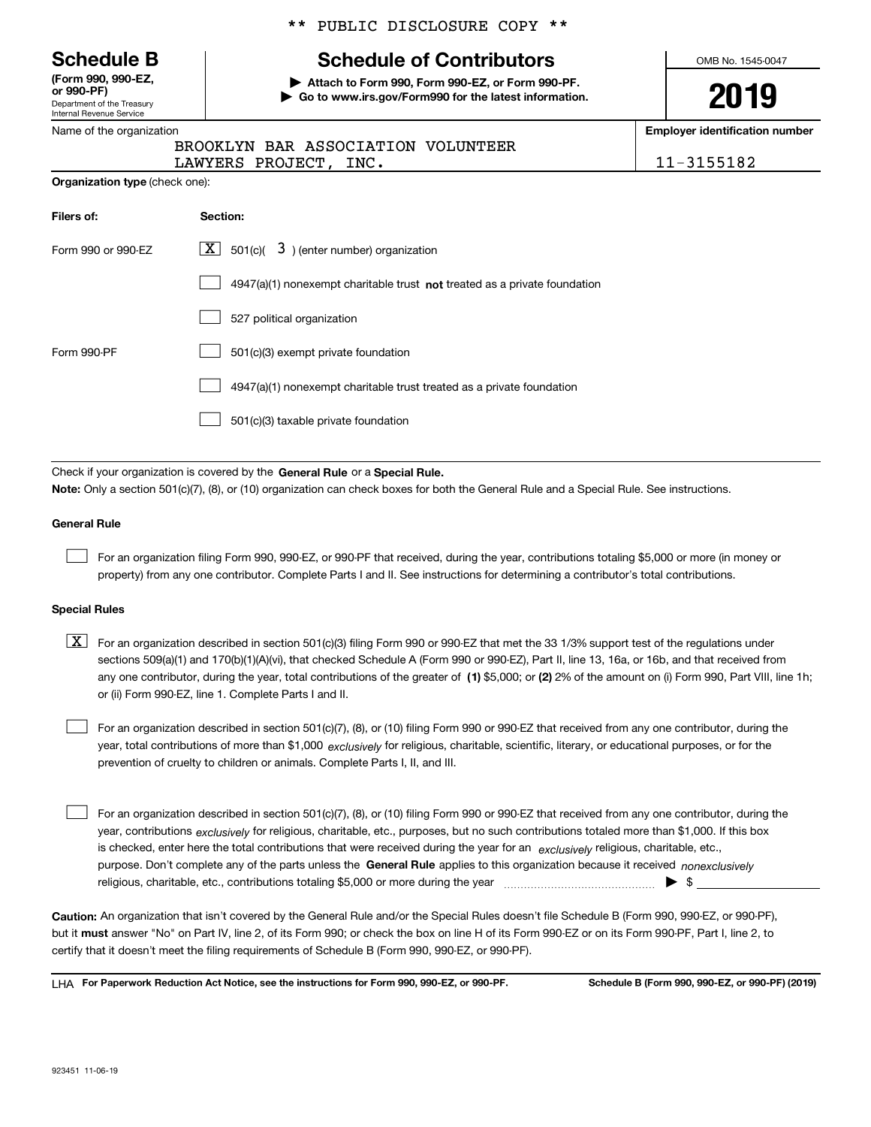Department of the Treasury Internal Revenue Service **(Form 990, 990-EZ, or 990-PF)**

|  |  | Name of the organization |
|--|--|--------------------------|
|  |  |                          |

**Organization type** (check one):

#### \*\* PUBLIC DISCLOSURE COPY \*\*

# **Schedule B Schedule of Contributors**

**| Attach to Form 990, Form 990-EZ, or Form 990-PF. | Go to www.irs.gov/Form990 for the latest information.** OMB No. 1545-0047

**2019**

**Employer identification number**

| BROOKLYN BAR ASSOCIATION VOLUNTEER |            |
|------------------------------------|------------|
| LAWYERS PROJECT, INC.              | 11-3155182 |

| Filers of:         | <b>Section:</b>                                                             |
|--------------------|-----------------------------------------------------------------------------|
| Form 990 or 990-EZ | $\lfloor x \rfloor$ 501(c)( 3) (enter number) organization                  |
|                    | $4947(a)(1)$ nonexempt charitable trust not treated as a private foundation |
|                    | 527 political organization                                                  |
| Form 990-PF        | 501(c)(3) exempt private foundation                                         |
|                    | 4947(a)(1) nonexempt charitable trust treated as a private foundation       |
|                    | 501(c)(3) taxable private foundation                                        |

Check if your organization is covered by the **General Rule** or a **Special Rule. Note:**  Only a section 501(c)(7), (8), or (10) organization can check boxes for both the General Rule and a Special Rule. See instructions.

#### **General Rule**

 $\mathcal{L}^{\text{max}}$ 

For an organization filing Form 990, 990-EZ, or 990-PF that received, during the year, contributions totaling \$5,000 or more (in money or property) from any one contributor. Complete Parts I and II. See instructions for determining a contributor's total contributions.

#### **Special Rules**

any one contributor, during the year, total contributions of the greater of  $\,$  (1) \$5,000; or **(2)** 2% of the amount on (i) Form 990, Part VIII, line 1h;  $\boxed{\textbf{X}}$  For an organization described in section 501(c)(3) filing Form 990 or 990-EZ that met the 33 1/3% support test of the regulations under sections 509(a)(1) and 170(b)(1)(A)(vi), that checked Schedule A (Form 990 or 990-EZ), Part II, line 13, 16a, or 16b, and that received from or (ii) Form 990-EZ, line 1. Complete Parts I and II.

year, total contributions of more than \$1,000 *exclusively* for religious, charitable, scientific, literary, or educational purposes, or for the For an organization described in section 501(c)(7), (8), or (10) filing Form 990 or 990-EZ that received from any one contributor, during the prevention of cruelty to children or animals. Complete Parts I, II, and III.  $\mathcal{L}^{\text{max}}$ 

purpose. Don't complete any of the parts unless the **General Rule** applies to this organization because it received *nonexclusively* year, contributions <sub>exclusively</sub> for religious, charitable, etc., purposes, but no such contributions totaled more than \$1,000. If this box is checked, enter here the total contributions that were received during the year for an *exclusively* religious, charitable, etc., For an organization described in section 501(c)(7), (8), or (10) filing Form 990 or 990-EZ that received from any one contributor, during the religious, charitable, etc., contributions totaling \$5,000 or more during the year  $\Box$ — $\Box$  =  $\Box$  $\mathcal{L}^{\text{max}}$ 

**Caution:**  An organization that isn't covered by the General Rule and/or the Special Rules doesn't file Schedule B (Form 990, 990-EZ, or 990-PF),  **must** but it answer "No" on Part IV, line 2, of its Form 990; or check the box on line H of its Form 990-EZ or on its Form 990-PF, Part I, line 2, to certify that it doesn't meet the filing requirements of Schedule B (Form 990, 990-EZ, or 990-PF).

**For Paperwork Reduction Act Notice, see the instructions for Form 990, 990-EZ, or 990-PF. Schedule B (Form 990, 990-EZ, or 990-PF) (2019)** LHA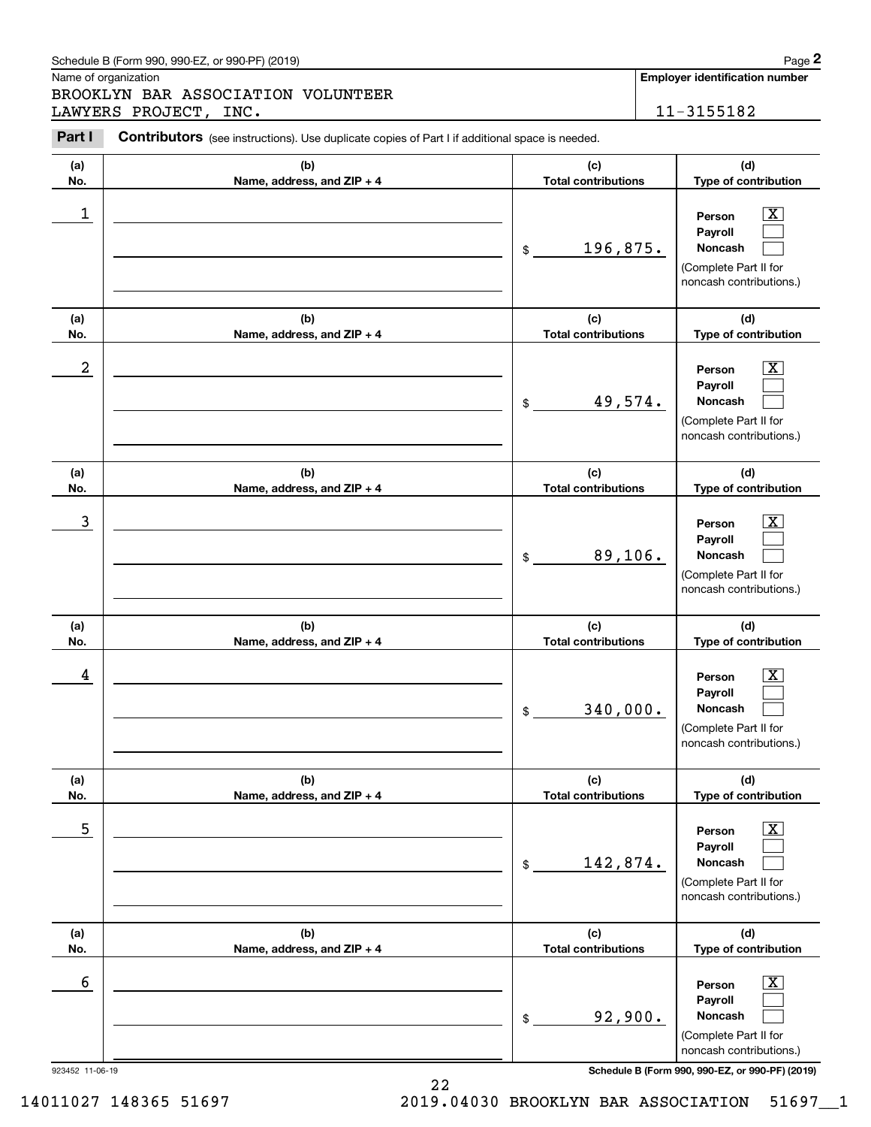Name of organization

Chedule B (Form 990, 990-EZ, or 990-PF) (2019)<br> **2Page 2**<br>
ROOKLYN BAR ASSOCIATION VOLUNTEER<br> **2Part I** Contributors (see instructions). Use duplicate copies of Part I if additional space is needed.<br>
2Part I Contributors ( BROOKLYN BAR ASSOCIATION VOLUNTEER LAWYERS PROJECT, INC. 11-3155182

| Part I           | <b>Contributors</b> (see instructions). Use duplicate copies of Part I if additional space is needed. |                                   |                                                                                                             |
|------------------|-------------------------------------------------------------------------------------------------------|-----------------------------------|-------------------------------------------------------------------------------------------------------------|
| (a)<br>No.       | (b)<br>Name, address, and ZIP + 4                                                                     | (c)<br><b>Total contributions</b> | (d)<br>Type of contribution                                                                                 |
| 1                |                                                                                                       | 196,875.<br>$\frac{1}{2}$         | $\overline{\mathbf{X}}$<br>Person<br>Pavroll<br>Noncash<br>(Complete Part II for<br>noncash contributions.) |
| (a)<br>No.       | (b)<br>Name, address, and ZIP + 4                                                                     | (c)<br><b>Total contributions</b> | (d)<br>Type of contribution                                                                                 |
| $\boldsymbol{2}$ |                                                                                                       | 49,574.<br>$\frac{1}{2}$          | $\overline{\mathbf{X}}$<br>Person<br>Payroll<br>Noncash<br>(Complete Part II for<br>noncash contributions.) |
| (a)<br>No.       | (b)<br>Name, address, and ZIP + 4                                                                     | (c)<br><b>Total contributions</b> | (d)<br>Type of contribution                                                                                 |
| 3                |                                                                                                       | 89,106.<br>$\frac{1}{2}$          | $\overline{\mathbf{X}}$<br>Person<br>Payroll<br>Noncash<br>(Complete Part II for<br>noncash contributions.) |
| (a)<br>No.       | (b)<br>Name, address, and ZIP + 4                                                                     | (c)<br><b>Total contributions</b> | (d)<br>Type of contribution                                                                                 |
| 4                |                                                                                                       | 340,000.<br>$\mathsf{\$}$         | $\overline{\mathbf{X}}$<br>Person<br>Payroll<br>Noncash<br>(Complete Part II for<br>noncash contributions.) |
| (a)<br>No.       | (b)<br>Name, address, and ZIP + 4                                                                     | (c)<br><b>Total contributions</b> | (d)<br>Type of contribution                                                                                 |
| $\overline{5}$   |                                                                                                       | 142,874.<br>\$                    | $\boxed{\text{X}}$<br>Person<br>Payroll<br>Noncash<br>(Complete Part II for<br>noncash contributions.)      |
| (a)<br>No.       | (b)<br>Name, address, and ZIP + 4                                                                     | (c)<br><b>Total contributions</b> | (d)<br>Type of contribution                                                                                 |
| 6                |                                                                                                       | 92,900.<br>\$                     | $\boxed{\text{X}}$<br>Person<br>Payroll<br>Noncash<br>(Complete Part II for<br>noncash contributions.)      |

923452 11-06-19 **Schedule B (Form 990, 990-EZ, or 990-PF) (2019)**

14011027 148365 51697 2019.04030 BROOKLYN BAR ASSOCIATION 51697\_\_1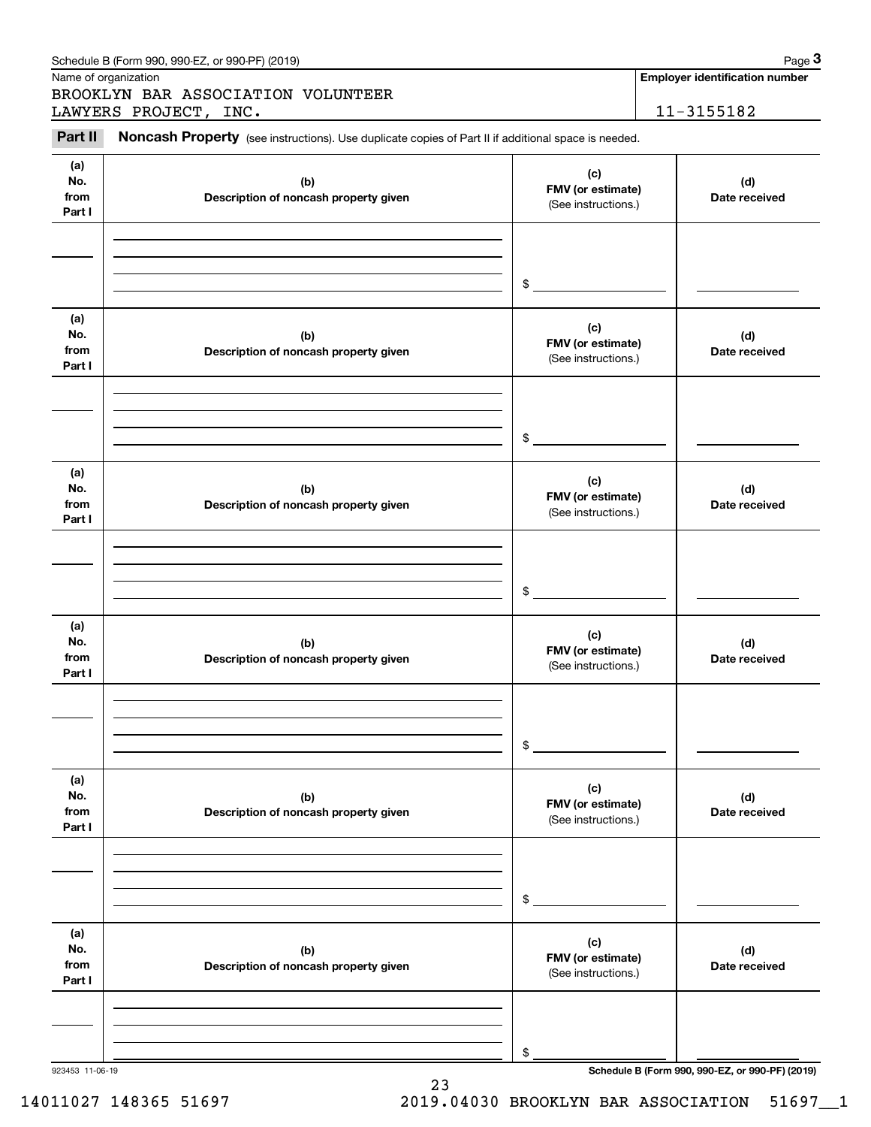| No.<br>from<br>Part I        | (b)<br>Description of noncash property given | (c)<br>FMV (or estimate)<br>(See instructions.) | (d)<br>Date received                            |
|------------------------------|----------------------------------------------|-------------------------------------------------|-------------------------------------------------|
|                              |                                              | \$                                              |                                                 |
| (a)<br>No.<br>from<br>Part I | (b)<br>Description of noncash property given | (c)<br>FMV (or estimate)<br>(See instructions.) | (d)<br>Date received                            |
|                              |                                              | \$                                              |                                                 |
| (a)<br>No.<br>from<br>Part I | (b)<br>Description of noncash property given | (c)<br>FMV (or estimate)<br>(See instructions.) | (d)<br>Date received                            |
|                              |                                              | \$                                              |                                                 |
| (a)<br>No.<br>from<br>Part I | (b)<br>Description of noncash property given | (c)<br>FMV (or estimate)<br>(See instructions.) | (d)<br>Date received                            |
|                              |                                              | \$                                              |                                                 |
| (a)<br>No.<br>from<br>Part I | (b)<br>Description of noncash property given | (c)<br>FMV (or estimate)<br>(See instructions.) | (d)<br>Date received                            |
|                              |                                              | \$                                              |                                                 |
| (a)<br>No.<br>from<br>Part I | (b)<br>Description of noncash property given | (c)<br>FMV (or estimate)<br>(See instructions.) | (d)<br>Date received                            |
|                              |                                              | \$                                              | Schedule B (Form 990, 990-EZ, or 990-PF) (2019) |

#### Schedule B (Form 990, 990-EZ, or 990-PF) (2019) **Page 3**

Name of organization

Chedule B (Form 990, 990-EZ, or 990-PF) (2019)<br>
Iame of organization<br> **3ROOKLYN BAR ASSOCIATION VOLUNTEER**<br> **3ROOKLYN BAR ASSOCIATION VOLUNTEER**<br> **Part II** Noncash Property (see instructions). Use duplicate copies of Part BROOKLYN BAR ASSOCIATION VOLUNTEER LAWYERS PROJECT, INC. 11-3155182

**Employer identification number**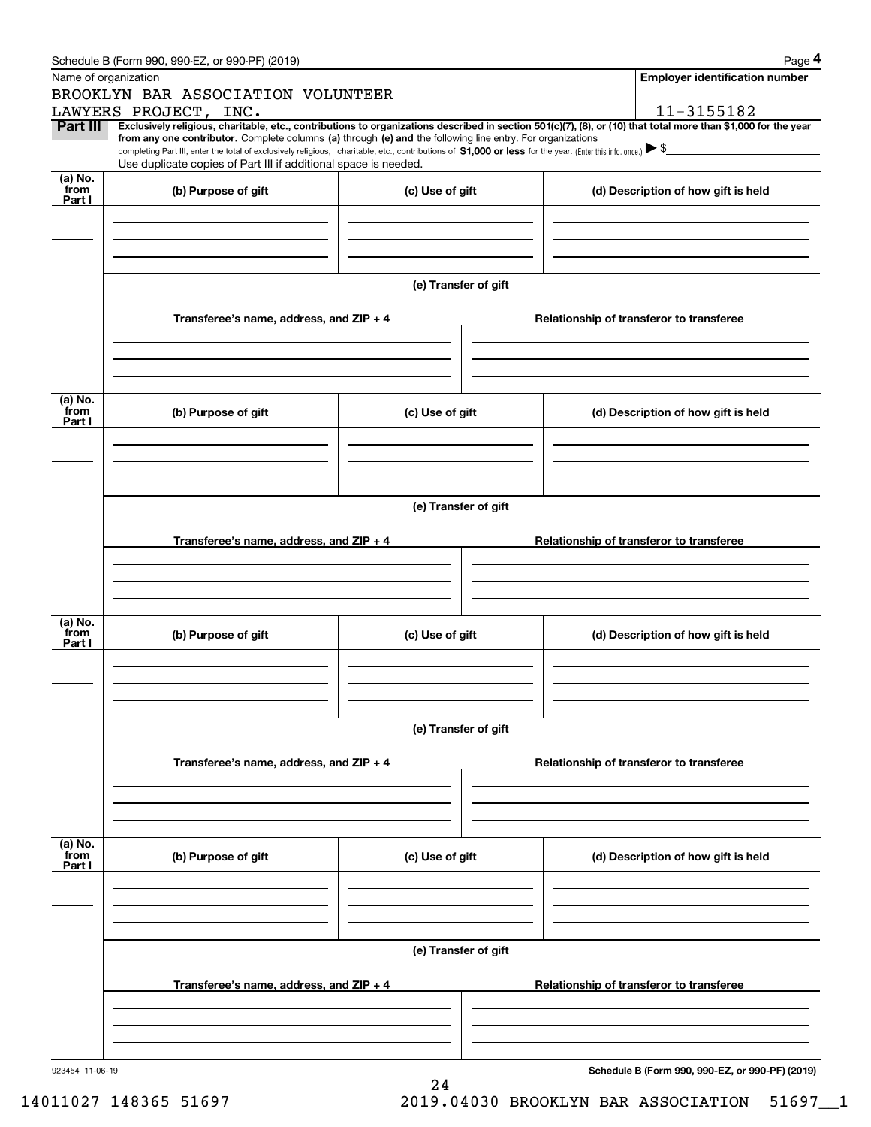|                 | Schedule B (Form 990, 990-EZ, or 990-PF) (2019)                                                                                                                                                                                                                                            |                      |                                     | Page 4                                                                                                                                                         |  |  |  |
|-----------------|--------------------------------------------------------------------------------------------------------------------------------------------------------------------------------------------------------------------------------------------------------------------------------------------|----------------------|-------------------------------------|----------------------------------------------------------------------------------------------------------------------------------------------------------------|--|--|--|
|                 | Name of organization                                                                                                                                                                                                                                                                       |                      |                                     | <b>Employer identification number</b>                                                                                                                          |  |  |  |
|                 | BROOKLYN BAR ASSOCIATION VOLUNTEER                                                                                                                                                                                                                                                         |                      |                                     |                                                                                                                                                                |  |  |  |
|                 | LAWYERS PROJECT, INC.                                                                                                                                                                                                                                                                      |                      |                                     | 11-3155182                                                                                                                                                     |  |  |  |
| Part III        | from any one contributor. Complete columns (a) through (e) and the following line entry. For organizations<br>completing Part III, enter the total of exclusively religious, charitable, etc., contributions of \$1,000 or less for the year. (Enter this info. once.) $\triangleright$ \$ |                      |                                     | Exclusively religious, charitable, etc., contributions to organizations described in section 501(c)(7), (8), or (10) that total more than \$1,000 for the year |  |  |  |
|                 | Use duplicate copies of Part III if additional space is needed.                                                                                                                                                                                                                            |                      |                                     |                                                                                                                                                                |  |  |  |
| (a) No.<br>from |                                                                                                                                                                                                                                                                                            |                      |                                     |                                                                                                                                                                |  |  |  |
| Part I          | (b) Purpose of gift                                                                                                                                                                                                                                                                        | (c) Use of gift      |                                     | (d) Description of how gift is held                                                                                                                            |  |  |  |
|                 |                                                                                                                                                                                                                                                                                            |                      |                                     |                                                                                                                                                                |  |  |  |
|                 |                                                                                                                                                                                                                                                                                            |                      |                                     |                                                                                                                                                                |  |  |  |
|                 |                                                                                                                                                                                                                                                                                            |                      |                                     |                                                                                                                                                                |  |  |  |
|                 |                                                                                                                                                                                                                                                                                            |                      |                                     |                                                                                                                                                                |  |  |  |
|                 |                                                                                                                                                                                                                                                                                            | (e) Transfer of gift |                                     |                                                                                                                                                                |  |  |  |
|                 | Transferee's name, address, and ZIP + 4                                                                                                                                                                                                                                                    |                      |                                     | Relationship of transferor to transferee                                                                                                                       |  |  |  |
|                 |                                                                                                                                                                                                                                                                                            |                      |                                     |                                                                                                                                                                |  |  |  |
|                 |                                                                                                                                                                                                                                                                                            |                      |                                     |                                                                                                                                                                |  |  |  |
|                 |                                                                                                                                                                                                                                                                                            |                      |                                     |                                                                                                                                                                |  |  |  |
|                 |                                                                                                                                                                                                                                                                                            |                      |                                     |                                                                                                                                                                |  |  |  |
| (a) No.<br>from | (b) Purpose of gift<br>(c) Use of gift                                                                                                                                                                                                                                                     |                      |                                     | (d) Description of how gift is held                                                                                                                            |  |  |  |
| Part I          |                                                                                                                                                                                                                                                                                            |                      |                                     |                                                                                                                                                                |  |  |  |
|                 |                                                                                                                                                                                                                                                                                            |                      |                                     |                                                                                                                                                                |  |  |  |
|                 |                                                                                                                                                                                                                                                                                            |                      |                                     |                                                                                                                                                                |  |  |  |
|                 |                                                                                                                                                                                                                                                                                            |                      |                                     |                                                                                                                                                                |  |  |  |
|                 | (e) Transfer of gift                                                                                                                                                                                                                                                                       |                      |                                     |                                                                                                                                                                |  |  |  |
|                 |                                                                                                                                                                                                                                                                                            |                      |                                     |                                                                                                                                                                |  |  |  |
|                 | Transferee's name, address, and ZIP + 4                                                                                                                                                                                                                                                    |                      |                                     | Relationship of transferor to transferee                                                                                                                       |  |  |  |
|                 |                                                                                                                                                                                                                                                                                            |                      |                                     |                                                                                                                                                                |  |  |  |
|                 |                                                                                                                                                                                                                                                                                            |                      |                                     |                                                                                                                                                                |  |  |  |
|                 |                                                                                                                                                                                                                                                                                            |                      |                                     |                                                                                                                                                                |  |  |  |
| (a) No.         |                                                                                                                                                                                                                                                                                            |                      |                                     |                                                                                                                                                                |  |  |  |
| from<br>Part I  | (b) Purpose of gift                                                                                                                                                                                                                                                                        | (c) Use of gift      | (d) Description of how gift is held |                                                                                                                                                                |  |  |  |
|                 |                                                                                                                                                                                                                                                                                            |                      |                                     |                                                                                                                                                                |  |  |  |
|                 |                                                                                                                                                                                                                                                                                            |                      |                                     |                                                                                                                                                                |  |  |  |
|                 |                                                                                                                                                                                                                                                                                            |                      |                                     |                                                                                                                                                                |  |  |  |
|                 |                                                                                                                                                                                                                                                                                            |                      |                                     |                                                                                                                                                                |  |  |  |
|                 | (e) Transfer of gift                                                                                                                                                                                                                                                                       |                      |                                     |                                                                                                                                                                |  |  |  |
|                 |                                                                                                                                                                                                                                                                                            |                      |                                     |                                                                                                                                                                |  |  |  |
|                 | Transferee's name, address, and $ZIP + 4$                                                                                                                                                                                                                                                  |                      |                                     | Relationship of transferor to transferee                                                                                                                       |  |  |  |
|                 |                                                                                                                                                                                                                                                                                            |                      |                                     |                                                                                                                                                                |  |  |  |
|                 |                                                                                                                                                                                                                                                                                            |                      |                                     |                                                                                                                                                                |  |  |  |
|                 |                                                                                                                                                                                                                                                                                            |                      |                                     |                                                                                                                                                                |  |  |  |
| (a) No.<br>from |                                                                                                                                                                                                                                                                                            |                      |                                     |                                                                                                                                                                |  |  |  |
| Part I          | (b) Purpose of gift                                                                                                                                                                                                                                                                        | (c) Use of gift      |                                     | (d) Description of how gift is held                                                                                                                            |  |  |  |
|                 |                                                                                                                                                                                                                                                                                            |                      |                                     |                                                                                                                                                                |  |  |  |
|                 |                                                                                                                                                                                                                                                                                            |                      |                                     |                                                                                                                                                                |  |  |  |
|                 |                                                                                                                                                                                                                                                                                            |                      |                                     |                                                                                                                                                                |  |  |  |
|                 |                                                                                                                                                                                                                                                                                            |                      |                                     |                                                                                                                                                                |  |  |  |
|                 |                                                                                                                                                                                                                                                                                            | (e) Transfer of gift |                                     |                                                                                                                                                                |  |  |  |
|                 | Transferee's name, address, and ZIP + 4                                                                                                                                                                                                                                                    |                      |                                     | Relationship of transferor to transferee                                                                                                                       |  |  |  |
|                 |                                                                                                                                                                                                                                                                                            |                      |                                     |                                                                                                                                                                |  |  |  |
|                 |                                                                                                                                                                                                                                                                                            |                      |                                     |                                                                                                                                                                |  |  |  |
|                 |                                                                                                                                                                                                                                                                                            |                      |                                     |                                                                                                                                                                |  |  |  |
|                 |                                                                                                                                                                                                                                                                                            |                      |                                     |                                                                                                                                                                |  |  |  |
| 923454 11-06-19 |                                                                                                                                                                                                                                                                                            |                      |                                     | Schedule B (Form 990, 990-EZ, or 990-PF) (2019)                                                                                                                |  |  |  |

24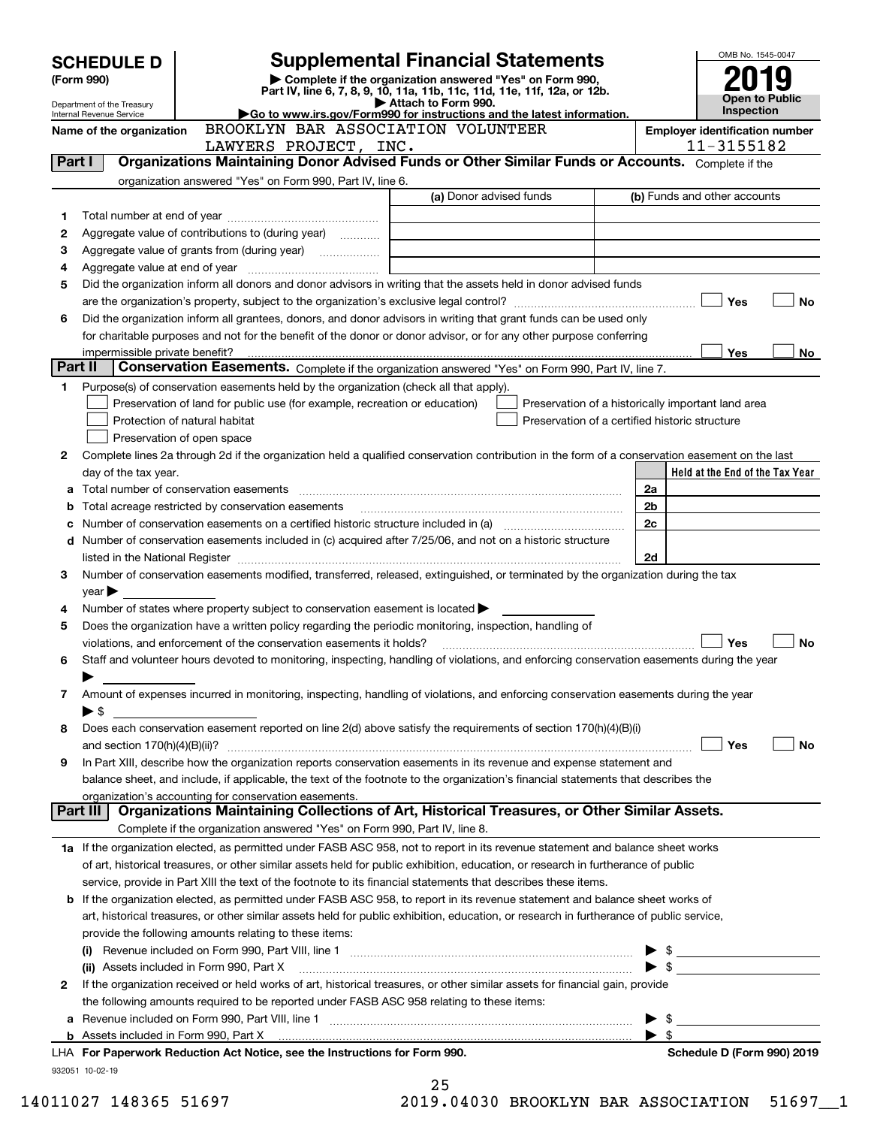| <b>SCHEDULE D</b> |                                                                                                                                         |                                                                                                        | <b>Supplemental Financial Statements</b>                                                                                                       |                                                | OMB No. 1545-0047                                   |  |
|-------------------|-----------------------------------------------------------------------------------------------------------------------------------------|--------------------------------------------------------------------------------------------------------|------------------------------------------------------------------------------------------------------------------------------------------------|------------------------------------------------|-----------------------------------------------------|--|
|                   | (Form 990)                                                                                                                              |                                                                                                        | Complete if the organization answered "Yes" on Form 990,                                                                                       |                                                |                                                     |  |
|                   | Department of the Treasury                                                                                                              |                                                                                                        | Part IV, line 6, 7, 8, 9, 10, 11a, 11b, 11c, 11d, 11e, 11f, 12a, or 12b.<br>Attach to Form 990.                                                | Open to Public                                 |                                                     |  |
|                   | Internal Revenue Service                                                                                                                |                                                                                                        | Go to www.irs.gov/Form990 for instructions and the latest information.                                                                         |                                                | Inspection                                          |  |
|                   | BROOKLYN BAR ASSOCIATION VOLUNTEER<br>Name of the organization<br>LAWYERS PROJECT, INC.                                                 |                                                                                                        |                                                                                                                                                |                                                | <b>Employer identification number</b><br>11-3155182 |  |
| Part I            |                                                                                                                                         |                                                                                                        | Organizations Maintaining Donor Advised Funds or Other Similar Funds or Accounts. Complete if the                                              |                                                |                                                     |  |
|                   |                                                                                                                                         | organization answered "Yes" on Form 990, Part IV, line 6.                                              |                                                                                                                                                |                                                |                                                     |  |
|                   |                                                                                                                                         |                                                                                                        | (a) Donor advised funds                                                                                                                        |                                                | (b) Funds and other accounts                        |  |
| 1                 |                                                                                                                                         |                                                                                                        |                                                                                                                                                |                                                |                                                     |  |
| 2                 |                                                                                                                                         | Aggregate value of contributions to (during year)                                                      |                                                                                                                                                |                                                |                                                     |  |
| з                 |                                                                                                                                         | Aggregate value of grants from (during year)                                                           |                                                                                                                                                |                                                |                                                     |  |
| 4                 |                                                                                                                                         |                                                                                                        |                                                                                                                                                |                                                |                                                     |  |
| 5                 |                                                                                                                                         |                                                                                                        | Did the organization inform all donors and donor advisors in writing that the assets held in donor advised funds                               |                                                |                                                     |  |
|                   |                                                                                                                                         |                                                                                                        |                                                                                                                                                |                                                | Yes<br>No                                           |  |
| 6                 |                                                                                                                                         |                                                                                                        | Did the organization inform all grantees, donors, and donor advisors in writing that grant funds can be used only                              |                                                |                                                     |  |
|                   |                                                                                                                                         |                                                                                                        | for charitable purposes and not for the benefit of the donor or donor advisor, or for any other purpose conferring                             |                                                |                                                     |  |
|                   | impermissible private benefit?                                                                                                          |                                                                                                        |                                                                                                                                                |                                                | Yes<br>No.                                          |  |
| Part II           |                                                                                                                                         |                                                                                                        | Conservation Easements. Complete if the organization answered "Yes" on Form 990, Part IV, line 7.                                              |                                                |                                                     |  |
| 1.                |                                                                                                                                         | Purpose(s) of conservation easements held by the organization (check all that apply).                  |                                                                                                                                                |                                                |                                                     |  |
|                   |                                                                                                                                         | Preservation of land for public use (for example, recreation or education)                             | Preservation of a historically important land area                                                                                             |                                                |                                                     |  |
|                   |                                                                                                                                         | Protection of natural habitat                                                                          |                                                                                                                                                | Preservation of a certified historic structure |                                                     |  |
|                   |                                                                                                                                         | Preservation of open space                                                                             |                                                                                                                                                |                                                |                                                     |  |
| 2                 |                                                                                                                                         |                                                                                                        | Complete lines 2a through 2d if the organization held a qualified conservation contribution in the form of a conservation easement on the last |                                                |                                                     |  |
|                   | day of the tax year.                                                                                                                    |                                                                                                        |                                                                                                                                                |                                                | Held at the End of the Tax Year                     |  |
|                   |                                                                                                                                         |                                                                                                        |                                                                                                                                                | 2a                                             |                                                     |  |
| b                 |                                                                                                                                         | Total acreage restricted by conservation easements                                                     |                                                                                                                                                | 2b                                             |                                                     |  |
| с                 |                                                                                                                                         |                                                                                                        | Number of conservation easements on a certified historic structure included in (a) manufacture included in (a)                                 | 2c                                             |                                                     |  |
|                   |                                                                                                                                         |                                                                                                        | d Number of conservation easements included in (c) acquired after 7/25/06, and not on a historic structure                                     |                                                |                                                     |  |
| 3                 |                                                                                                                                         |                                                                                                        | Number of conservation easements modified, transferred, released, extinguished, or terminated by the organization during the tax               | 2d                                             |                                                     |  |
|                   |                                                                                                                                         |                                                                                                        |                                                                                                                                                |                                                |                                                     |  |
| 4                 | year                                                                                                                                    | Number of states where property subject to conservation easement is located $\blacktriangleright$      |                                                                                                                                                |                                                |                                                     |  |
| 5                 |                                                                                                                                         | Does the organization have a written policy regarding the periodic monitoring, inspection, handling of |                                                                                                                                                |                                                |                                                     |  |
|                   |                                                                                                                                         | violations, and enforcement of the conservation easements it holds?                                    |                                                                                                                                                |                                                | Yes<br>No                                           |  |
| 6                 |                                                                                                                                         |                                                                                                        | Staff and volunteer hours devoted to monitoring, inspecting, handling of violations, and enforcing conservation easements during the year      |                                                |                                                     |  |
|                   |                                                                                                                                         |                                                                                                        |                                                                                                                                                |                                                |                                                     |  |
| 7                 |                                                                                                                                         |                                                                                                        | Amount of expenses incurred in monitoring, inspecting, handling of violations, and enforcing conservation easements during the year            |                                                |                                                     |  |
|                   | $\blacktriangleright$ \$                                                                                                                |                                                                                                        |                                                                                                                                                |                                                |                                                     |  |
| 8                 |                                                                                                                                         |                                                                                                        | Does each conservation easement reported on line 2(d) above satisfy the requirements of section 170(h)(4)(B)(i)                                |                                                |                                                     |  |
|                   |                                                                                                                                         |                                                                                                        |                                                                                                                                                |                                                | Yes<br>No                                           |  |
| 9                 |                                                                                                                                         |                                                                                                        | In Part XIII, describe how the organization reports conservation easements in its revenue and expense statement and                            |                                                |                                                     |  |
|                   |                                                                                                                                         |                                                                                                        | balance sheet, and include, if applicable, the text of the footnote to the organization's financial statements that describes the              |                                                |                                                     |  |
|                   |                                                                                                                                         | organization's accounting for conservation easements.                                                  |                                                                                                                                                |                                                |                                                     |  |
|                   | Part III                                                                                                                                |                                                                                                        | Organizations Maintaining Collections of Art, Historical Treasures, or Other Similar Assets.                                                   |                                                |                                                     |  |
|                   |                                                                                                                                         | Complete if the organization answered "Yes" on Form 990, Part IV, line 8.                              |                                                                                                                                                |                                                |                                                     |  |
|                   |                                                                                                                                         |                                                                                                        | 1a If the organization elected, as permitted under FASB ASC 958, not to report in its revenue statement and balance sheet works                |                                                |                                                     |  |
|                   |                                                                                                                                         |                                                                                                        | of art, historical treasures, or other similar assets held for public exhibition, education, or research in furtherance of public              |                                                |                                                     |  |
|                   |                                                                                                                                         |                                                                                                        | service, provide in Part XIII the text of the footnote to its financial statements that describes these items.                                 |                                                |                                                     |  |
|                   |                                                                                                                                         |                                                                                                        | <b>b</b> If the organization elected, as permitted under FASB ASC 958, to report in its revenue statement and balance sheet works of           |                                                |                                                     |  |
|                   | art, historical treasures, or other similar assets held for public exhibition, education, or research in furtherance of public service, |                                                                                                        |                                                                                                                                                |                                                |                                                     |  |
|                   |                                                                                                                                         | provide the following amounts relating to these items:                                                 |                                                                                                                                                |                                                |                                                     |  |
|                   |                                                                                                                                         |                                                                                                        |                                                                                                                                                | $\blacktriangleright$ \$                       |                                                     |  |
|                   |                                                                                                                                         | (ii) Assets included in Form 990, Part X                                                               |                                                                                                                                                |                                                |                                                     |  |
| 2                 |                                                                                                                                         |                                                                                                        | If the organization received or held works of art, historical treasures, or other similar assets for financial gain, provide                   |                                                |                                                     |  |
|                   |                                                                                                                                         | the following amounts required to be reported under FASB ASC 958 relating to these items:              |                                                                                                                                                | - \$                                           |                                                     |  |
|                   |                                                                                                                                         |                                                                                                        |                                                                                                                                                | $\blacktriangleright$ \$                       |                                                     |  |
|                   |                                                                                                                                         | LHA For Paperwork Reduction Act Notice, see the Instructions for Form 990.                             |                                                                                                                                                |                                                | Schedule D (Form 990) 2019                          |  |
|                   | 932051 10-02-19                                                                                                                         |                                                                                                        |                                                                                                                                                |                                                |                                                     |  |
|                   |                                                                                                                                         |                                                                                                        | 25                                                                                                                                             |                                                |                                                     |  |

| 14011027 148365 5169 |  |  |
|----------------------|--|--|
|----------------------|--|--|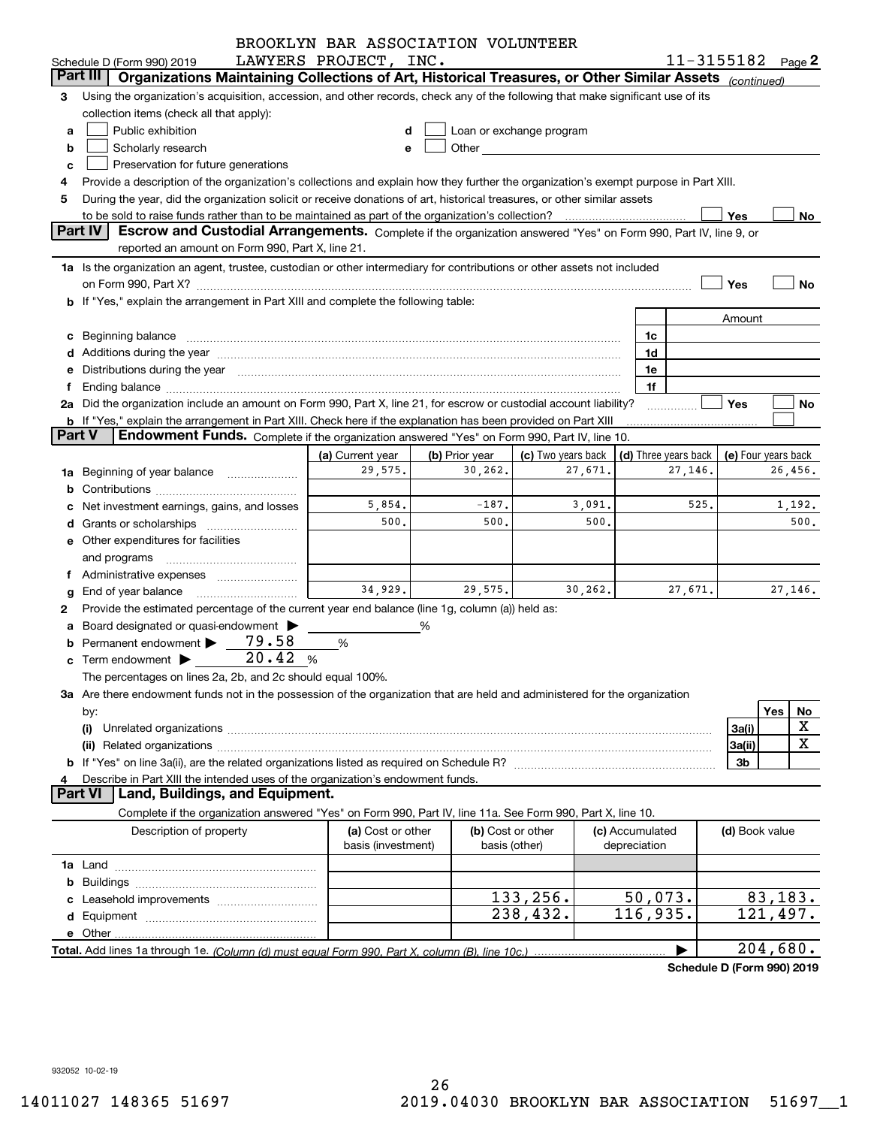|               |                                                                                                                                                                                                                                | BROOKLYN BAR ASSOCIATION VOLUNTEER |                   |                                                                                                                                                                                                                               |        |                      |         |                            |          |             |
|---------------|--------------------------------------------------------------------------------------------------------------------------------------------------------------------------------------------------------------------------------|------------------------------------|-------------------|-------------------------------------------------------------------------------------------------------------------------------------------------------------------------------------------------------------------------------|--------|----------------------|---------|----------------------------|----------|-------------|
|               | Schedule D (Form 990) 2019                                                                                                                                                                                                     | LAWYERS PROJECT, INC.              |                   |                                                                                                                                                                                                                               |        |                      |         | $11 - 3155182$ Page 2      |          |             |
|               | Organizations Maintaining Collections of Art, Historical Treasures, or Other Similar Assets (continued)<br>Part III                                                                                                            |                                    |                   |                                                                                                                                                                                                                               |        |                      |         |                            |          |             |
| З             | Using the organization's acquisition, accession, and other records, check any of the following that make significant use of its                                                                                                |                                    |                   |                                                                                                                                                                                                                               |        |                      |         |                            |          |             |
|               | collection items (check all that apply):                                                                                                                                                                                       |                                    |                   |                                                                                                                                                                                                                               |        |                      |         |                            |          |             |
| a             | Public exhibition                                                                                                                                                                                                              | d                                  |                   | Loan or exchange program                                                                                                                                                                                                      |        |                      |         |                            |          |             |
| b             | Scholarly research                                                                                                                                                                                                             | е                                  |                   | Other and the contract of the contract of the contract of the contract of the contract of the contract of the contract of the contract of the contract of the contract of the contract of the contract of the contract of the |        |                      |         |                            |          |             |
| c             | Preservation for future generations                                                                                                                                                                                            |                                    |                   |                                                                                                                                                                                                                               |        |                      |         |                            |          |             |
|               | Provide a description of the organization's collections and explain how they further the organization's exempt purpose in Part XIII.                                                                                           |                                    |                   |                                                                                                                                                                                                                               |        |                      |         |                            |          |             |
| 5             | During the year, did the organization solicit or receive donations of art, historical treasures, or other similar assets                                                                                                       |                                    |                   |                                                                                                                                                                                                                               |        |                      |         |                            |          |             |
|               | to be sold to raise funds rather than to be maintained as part of the organization's collection?                                                                                                                               |                                    |                   |                                                                                                                                                                                                                               |        |                      |         | Yes                        |          | No          |
|               | Part IV<br>Escrow and Custodial Arrangements. Complete if the organization answered "Yes" on Form 990, Part IV, line 9, or                                                                                                     |                                    |                   |                                                                                                                                                                                                                               |        |                      |         |                            |          |             |
|               | reported an amount on Form 990, Part X, line 21.                                                                                                                                                                               |                                    |                   |                                                                                                                                                                                                                               |        |                      |         |                            |          |             |
|               | 1a Is the organization an agent, trustee, custodian or other intermediary for contributions or other assets not included                                                                                                       |                                    |                   |                                                                                                                                                                                                                               |        |                      |         |                            |          |             |
|               | on Form 990, Part X? [11] matter contracts and contracts and contracts are contracted as a function of the set of the set of the set of the set of the set of the set of the set of the set of the set of the set of the set o |                                    |                   |                                                                                                                                                                                                                               |        |                      |         | Yes                        |          | No          |
|               | b If "Yes," explain the arrangement in Part XIII and complete the following table:                                                                                                                                             |                                    |                   |                                                                                                                                                                                                                               |        |                      |         |                            |          |             |
|               |                                                                                                                                                                                                                                |                                    |                   |                                                                                                                                                                                                                               |        |                      |         | Amount                     |          |             |
|               |                                                                                                                                                                                                                                |                                    |                   |                                                                                                                                                                                                                               |        | 1c                   |         |                            |          |             |
|               |                                                                                                                                                                                                                                |                                    |                   |                                                                                                                                                                                                                               |        | 1d                   |         |                            |          |             |
|               | e Distributions during the year manufactured and continuum and contact the year manufactured and contact the year manufactured and contact the year manufactured and contact the year manufactured and contact the year manufa |                                    |                   |                                                                                                                                                                                                                               |        | 1e                   |         |                            |          |             |
|               | Ending balance manufactured and contract and contract of the contract of the contract of the contract of the contract of the contract of the contract of the contract of the contract of the contract of the contract of the c |                                    |                   |                                                                                                                                                                                                                               |        | 1f                   |         |                            |          |             |
|               | 2a Did the organization include an amount on Form 990, Part X, line 21, for escrow or custodial account liability?                                                                                                             |                                    |                   |                                                                                                                                                                                                                               |        |                      |         | Yes                        |          | No          |
|               | <b>b</b> If "Yes," explain the arrangement in Part XIII. Check here if the explanation has been provided on Part XIII                                                                                                          |                                    |                   |                                                                                                                                                                                                                               |        |                      |         |                            |          |             |
| <b>Part V</b> | Endowment Funds. Complete if the organization answered "Yes" on Form 990, Part IV, line 10.                                                                                                                                    |                                    |                   |                                                                                                                                                                                                                               |        |                      |         |                            |          |             |
|               |                                                                                                                                                                                                                                | (a) Current year                   | (b) Prior year    | (c) Two years back                                                                                                                                                                                                            |        | (d) Three years back |         | (e) Four years back        |          |             |
| 1a            | Beginning of year balance                                                                                                                                                                                                      | 29,575.                            | 30,262.           | 27,671.                                                                                                                                                                                                                       |        |                      | 27,146. |                            | 26,456.  |             |
|               |                                                                                                                                                                                                                                |                                    |                   |                                                                                                                                                                                                                               |        |                      |         |                            |          |             |
|               | Net investment earnings, gains, and losses                                                                                                                                                                                     | 5,854.                             | $-187.$           |                                                                                                                                                                                                                               | 3,091. |                      | 525.    | 1,192.                     |          |             |
|               | Grants or scholarships                                                                                                                                                                                                         | 500.                               | 500.              |                                                                                                                                                                                                                               | 500.   |                      |         |                            |          | 500.        |
|               | e Other expenditures for facilities                                                                                                                                                                                            |                                    |                   |                                                                                                                                                                                                                               |        |                      |         |                            |          |             |
|               | and programs                                                                                                                                                                                                                   |                                    |                   |                                                                                                                                                                                                                               |        |                      |         |                            |          |             |
|               |                                                                                                                                                                                                                                |                                    |                   |                                                                                                                                                                                                                               |        |                      |         |                            |          |             |
|               | End of year balance                                                                                                                                                                                                            | 34,929.                            | 29,575.           | 30, 262.                                                                                                                                                                                                                      |        |                      | 27,671. |                            | 27,146.  |             |
| 2             | Provide the estimated percentage of the current year end balance (line 1g, column (a)) held as:                                                                                                                                |                                    |                   |                                                                                                                                                                                                                               |        |                      |         |                            |          |             |
|               | Board designated or quasi-endowment                                                                                                                                                                                            |                                    | %                 |                                                                                                                                                                                                                               |        |                      |         |                            |          |             |
|               | 79.58<br>Permanent endowment                                                                                                                                                                                                   | $\%$                               |                   |                                                                                                                                                                                                                               |        |                      |         |                            |          |             |
|               | 20.42%<br><b>c</b> Term endowment $\blacktriangleright$                                                                                                                                                                        |                                    |                   |                                                                                                                                                                                                                               |        |                      |         |                            |          |             |
|               | The percentages on lines 2a, 2b, and 2c should equal 100%.                                                                                                                                                                     |                                    |                   |                                                                                                                                                                                                                               |        |                      |         |                            |          |             |
|               | 3a Are there endowment funds not in the possession of the organization that are held and administered for the organization                                                                                                     |                                    |                   |                                                                                                                                                                                                                               |        |                      |         |                            |          |             |
|               | by:                                                                                                                                                                                                                            |                                    |                   |                                                                                                                                                                                                                               |        |                      |         |                            | Yes      | No          |
|               | (i)                                                                                                                                                                                                                            |                                    |                   |                                                                                                                                                                                                                               |        |                      |         | 3a(i)                      |          | X           |
|               | (ii)                                                                                                                                                                                                                           |                                    |                   |                                                                                                                                                                                                                               |        |                      |         | 3a(ii)                     |          | $\mathbf X$ |
|               |                                                                                                                                                                                                                                |                                    |                   |                                                                                                                                                                                                                               |        |                      |         | 3b                         |          |             |
| 4             | Describe in Part XIII the intended uses of the organization's endowment funds.                                                                                                                                                 |                                    |                   |                                                                                                                                                                                                                               |        |                      |         |                            |          |             |
|               | Land, Buildings, and Equipment.<br><b>Part VI</b>                                                                                                                                                                              |                                    |                   |                                                                                                                                                                                                                               |        |                      |         |                            |          |             |
|               | Complete if the organization answered "Yes" on Form 990, Part IV, line 11a. See Form 990, Part X, line 10.                                                                                                                     |                                    |                   |                                                                                                                                                                                                                               |        |                      |         |                            |          |             |
|               | Description of property                                                                                                                                                                                                        | (a) Cost or other                  | (b) Cost or other |                                                                                                                                                                                                                               |        | (c) Accumulated      |         | (d) Book value             |          |             |
|               |                                                                                                                                                                                                                                | basis (investment)                 | basis (other)     |                                                                                                                                                                                                                               |        | depreciation         |         |                            |          |             |
|               |                                                                                                                                                                                                                                |                                    |                   |                                                                                                                                                                                                                               |        |                      |         |                            |          |             |
|               |                                                                                                                                                                                                                                |                                    |                   |                                                                                                                                                                                                                               |        |                      |         |                            |          |             |
|               |                                                                                                                                                                                                                                |                                    |                   | 133,256.                                                                                                                                                                                                                      |        | 50,073.              |         |                            | 83, 183. |             |
|               |                                                                                                                                                                                                                                |                                    |                   | 238,432.                                                                                                                                                                                                                      |        | 116,935.             |         |                            | 121,497. |             |
|               |                                                                                                                                                                                                                                |                                    |                   |                                                                                                                                                                                                                               |        |                      |         |                            |          |             |
|               |                                                                                                                                                                                                                                |                                    |                   |                                                                                                                                                                                                                               |        |                      |         |                            | 204,680. |             |
|               |                                                                                                                                                                                                                                |                                    |                   |                                                                                                                                                                                                                               |        |                      |         |                            |          |             |
|               |                                                                                                                                                                                                                                |                                    |                   |                                                                                                                                                                                                                               |        |                      |         | Schedule D (Form 990) 2019 |          |             |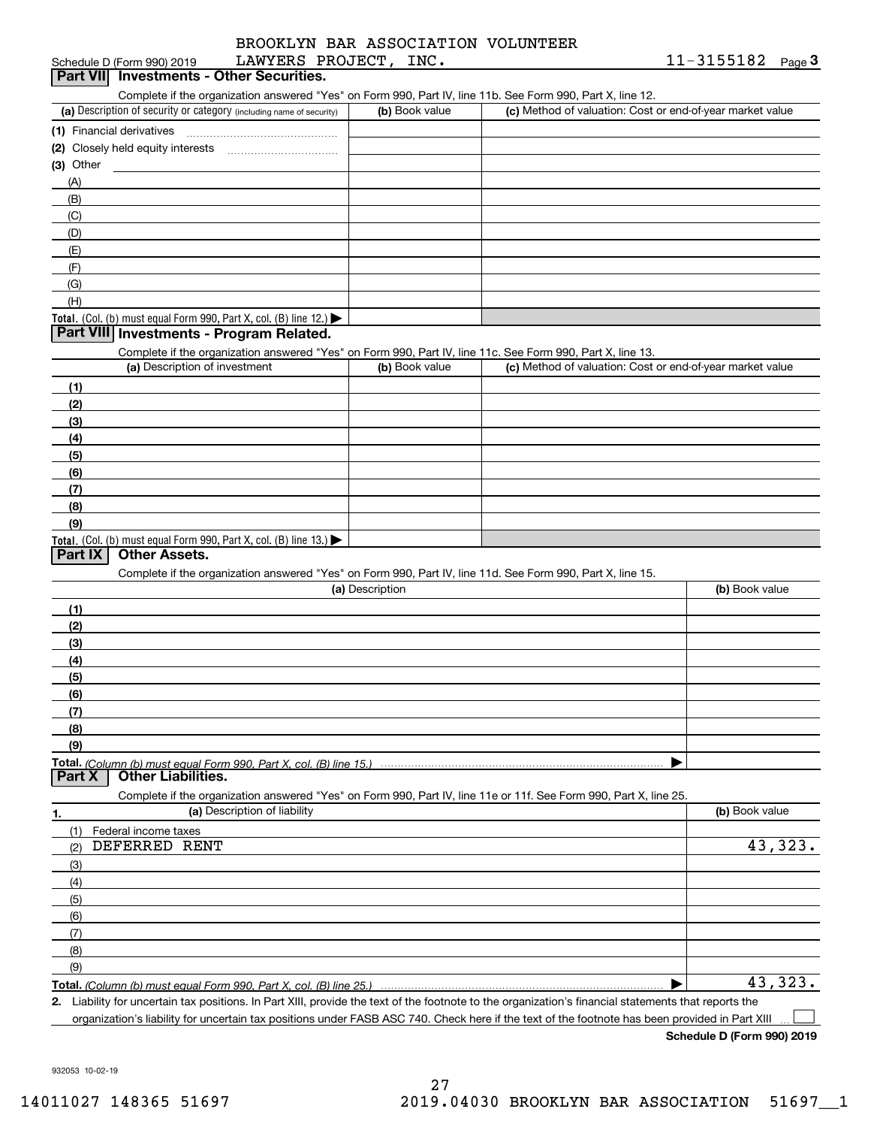| Schedule D (Form 990) 2019                                                                                        | LAWYERS PROJECT, INC. |                                                           | 11-3155182<br>Page $3$ |
|-------------------------------------------------------------------------------------------------------------------|-----------------------|-----------------------------------------------------------|------------------------|
| Part VII Investments - Other Securities.                                                                          |                       |                                                           |                        |
| Complete if the organization answered "Yes" on Form 990, Part IV, line 11b. See Form 990, Part X, line 12.        |                       |                                                           |                        |
| (a) Description of security or category (including name of security)                                              | (b) Book value        | (c) Method of valuation: Cost or end-of-year market value |                        |
| (1) Financial derivatives                                                                                         |                       |                                                           |                        |
|                                                                                                                   |                       |                                                           |                        |
| $(3)$ Other                                                                                                       |                       |                                                           |                        |
| (A)                                                                                                               |                       |                                                           |                        |
| (B)                                                                                                               |                       |                                                           |                        |
| (C)                                                                                                               |                       |                                                           |                        |
| (D)                                                                                                               |                       |                                                           |                        |
| (E)                                                                                                               |                       |                                                           |                        |
| (F)                                                                                                               |                       |                                                           |                        |
| (G)                                                                                                               |                       |                                                           |                        |
| (H)                                                                                                               |                       |                                                           |                        |
| Total. (Col. (b) must equal Form 990, Part X, col. (B) line 12.) $\blacktriangleright$                            |                       |                                                           |                        |
| Part VIII Investments - Program Related.                                                                          |                       |                                                           |                        |
| Complete if the organization answered "Yes" on Form 990, Part IV, line 11c. See Form 990, Part X, line 13.        |                       |                                                           |                        |
| (a) Description of investment                                                                                     | (b) Book value        | (c) Method of valuation: Cost or end-of-year market value |                        |
| (1)                                                                                                               |                       |                                                           |                        |
| (2)                                                                                                               |                       |                                                           |                        |
| (3)                                                                                                               |                       |                                                           |                        |
| (4)                                                                                                               |                       |                                                           |                        |
| (5)                                                                                                               |                       |                                                           |                        |
| (6)                                                                                                               |                       |                                                           |                        |
| (7)                                                                                                               |                       |                                                           |                        |
| (8)                                                                                                               |                       |                                                           |                        |
| (9)                                                                                                               |                       |                                                           |                        |
| Total. (Col. (b) must equal Form 990, Part X, col. (B) line $13.$                                                 |                       |                                                           |                        |
| Part IX<br><b>Other Assets.</b>                                                                                   |                       |                                                           |                        |
| Complete if the organization answered "Yes" on Form 990, Part IV, line 11d. See Form 990, Part X, line 15.        |                       |                                                           |                        |
|                                                                                                                   | (a) Description       |                                                           | (b) Book value         |
| (1)                                                                                                               |                       |                                                           |                        |
| (2)                                                                                                               |                       |                                                           |                        |
| (3)                                                                                                               |                       |                                                           |                        |
| (4)                                                                                                               |                       |                                                           |                        |
| (5)                                                                                                               |                       |                                                           |                        |
| <u>(6)</u>                                                                                                        |                       |                                                           |                        |
| (7)                                                                                                               |                       |                                                           |                        |
| (8)                                                                                                               |                       |                                                           |                        |
| (9)                                                                                                               |                       |                                                           |                        |
|                                                                                                                   |                       |                                                           |                        |
| Part X<br><b>Other Liabilities.</b>                                                                               |                       |                                                           |                        |
| Complete if the organization answered "Yes" on Form 990, Part IV, line 11e or 11f. See Form 990, Part X, line 25. |                       |                                                           |                        |
| (a) Description of liability<br>1.                                                                                |                       |                                                           | (b) Book value         |
| Federal income taxes<br>(1)                                                                                       |                       |                                                           |                        |
| DEFERRED RENT<br>(2)                                                                                              |                       |                                                           | 43,323.                |
| (3)                                                                                                               |                       |                                                           |                        |
| (4)                                                                                                               |                       |                                                           |                        |
| (5)                                                                                                               |                       |                                                           |                        |
| (6)                                                                                                               |                       |                                                           |                        |
| (7)                                                                                                               |                       |                                                           |                        |
| (8)                                                                                                               |                       |                                                           |                        |
| (9)                                                                                                               |                       |                                                           |                        |
| Total. (Column (b) must equal Form 990. Part X, col. (B) line 25.)                                                |                       |                                                           | 43,323.                |
|                                                                                                                   |                       |                                                           |                        |

**2.** Liability for uncertain tax positions. In Part XIII, provide the text of the footnote to the organization's financial statements that reports the organization's liability for uncertain tax positions under FASB ASC 740. Check here if the text of the footnote has been provided in Part XIII  $\mathcal{L}^{\text{max}}$ 

**Schedule D (Form 990) 2019**

932053 10-02-19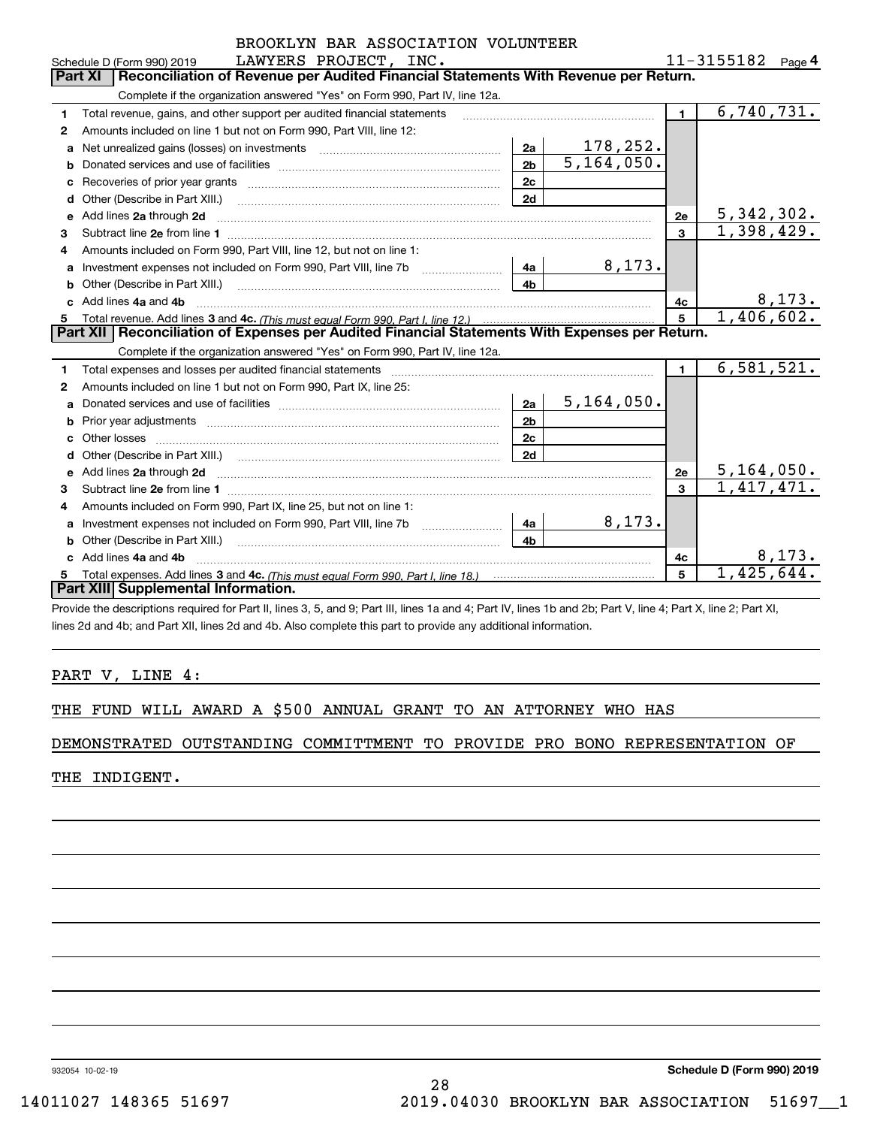| $11 - 3155182$ Page 4<br>LAWYERS PROJECT, INC.<br>Schedule D (Form 990) 2019<br>Reconciliation of Revenue per Audited Financial Statements With Revenue per Return.<br><b>Part XI</b><br>Complete if the organization answered "Yes" on Form 990, Part IV, line 12a.<br>6,740,731.<br>$\mathbf{1}$<br>Total revenue, gains, and other support per audited financial statements<br>1<br>Amounts included on line 1 but not on Form 990, Part VIII, line 12:<br>$\mathbf{2}$<br>178,252.<br>2a<br>Net unrealized gains (losses) on investments [11] matter contracts and the unrealized gains (losses) on investments<br>a<br>$\overline{5,164,050}$ .<br>2 <sub>b</sub><br>b<br>2c<br>2d<br>Other (Describe in Part XIII.) <b>Construction Contract Construction</b> Construction Construction Construction Constr<br>d<br>5, 342, 302.<br>e Add lines 2a through 2d<br>2e<br>1,398,429.<br>$\mathbf{3}$<br>3<br>Amounts included on Form 990, Part VIII, line 12, but not on line 1:<br>4<br>8,173.<br>4a<br>a<br>4b<br>Other (Describe in Part XIII.) <b>Construction Contract Construction</b> Chemistry Chemistry Chemistry Chemistry Chemistry<br>b<br><u>8,173.</u><br>Add lines 4a and 4b<br>4c<br>c.<br>1,406,602.<br>$\overline{5}$<br>5<br>Part XII   Reconciliation of Expenses per Audited Financial Statements With Expenses per Return.<br>Complete if the organization answered "Yes" on Form 990, Part IV, line 12a.<br>6,581,521.<br>$\blacksquare$<br>Total expenses and losses per audited financial statements<br>1<br>Amounts included on line 1 but not on Form 990, Part IX, line 25:<br>2<br>5, 164, 050.<br>2a<br>a<br>2 <sub>b</sub><br>b<br>2c<br>c<br>2d<br>5, 164, 050.<br>2e<br>1,417,471.<br>$\mathbf{a}$<br>3<br>Amounts included on Form 990, Part IX, line 25, but not on line 1:<br>4<br>8,173.<br>4a<br>a<br>4 <sub>b</sub><br>b<br>8,173.<br>Add lines 4a and 4b<br>4с<br>c.<br>1,425,644.<br>5<br>Part XIII Supplemental Information. | BROOKLYN BAR ASSOCIATION VOLUNTEER |  |  |  |  |  |  |  |  |  |  |
|----------------------------------------------------------------------------------------------------------------------------------------------------------------------------------------------------------------------------------------------------------------------------------------------------------------------------------------------------------------------------------------------------------------------------------------------------------------------------------------------------------------------------------------------------------------------------------------------------------------------------------------------------------------------------------------------------------------------------------------------------------------------------------------------------------------------------------------------------------------------------------------------------------------------------------------------------------------------------------------------------------------------------------------------------------------------------------------------------------------------------------------------------------------------------------------------------------------------------------------------------------------------------------------------------------------------------------------------------------------------------------------------------------------------------------------------------------------------------------------------------------------------------------------------------------------------------------------------------------------------------------------------------------------------------------------------------------------------------------------------------------------------------------------------------------------------------------------------------------------------------------------------------------------------------------------------------------------------------|------------------------------------|--|--|--|--|--|--|--|--|--|--|
|                                                                                                                                                                                                                                                                                                                                                                                                                                                                                                                                                                                                                                                                                                                                                                                                                                                                                                                                                                                                                                                                                                                                                                                                                                                                                                                                                                                                                                                                                                                                                                                                                                                                                                                                                                                                                                                                                                                                                                            |                                    |  |  |  |  |  |  |  |  |  |  |
|                                                                                                                                                                                                                                                                                                                                                                                                                                                                                                                                                                                                                                                                                                                                                                                                                                                                                                                                                                                                                                                                                                                                                                                                                                                                                                                                                                                                                                                                                                                                                                                                                                                                                                                                                                                                                                                                                                                                                                            |                                    |  |  |  |  |  |  |  |  |  |  |
|                                                                                                                                                                                                                                                                                                                                                                                                                                                                                                                                                                                                                                                                                                                                                                                                                                                                                                                                                                                                                                                                                                                                                                                                                                                                                                                                                                                                                                                                                                                                                                                                                                                                                                                                                                                                                                                                                                                                                                            |                                    |  |  |  |  |  |  |  |  |  |  |
|                                                                                                                                                                                                                                                                                                                                                                                                                                                                                                                                                                                                                                                                                                                                                                                                                                                                                                                                                                                                                                                                                                                                                                                                                                                                                                                                                                                                                                                                                                                                                                                                                                                                                                                                                                                                                                                                                                                                                                            |                                    |  |  |  |  |  |  |  |  |  |  |
|                                                                                                                                                                                                                                                                                                                                                                                                                                                                                                                                                                                                                                                                                                                                                                                                                                                                                                                                                                                                                                                                                                                                                                                                                                                                                                                                                                                                                                                                                                                                                                                                                                                                                                                                                                                                                                                                                                                                                                            |                                    |  |  |  |  |  |  |  |  |  |  |
|                                                                                                                                                                                                                                                                                                                                                                                                                                                                                                                                                                                                                                                                                                                                                                                                                                                                                                                                                                                                                                                                                                                                                                                                                                                                                                                                                                                                                                                                                                                                                                                                                                                                                                                                                                                                                                                                                                                                                                            |                                    |  |  |  |  |  |  |  |  |  |  |
|                                                                                                                                                                                                                                                                                                                                                                                                                                                                                                                                                                                                                                                                                                                                                                                                                                                                                                                                                                                                                                                                                                                                                                                                                                                                                                                                                                                                                                                                                                                                                                                                                                                                                                                                                                                                                                                                                                                                                                            |                                    |  |  |  |  |  |  |  |  |  |  |
|                                                                                                                                                                                                                                                                                                                                                                                                                                                                                                                                                                                                                                                                                                                                                                                                                                                                                                                                                                                                                                                                                                                                                                                                                                                                                                                                                                                                                                                                                                                                                                                                                                                                                                                                                                                                                                                                                                                                                                            |                                    |  |  |  |  |  |  |  |  |  |  |
|                                                                                                                                                                                                                                                                                                                                                                                                                                                                                                                                                                                                                                                                                                                                                                                                                                                                                                                                                                                                                                                                                                                                                                                                                                                                                                                                                                                                                                                                                                                                                                                                                                                                                                                                                                                                                                                                                                                                                                            |                                    |  |  |  |  |  |  |  |  |  |  |
|                                                                                                                                                                                                                                                                                                                                                                                                                                                                                                                                                                                                                                                                                                                                                                                                                                                                                                                                                                                                                                                                                                                                                                                                                                                                                                                                                                                                                                                                                                                                                                                                                                                                                                                                                                                                                                                                                                                                                                            |                                    |  |  |  |  |  |  |  |  |  |  |
|                                                                                                                                                                                                                                                                                                                                                                                                                                                                                                                                                                                                                                                                                                                                                                                                                                                                                                                                                                                                                                                                                                                                                                                                                                                                                                                                                                                                                                                                                                                                                                                                                                                                                                                                                                                                                                                                                                                                                                            |                                    |  |  |  |  |  |  |  |  |  |  |
|                                                                                                                                                                                                                                                                                                                                                                                                                                                                                                                                                                                                                                                                                                                                                                                                                                                                                                                                                                                                                                                                                                                                                                                                                                                                                                                                                                                                                                                                                                                                                                                                                                                                                                                                                                                                                                                                                                                                                                            |                                    |  |  |  |  |  |  |  |  |  |  |
|                                                                                                                                                                                                                                                                                                                                                                                                                                                                                                                                                                                                                                                                                                                                                                                                                                                                                                                                                                                                                                                                                                                                                                                                                                                                                                                                                                                                                                                                                                                                                                                                                                                                                                                                                                                                                                                                                                                                                                            |                                    |  |  |  |  |  |  |  |  |  |  |
|                                                                                                                                                                                                                                                                                                                                                                                                                                                                                                                                                                                                                                                                                                                                                                                                                                                                                                                                                                                                                                                                                                                                                                                                                                                                                                                                                                                                                                                                                                                                                                                                                                                                                                                                                                                                                                                                                                                                                                            |                                    |  |  |  |  |  |  |  |  |  |  |
|                                                                                                                                                                                                                                                                                                                                                                                                                                                                                                                                                                                                                                                                                                                                                                                                                                                                                                                                                                                                                                                                                                                                                                                                                                                                                                                                                                                                                                                                                                                                                                                                                                                                                                                                                                                                                                                                                                                                                                            |                                    |  |  |  |  |  |  |  |  |  |  |
|                                                                                                                                                                                                                                                                                                                                                                                                                                                                                                                                                                                                                                                                                                                                                                                                                                                                                                                                                                                                                                                                                                                                                                                                                                                                                                                                                                                                                                                                                                                                                                                                                                                                                                                                                                                                                                                                                                                                                                            |                                    |  |  |  |  |  |  |  |  |  |  |
|                                                                                                                                                                                                                                                                                                                                                                                                                                                                                                                                                                                                                                                                                                                                                                                                                                                                                                                                                                                                                                                                                                                                                                                                                                                                                                                                                                                                                                                                                                                                                                                                                                                                                                                                                                                                                                                                                                                                                                            |                                    |  |  |  |  |  |  |  |  |  |  |
|                                                                                                                                                                                                                                                                                                                                                                                                                                                                                                                                                                                                                                                                                                                                                                                                                                                                                                                                                                                                                                                                                                                                                                                                                                                                                                                                                                                                                                                                                                                                                                                                                                                                                                                                                                                                                                                                                                                                                                            |                                    |  |  |  |  |  |  |  |  |  |  |
|                                                                                                                                                                                                                                                                                                                                                                                                                                                                                                                                                                                                                                                                                                                                                                                                                                                                                                                                                                                                                                                                                                                                                                                                                                                                                                                                                                                                                                                                                                                                                                                                                                                                                                                                                                                                                                                                                                                                                                            |                                    |  |  |  |  |  |  |  |  |  |  |
|                                                                                                                                                                                                                                                                                                                                                                                                                                                                                                                                                                                                                                                                                                                                                                                                                                                                                                                                                                                                                                                                                                                                                                                                                                                                                                                                                                                                                                                                                                                                                                                                                                                                                                                                                                                                                                                                                                                                                                            |                                    |  |  |  |  |  |  |  |  |  |  |
|                                                                                                                                                                                                                                                                                                                                                                                                                                                                                                                                                                                                                                                                                                                                                                                                                                                                                                                                                                                                                                                                                                                                                                                                                                                                                                                                                                                                                                                                                                                                                                                                                                                                                                                                                                                                                                                                                                                                                                            |                                    |  |  |  |  |  |  |  |  |  |  |
|                                                                                                                                                                                                                                                                                                                                                                                                                                                                                                                                                                                                                                                                                                                                                                                                                                                                                                                                                                                                                                                                                                                                                                                                                                                                                                                                                                                                                                                                                                                                                                                                                                                                                                                                                                                                                                                                                                                                                                            |                                    |  |  |  |  |  |  |  |  |  |  |
|                                                                                                                                                                                                                                                                                                                                                                                                                                                                                                                                                                                                                                                                                                                                                                                                                                                                                                                                                                                                                                                                                                                                                                                                                                                                                                                                                                                                                                                                                                                                                                                                                                                                                                                                                                                                                                                                                                                                                                            |                                    |  |  |  |  |  |  |  |  |  |  |
|                                                                                                                                                                                                                                                                                                                                                                                                                                                                                                                                                                                                                                                                                                                                                                                                                                                                                                                                                                                                                                                                                                                                                                                                                                                                                                                                                                                                                                                                                                                                                                                                                                                                                                                                                                                                                                                                                                                                                                            |                                    |  |  |  |  |  |  |  |  |  |  |
|                                                                                                                                                                                                                                                                                                                                                                                                                                                                                                                                                                                                                                                                                                                                                                                                                                                                                                                                                                                                                                                                                                                                                                                                                                                                                                                                                                                                                                                                                                                                                                                                                                                                                                                                                                                                                                                                                                                                                                            |                                    |  |  |  |  |  |  |  |  |  |  |
|                                                                                                                                                                                                                                                                                                                                                                                                                                                                                                                                                                                                                                                                                                                                                                                                                                                                                                                                                                                                                                                                                                                                                                                                                                                                                                                                                                                                                                                                                                                                                                                                                                                                                                                                                                                                                                                                                                                                                                            |                                    |  |  |  |  |  |  |  |  |  |  |
|                                                                                                                                                                                                                                                                                                                                                                                                                                                                                                                                                                                                                                                                                                                                                                                                                                                                                                                                                                                                                                                                                                                                                                                                                                                                                                                                                                                                                                                                                                                                                                                                                                                                                                                                                                                                                                                                                                                                                                            |                                    |  |  |  |  |  |  |  |  |  |  |
|                                                                                                                                                                                                                                                                                                                                                                                                                                                                                                                                                                                                                                                                                                                                                                                                                                                                                                                                                                                                                                                                                                                                                                                                                                                                                                                                                                                                                                                                                                                                                                                                                                                                                                                                                                                                                                                                                                                                                                            |                                    |  |  |  |  |  |  |  |  |  |  |
|                                                                                                                                                                                                                                                                                                                                                                                                                                                                                                                                                                                                                                                                                                                                                                                                                                                                                                                                                                                                                                                                                                                                                                                                                                                                                                                                                                                                                                                                                                                                                                                                                                                                                                                                                                                                                                                                                                                                                                            |                                    |  |  |  |  |  |  |  |  |  |  |
|                                                                                                                                                                                                                                                                                                                                                                                                                                                                                                                                                                                                                                                                                                                                                                                                                                                                                                                                                                                                                                                                                                                                                                                                                                                                                                                                                                                                                                                                                                                                                                                                                                                                                                                                                                                                                                                                                                                                                                            |                                    |  |  |  |  |  |  |  |  |  |  |
|                                                                                                                                                                                                                                                                                                                                                                                                                                                                                                                                                                                                                                                                                                                                                                                                                                                                                                                                                                                                                                                                                                                                                                                                                                                                                                                                                                                                                                                                                                                                                                                                                                                                                                                                                                                                                                                                                                                                                                            |                                    |  |  |  |  |  |  |  |  |  |  |
|                                                                                                                                                                                                                                                                                                                                                                                                                                                                                                                                                                                                                                                                                                                                                                                                                                                                                                                                                                                                                                                                                                                                                                                                                                                                                                                                                                                                                                                                                                                                                                                                                                                                                                                                                                                                                                                                                                                                                                            |                                    |  |  |  |  |  |  |  |  |  |  |

Provide the descriptions required for Part II, lines 3, 5, and 9; Part III, lines 1a and 4; Part IV, lines 1b and 2b; Part V, line 4; Part X, line 2; Part XI, lines 2d and 4b; and Part XII, lines 2d and 4b. Also complete this part to provide any additional information.

PART V, LINE 4:

THE FUND WILL AWARD A \$500 ANNUAL GRANT TO AN ATTORNEY WHO HAS

DEMONSTRATED OUTSTANDING COMMITTMENT TO PROVIDE PRO BONO REPRESENTATION OF

THE INDIGENT.

932054 10-02-19

**Schedule D (Form 990) 2019** 28 14011027 148365 51697 2019.04030 BROOKLYN BAR ASSOCIATION 51697\_\_1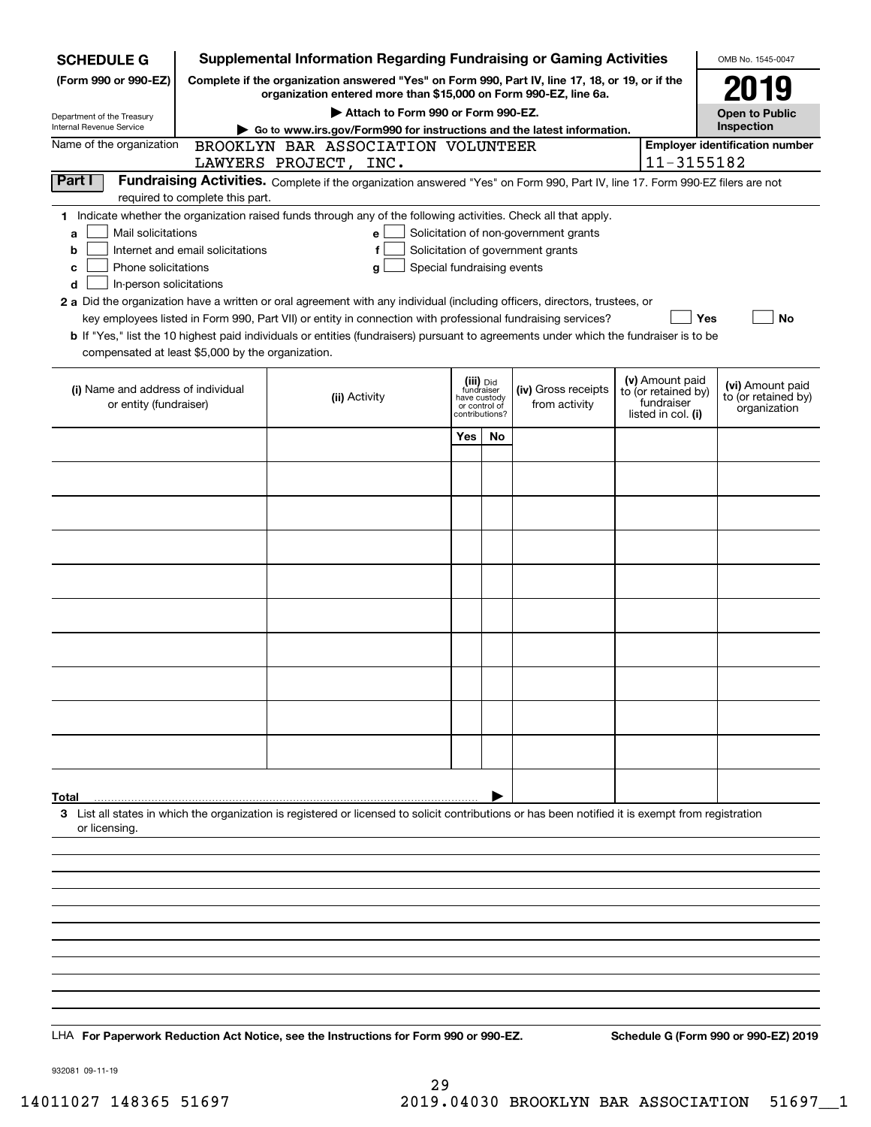| Complete if the organization answered "Yes" on Form 990, Part IV, line 17, 18, or 19, or if the<br>2019<br>organization entered more than \$15,000 on Form 990-EZ, line 6a.<br>Attach to Form 990 or Form 990-EZ.<br><b>Open to Public</b><br>Department of the Treasury<br>Inspection<br>Go to www.irs.gov/Form990 for instructions and the latest information.<br>Name of the organization<br><b>Employer identification number</b><br>BROOKLYN BAR ASSOCIATION VOLUNTEER<br>11-3155182<br>LAWYERS PROJECT, INC.<br>Part I<br>Fundraising Activities. Complete if the organization answered "Yes" on Form 990, Part IV, line 17. Form 990-EZ filers are not<br>required to complete this part.<br>1 Indicate whether the organization raised funds through any of the following activities. Check all that apply.<br>Mail solicitations<br>Solicitation of non-government grants<br>e<br>a<br>Internet and email solicitations<br>Solicitation of government grants<br>b<br>Phone solicitations<br>Special fundraising events<br>g<br>c<br>In-person solicitations<br>d<br>2 a Did the organization have a written or oral agreement with any individual (including officers, directors, trustees, or<br><b>No</b><br>key employees listed in Form 990, Part VII) or entity in connection with professional fundraising services?<br>Yes<br><b>b</b> If "Yes," list the 10 highest paid individuals or entities (fundraisers) pursuant to agreements under which the fundraiser is to be<br>compensated at least \$5,000 by the organization.<br>(v) Amount paid<br>(iii) Did<br>fundraiser<br>have custody<br>(vi) Amount paid<br>(i) Name and address of individual<br>(iv) Gross receipts<br>to (or retained by)<br>(ii) Activity<br>to (or retained by)<br>fundraiser<br>from activity<br>or entity (fundraiser)<br>or control of<br>organization<br>listed in col. (i)<br>contributions?<br>Yes<br>No<br>3 List all states in which the organization is registered or licensed to solicit contributions or has been notified it is exempt from registration<br>or licensing.<br>Schedule G (Form 990 or 990-EZ) 2019<br>LHA For Paperwork Reduction Act Notice, see the Instructions for Form 990 or 990-EZ. | <b>SCHEDULE G</b>        |  | <b>Supplemental Information Regarding Fundraising or Gaming Activities</b> |  |  | OMB No. 1545-0047 |
|---------------------------------------------------------------------------------------------------------------------------------------------------------------------------------------------------------------------------------------------------------------------------------------------------------------------------------------------------------------------------------------------------------------------------------------------------------------------------------------------------------------------------------------------------------------------------------------------------------------------------------------------------------------------------------------------------------------------------------------------------------------------------------------------------------------------------------------------------------------------------------------------------------------------------------------------------------------------------------------------------------------------------------------------------------------------------------------------------------------------------------------------------------------------------------------------------------------------------------------------------------------------------------------------------------------------------------------------------------------------------------------------------------------------------------------------------------------------------------------------------------------------------------------------------------------------------------------------------------------------------------------------------------------------------------------------------------------------------------------------------------------------------------------------------------------------------------------------------------------------------------------------------------------------------------------------------------------------------------------------------------------------------------------------------------------------------------------------------------------------------------------------------------------------------------------------------------------------|--------------------------|--|----------------------------------------------------------------------------|--|--|-------------------|
|                                                                                                                                                                                                                                                                                                                                                                                                                                                                                                                                                                                                                                                                                                                                                                                                                                                                                                                                                                                                                                                                                                                                                                                                                                                                                                                                                                                                                                                                                                                                                                                                                                                                                                                                                                                                                                                                                                                                                                                                                                                                                                                                                                                                                     | (Form 990 or 990-EZ)     |  |                                                                            |  |  |                   |
|                                                                                                                                                                                                                                                                                                                                                                                                                                                                                                                                                                                                                                                                                                                                                                                                                                                                                                                                                                                                                                                                                                                                                                                                                                                                                                                                                                                                                                                                                                                                                                                                                                                                                                                                                                                                                                                                                                                                                                                                                                                                                                                                                                                                                     |                          |  |                                                                            |  |  |                   |
|                                                                                                                                                                                                                                                                                                                                                                                                                                                                                                                                                                                                                                                                                                                                                                                                                                                                                                                                                                                                                                                                                                                                                                                                                                                                                                                                                                                                                                                                                                                                                                                                                                                                                                                                                                                                                                                                                                                                                                                                                                                                                                                                                                                                                     | Internal Revenue Service |  |                                                                            |  |  |                   |
|                                                                                                                                                                                                                                                                                                                                                                                                                                                                                                                                                                                                                                                                                                                                                                                                                                                                                                                                                                                                                                                                                                                                                                                                                                                                                                                                                                                                                                                                                                                                                                                                                                                                                                                                                                                                                                                                                                                                                                                                                                                                                                                                                                                                                     |                          |  |                                                                            |  |  |                   |
|                                                                                                                                                                                                                                                                                                                                                                                                                                                                                                                                                                                                                                                                                                                                                                                                                                                                                                                                                                                                                                                                                                                                                                                                                                                                                                                                                                                                                                                                                                                                                                                                                                                                                                                                                                                                                                                                                                                                                                                                                                                                                                                                                                                                                     |                          |  |                                                                            |  |  |                   |
|                                                                                                                                                                                                                                                                                                                                                                                                                                                                                                                                                                                                                                                                                                                                                                                                                                                                                                                                                                                                                                                                                                                                                                                                                                                                                                                                                                                                                                                                                                                                                                                                                                                                                                                                                                                                                                                                                                                                                                                                                                                                                                                                                                                                                     |                          |  |                                                                            |  |  |                   |
|                                                                                                                                                                                                                                                                                                                                                                                                                                                                                                                                                                                                                                                                                                                                                                                                                                                                                                                                                                                                                                                                                                                                                                                                                                                                                                                                                                                                                                                                                                                                                                                                                                                                                                                                                                                                                                                                                                                                                                                                                                                                                                                                                                                                                     |                          |  |                                                                            |  |  |                   |
|                                                                                                                                                                                                                                                                                                                                                                                                                                                                                                                                                                                                                                                                                                                                                                                                                                                                                                                                                                                                                                                                                                                                                                                                                                                                                                                                                                                                                                                                                                                                                                                                                                                                                                                                                                                                                                                                                                                                                                                                                                                                                                                                                                                                                     |                          |  |                                                                            |  |  |                   |
|                                                                                                                                                                                                                                                                                                                                                                                                                                                                                                                                                                                                                                                                                                                                                                                                                                                                                                                                                                                                                                                                                                                                                                                                                                                                                                                                                                                                                                                                                                                                                                                                                                                                                                                                                                                                                                                                                                                                                                                                                                                                                                                                                                                                                     |                          |  |                                                                            |  |  |                   |
|                                                                                                                                                                                                                                                                                                                                                                                                                                                                                                                                                                                                                                                                                                                                                                                                                                                                                                                                                                                                                                                                                                                                                                                                                                                                                                                                                                                                                                                                                                                                                                                                                                                                                                                                                                                                                                                                                                                                                                                                                                                                                                                                                                                                                     |                          |  |                                                                            |  |  |                   |
|                                                                                                                                                                                                                                                                                                                                                                                                                                                                                                                                                                                                                                                                                                                                                                                                                                                                                                                                                                                                                                                                                                                                                                                                                                                                                                                                                                                                                                                                                                                                                                                                                                                                                                                                                                                                                                                                                                                                                                                                                                                                                                                                                                                                                     |                          |  |                                                                            |  |  |                   |
|                                                                                                                                                                                                                                                                                                                                                                                                                                                                                                                                                                                                                                                                                                                                                                                                                                                                                                                                                                                                                                                                                                                                                                                                                                                                                                                                                                                                                                                                                                                                                                                                                                                                                                                                                                                                                                                                                                                                                                                                                                                                                                                                                                                                                     |                          |  |                                                                            |  |  |                   |
|                                                                                                                                                                                                                                                                                                                                                                                                                                                                                                                                                                                                                                                                                                                                                                                                                                                                                                                                                                                                                                                                                                                                                                                                                                                                                                                                                                                                                                                                                                                                                                                                                                                                                                                                                                                                                                                                                                                                                                                                                                                                                                                                                                                                                     |                          |  |                                                                            |  |  |                   |
|                                                                                                                                                                                                                                                                                                                                                                                                                                                                                                                                                                                                                                                                                                                                                                                                                                                                                                                                                                                                                                                                                                                                                                                                                                                                                                                                                                                                                                                                                                                                                                                                                                                                                                                                                                                                                                                                                                                                                                                                                                                                                                                                                                                                                     |                          |  |                                                                            |  |  |                   |
|                                                                                                                                                                                                                                                                                                                                                                                                                                                                                                                                                                                                                                                                                                                                                                                                                                                                                                                                                                                                                                                                                                                                                                                                                                                                                                                                                                                                                                                                                                                                                                                                                                                                                                                                                                                                                                                                                                                                                                                                                                                                                                                                                                                                                     |                          |  |                                                                            |  |  |                   |
|                                                                                                                                                                                                                                                                                                                                                                                                                                                                                                                                                                                                                                                                                                                                                                                                                                                                                                                                                                                                                                                                                                                                                                                                                                                                                                                                                                                                                                                                                                                                                                                                                                                                                                                                                                                                                                                                                                                                                                                                                                                                                                                                                                                                                     |                          |  |                                                                            |  |  |                   |
|                                                                                                                                                                                                                                                                                                                                                                                                                                                                                                                                                                                                                                                                                                                                                                                                                                                                                                                                                                                                                                                                                                                                                                                                                                                                                                                                                                                                                                                                                                                                                                                                                                                                                                                                                                                                                                                                                                                                                                                                                                                                                                                                                                                                                     |                          |  |                                                                            |  |  |                   |
|                                                                                                                                                                                                                                                                                                                                                                                                                                                                                                                                                                                                                                                                                                                                                                                                                                                                                                                                                                                                                                                                                                                                                                                                                                                                                                                                                                                                                                                                                                                                                                                                                                                                                                                                                                                                                                                                                                                                                                                                                                                                                                                                                                                                                     |                          |  |                                                                            |  |  |                   |
|                                                                                                                                                                                                                                                                                                                                                                                                                                                                                                                                                                                                                                                                                                                                                                                                                                                                                                                                                                                                                                                                                                                                                                                                                                                                                                                                                                                                                                                                                                                                                                                                                                                                                                                                                                                                                                                                                                                                                                                                                                                                                                                                                                                                                     |                          |  |                                                                            |  |  |                   |
|                                                                                                                                                                                                                                                                                                                                                                                                                                                                                                                                                                                                                                                                                                                                                                                                                                                                                                                                                                                                                                                                                                                                                                                                                                                                                                                                                                                                                                                                                                                                                                                                                                                                                                                                                                                                                                                                                                                                                                                                                                                                                                                                                                                                                     |                          |  |                                                                            |  |  |                   |
|                                                                                                                                                                                                                                                                                                                                                                                                                                                                                                                                                                                                                                                                                                                                                                                                                                                                                                                                                                                                                                                                                                                                                                                                                                                                                                                                                                                                                                                                                                                                                                                                                                                                                                                                                                                                                                                                                                                                                                                                                                                                                                                                                                                                                     |                          |  |                                                                            |  |  |                   |
|                                                                                                                                                                                                                                                                                                                                                                                                                                                                                                                                                                                                                                                                                                                                                                                                                                                                                                                                                                                                                                                                                                                                                                                                                                                                                                                                                                                                                                                                                                                                                                                                                                                                                                                                                                                                                                                                                                                                                                                                                                                                                                                                                                                                                     |                          |  |                                                                            |  |  |                   |
|                                                                                                                                                                                                                                                                                                                                                                                                                                                                                                                                                                                                                                                                                                                                                                                                                                                                                                                                                                                                                                                                                                                                                                                                                                                                                                                                                                                                                                                                                                                                                                                                                                                                                                                                                                                                                                                                                                                                                                                                                                                                                                                                                                                                                     |                          |  |                                                                            |  |  |                   |
|                                                                                                                                                                                                                                                                                                                                                                                                                                                                                                                                                                                                                                                                                                                                                                                                                                                                                                                                                                                                                                                                                                                                                                                                                                                                                                                                                                                                                                                                                                                                                                                                                                                                                                                                                                                                                                                                                                                                                                                                                                                                                                                                                                                                                     | Total                    |  |                                                                            |  |  |                   |
|                                                                                                                                                                                                                                                                                                                                                                                                                                                                                                                                                                                                                                                                                                                                                                                                                                                                                                                                                                                                                                                                                                                                                                                                                                                                                                                                                                                                                                                                                                                                                                                                                                                                                                                                                                                                                                                                                                                                                                                                                                                                                                                                                                                                                     |                          |  |                                                                            |  |  |                   |
|                                                                                                                                                                                                                                                                                                                                                                                                                                                                                                                                                                                                                                                                                                                                                                                                                                                                                                                                                                                                                                                                                                                                                                                                                                                                                                                                                                                                                                                                                                                                                                                                                                                                                                                                                                                                                                                                                                                                                                                                                                                                                                                                                                                                                     |                          |  |                                                                            |  |  |                   |
|                                                                                                                                                                                                                                                                                                                                                                                                                                                                                                                                                                                                                                                                                                                                                                                                                                                                                                                                                                                                                                                                                                                                                                                                                                                                                                                                                                                                                                                                                                                                                                                                                                                                                                                                                                                                                                                                                                                                                                                                                                                                                                                                                                                                                     |                          |  |                                                                            |  |  |                   |
|                                                                                                                                                                                                                                                                                                                                                                                                                                                                                                                                                                                                                                                                                                                                                                                                                                                                                                                                                                                                                                                                                                                                                                                                                                                                                                                                                                                                                                                                                                                                                                                                                                                                                                                                                                                                                                                                                                                                                                                                                                                                                                                                                                                                                     |                          |  |                                                                            |  |  |                   |
|                                                                                                                                                                                                                                                                                                                                                                                                                                                                                                                                                                                                                                                                                                                                                                                                                                                                                                                                                                                                                                                                                                                                                                                                                                                                                                                                                                                                                                                                                                                                                                                                                                                                                                                                                                                                                                                                                                                                                                                                                                                                                                                                                                                                                     |                          |  |                                                                            |  |  |                   |
|                                                                                                                                                                                                                                                                                                                                                                                                                                                                                                                                                                                                                                                                                                                                                                                                                                                                                                                                                                                                                                                                                                                                                                                                                                                                                                                                                                                                                                                                                                                                                                                                                                                                                                                                                                                                                                                                                                                                                                                                                                                                                                                                                                                                                     |                          |  |                                                                            |  |  |                   |
|                                                                                                                                                                                                                                                                                                                                                                                                                                                                                                                                                                                                                                                                                                                                                                                                                                                                                                                                                                                                                                                                                                                                                                                                                                                                                                                                                                                                                                                                                                                                                                                                                                                                                                                                                                                                                                                                                                                                                                                                                                                                                                                                                                                                                     |                          |  |                                                                            |  |  |                   |
|                                                                                                                                                                                                                                                                                                                                                                                                                                                                                                                                                                                                                                                                                                                                                                                                                                                                                                                                                                                                                                                                                                                                                                                                                                                                                                                                                                                                                                                                                                                                                                                                                                                                                                                                                                                                                                                                                                                                                                                                                                                                                                                                                                                                                     |                          |  |                                                                            |  |  |                   |
|                                                                                                                                                                                                                                                                                                                                                                                                                                                                                                                                                                                                                                                                                                                                                                                                                                                                                                                                                                                                                                                                                                                                                                                                                                                                                                                                                                                                                                                                                                                                                                                                                                                                                                                                                                                                                                                                                                                                                                                                                                                                                                                                                                                                                     |                          |  |                                                                            |  |  |                   |
|                                                                                                                                                                                                                                                                                                                                                                                                                                                                                                                                                                                                                                                                                                                                                                                                                                                                                                                                                                                                                                                                                                                                                                                                                                                                                                                                                                                                                                                                                                                                                                                                                                                                                                                                                                                                                                                                                                                                                                                                                                                                                                                                                                                                                     |                          |  |                                                                            |  |  |                   |

932081 09-11-19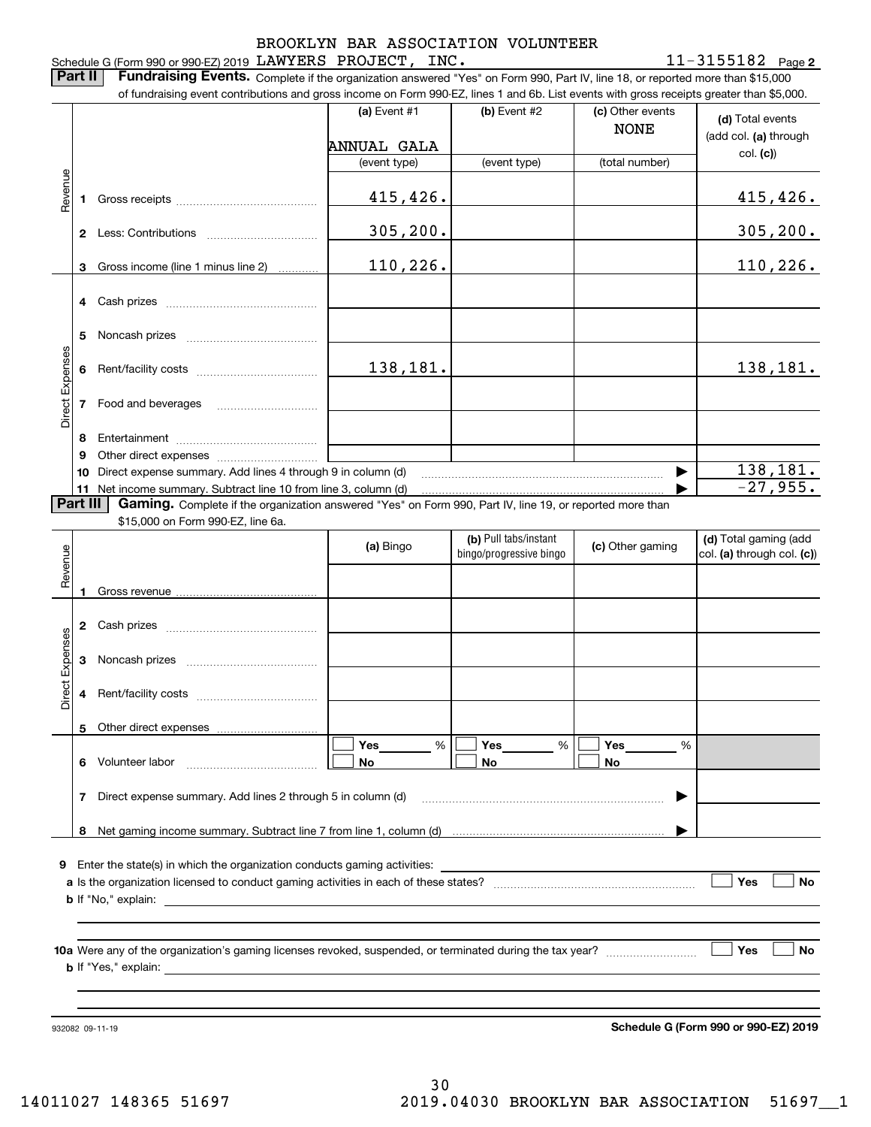#### Schedule G (Form 990 or 990-EZ) 2019 Page LAWYERS PROJECT, INC. 11-3155182 BROOKLYN BAR ASSOCIATION VOLUNTEER

**Part II** | Fundraising Events. Complete if the organization answered "Yes" on Form 990, Part IV, line 18, or reported more than \$15,000 of fundraising event contributions and gross income on Form 990-EZ, lines 1 and 6b. List events with gross receipts greater than \$5,000.

|                 |          | 01 lunuraising event continuutions and gross income on Form 990-EZ, illies T and OD. Elst events with gross receipts greater than \$0,000.                                                                                    |                |                                                  |                                 |                                                     |
|-----------------|----------|-------------------------------------------------------------------------------------------------------------------------------------------------------------------------------------------------------------------------------|----------------|--------------------------------------------------|---------------------------------|-----------------------------------------------------|
|                 |          |                                                                                                                                                                                                                               | (a) Event $#1$ | (b) Event $#2$                                   | (c) Other events<br><b>NONE</b> | (d) Total events<br>(add col. (a) through           |
|                 |          |                                                                                                                                                                                                                               | ANNUAL GALA    |                                                  |                                 | col. (c)                                            |
|                 |          |                                                                                                                                                                                                                               | (event type)   | (event type)                                     | (total number)                  |                                                     |
| Revenue         |          | 1 Gross receipts [11] Gross receipts [11] Gross receipts [11] Care and the Context of Table 100 and Table 100 and Table 100 and Table 100 and Table 100 and Table 100 and Table 100 and Table 100 and Table 100 and Table 100 | 415,426.       |                                                  |                                 | 415, 426.                                           |
|                 |          |                                                                                                                                                                                                                               | 305, 200.      |                                                  |                                 | 305, 200.                                           |
|                 | 3        | Gross income (line 1 minus line 2)                                                                                                                                                                                            | 110,226.       |                                                  |                                 | 110, 226.                                           |
|                 |          | 4 Cash prizes                                                                                                                                                                                                                 |                |                                                  |                                 |                                                     |
|                 |          |                                                                                                                                                                                                                               |                |                                                  |                                 |                                                     |
| Direct Expenses |          |                                                                                                                                                                                                                               | 138,181.       |                                                  |                                 | 138,181.                                            |
|                 |          | 7 Food and beverages                                                                                                                                                                                                          |                |                                                  |                                 |                                                     |
|                 | 8        |                                                                                                                                                                                                                               |                |                                                  |                                 |                                                     |
|                 | 9        |                                                                                                                                                                                                                               |                |                                                  |                                 |                                                     |
|                 | 10       | Direct expense summary. Add lines 4 through 9 in column (d)                                                                                                                                                                   |                |                                                  |                                 | 138,181.                                            |
|                 |          | 11 Net income summary. Subtract line 10 from line 3, column (d)                                                                                                                                                               |                |                                                  |                                 | $-27,955.$                                          |
|                 | Part III | Gaming. Complete if the organization answered "Yes" on Form 990, Part IV, line 19, or reported more than                                                                                                                      |                |                                                  |                                 |                                                     |
|                 |          | \$15,000 on Form 990-EZ, line 6a.                                                                                                                                                                                             |                |                                                  |                                 |                                                     |
| Revenue         |          |                                                                                                                                                                                                                               | (a) Bingo      | (b) Pull tabs/instant<br>bingo/progressive bingo | (c) Other gaming                | (d) Total gaming (add<br>col. (a) through col. (c)) |
|                 | 1        |                                                                                                                                                                                                                               |                |                                                  |                                 |                                                     |
|                 |          |                                                                                                                                                                                                                               |                |                                                  |                                 |                                                     |
|                 |          | 2 Cash prizes                                                                                                                                                                                                                 |                |                                                  |                                 |                                                     |
| Direct Expenses |          |                                                                                                                                                                                                                               |                |                                                  |                                 |                                                     |
|                 |          |                                                                                                                                                                                                                               |                |                                                  |                                 |                                                     |
|                 |          | 5 Other direct expenses                                                                                                                                                                                                       |                |                                                  |                                 |                                                     |
|                 |          |                                                                                                                                                                                                                               | %<br>Yes       | Yes<br>%                                         | Yes<br>%                        |                                                     |
|                 | 6        | Volunteer labor                                                                                                                                                                                                               | No             | No                                               | No                              |                                                     |
|                 |          | 7 Direct expense summary. Add lines 2 through 5 in column (d)                                                                                                                                                                 |                |                                                  |                                 |                                                     |
|                 |          |                                                                                                                                                                                                                               |                |                                                  |                                 |                                                     |
|                 | 8        |                                                                                                                                                                                                                               |                |                                                  |                                 |                                                     |
| 9.              |          | Enter the state(s) in which the organization conducts gaming activities:                                                                                                                                                      |                |                                                  |                                 |                                                     |
|                 |          | <b>b</b> If "No," explain:<br><u> 1989 - Johann Stein, mars an deutscher Stein († 1989)</u>                                                                                                                                   |                |                                                  |                                 | Yes<br><b>No</b>                                    |
|                 |          |                                                                                                                                                                                                                               |                |                                                  |                                 |                                                     |
|                 |          |                                                                                                                                                                                                                               |                |                                                  |                                 | Yes<br>No                                           |
|                 |          |                                                                                                                                                                                                                               |                |                                                  |                                 |                                                     |

932082 09-11-19

**Schedule G (Form 990 or 990-EZ) 2019**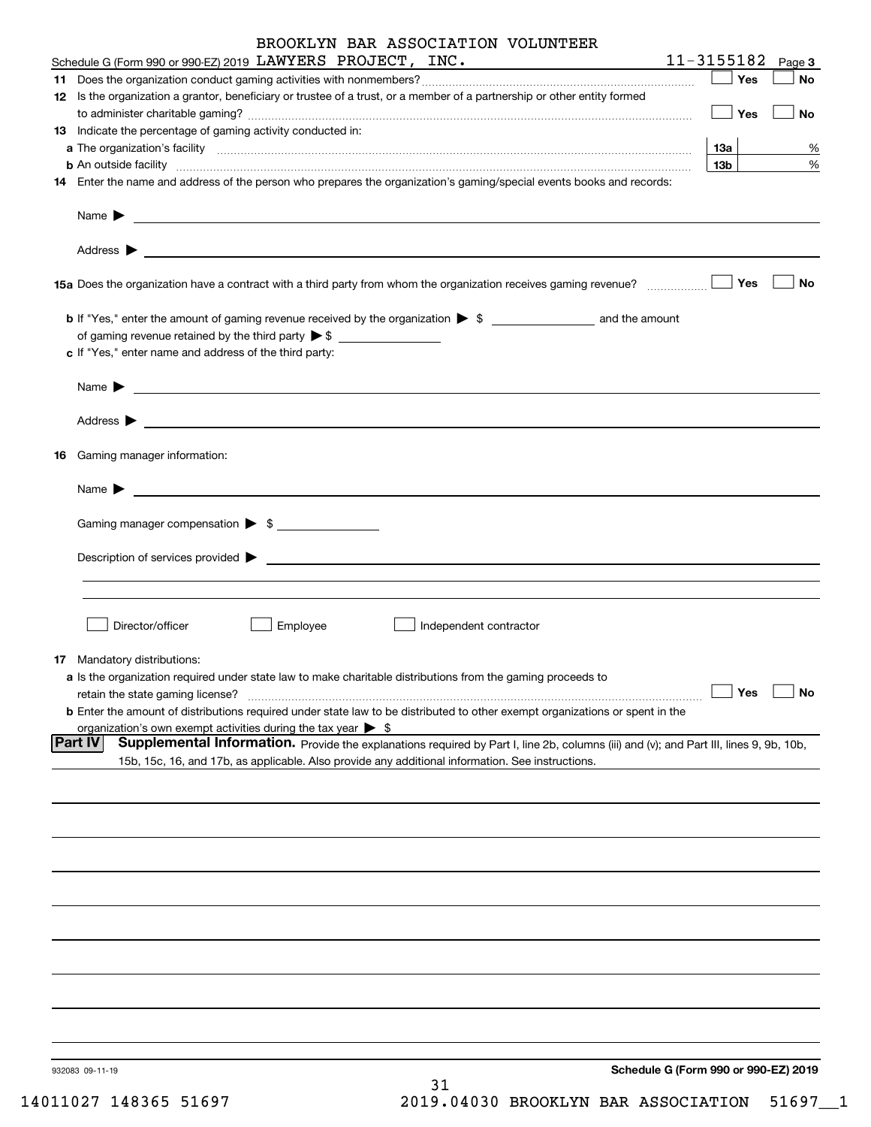|    | BROOKLYN BAR ASSOCIATION VOLUNTEER                                                                                                                                                                                                                           |                 |        |
|----|--------------------------------------------------------------------------------------------------------------------------------------------------------------------------------------------------------------------------------------------------------------|-----------------|--------|
|    | Schedule G (Form 990 or 990-EZ) 2019 LAWYERS PROJECT, INC.                                                                                                                                                                                                   | 11-3155182      | Page 3 |
|    |                                                                                                                                                                                                                                                              | Yes             | No     |
|    | 12 Is the organization a grantor, beneficiary or trustee of a trust, or a member of a partnership or other entity formed                                                                                                                                     |                 |        |
|    | 13 Indicate the percentage of gaming activity conducted in:                                                                                                                                                                                                  | Yes             | No     |
|    |                                                                                                                                                                                                                                                              | 13а             | %      |
|    | <b>b</b> An outside facility <i>www.communicality www.communicality.communicality www.communicality www.communicality.com</i>                                                                                                                                | 13 <sub>b</sub> | %      |
|    | 14 Enter the name and address of the person who prepares the organization's gaming/special events books and records:                                                                                                                                         |                 |        |
|    |                                                                                                                                                                                                                                                              |                 |        |
|    |                                                                                                                                                                                                                                                              |                 |        |
|    | 15a Does the organization have a contract with a third party from whom the organization receives gaming revenue?                                                                                                                                             | Yes             | No     |
|    | of gaming revenue retained by the third party $\triangleright$ \$                                                                                                                                                                                            |                 |        |
|    | c If "Yes," enter name and address of the third party:                                                                                                                                                                                                       |                 |        |
|    |                                                                                                                                                                                                                                                              |                 |        |
|    |                                                                                                                                                                                                                                                              |                 |        |
| 16 | Gaming manager information:                                                                                                                                                                                                                                  |                 |        |
|    |                                                                                                                                                                                                                                                              |                 |        |
|    | Gaming manager compensation > \$                                                                                                                                                                                                                             |                 |        |
|    | Description of services provided states and the service of the service of the services provided states are serviced to the service of the services provided states and the services of the services of the services of the ser                               |                 |        |
|    |                                                                                                                                                                                                                                                              |                 |        |
|    | Director/officer<br>Employee<br>Independent contractor                                                                                                                                                                                                       |                 |        |
|    | <b>17</b> Mandatory distributions:                                                                                                                                                                                                                           |                 |        |
|    | a Is the organization required under state law to make charitable distributions from the gaming proceeds to                                                                                                                                                  |                 |        |
|    | retain the state gaming license?                                                                                                                                                                                                                             | Yes             | No     |
|    | <b>b</b> Enter the amount of distributions required under state law to be distributed to other exempt organizations or spent in the                                                                                                                          |                 |        |
|    | organization's own exempt activities during the tax year $\triangleright$ \$                                                                                                                                                                                 |                 |        |
|    | <b>Part IV</b><br>Supplemental Information. Provide the explanations required by Part I, line 2b, columns (iii) and (v); and Part III, lines 9, 9b, 10b,<br>15b, 15c, 16, and 17b, as applicable. Also provide any additional information. See instructions. |                 |        |
|    |                                                                                                                                                                                                                                                              |                 |        |
|    |                                                                                                                                                                                                                                                              |                 |        |
|    |                                                                                                                                                                                                                                                              |                 |        |
|    |                                                                                                                                                                                                                                                              |                 |        |
|    |                                                                                                                                                                                                                                                              |                 |        |
|    |                                                                                                                                                                                                                                                              |                 |        |
|    |                                                                                                                                                                                                                                                              |                 |        |
|    |                                                                                                                                                                                                                                                              |                 |        |
|    |                                                                                                                                                                                                                                                              |                 |        |
|    | Schedule G (Form 990 or 990-EZ) 2019<br>932083 09-11-19<br>31                                                                                                                                                                                                |                 |        |

14011027 148365 51697 2019.04030 BROOKLYN BAR ASSOCIATION 51697\_\_1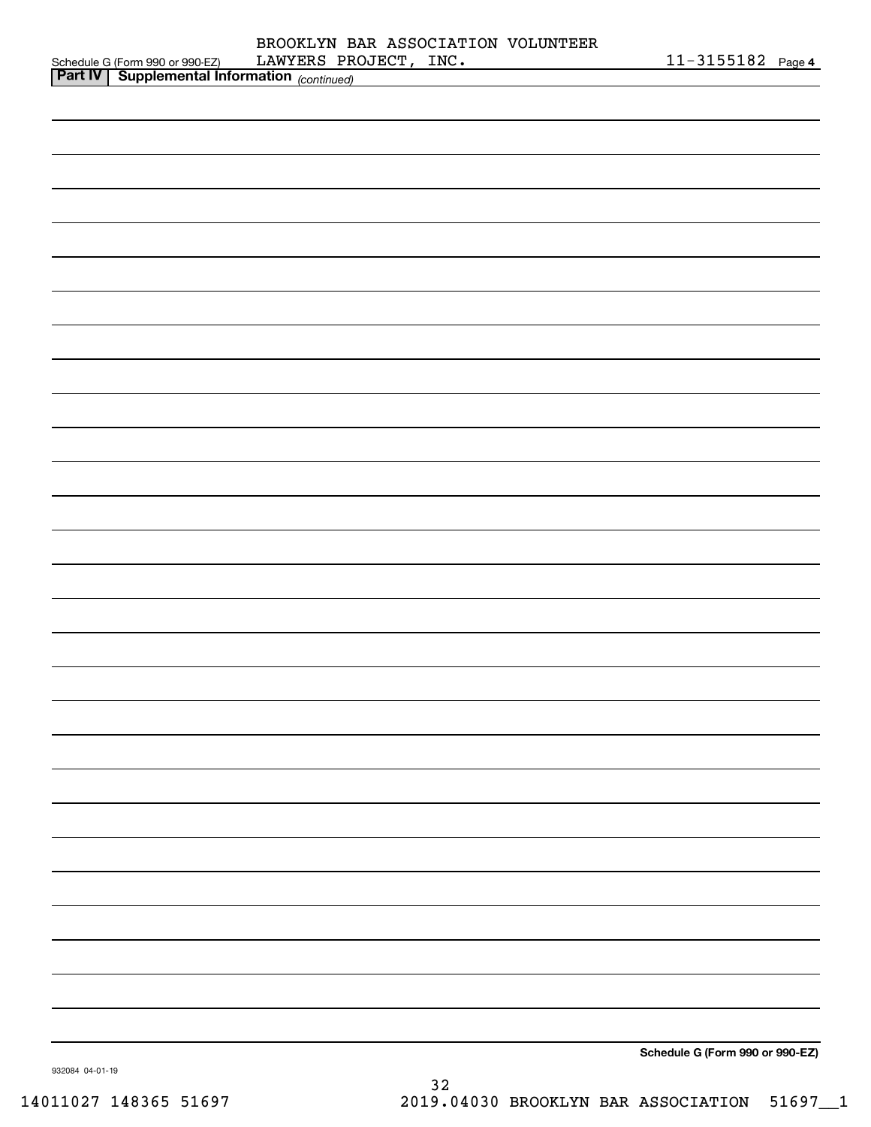|                 |                                                                                                    | LAWYERS PROJECT, INC. |  | <u>11-3155182 Page 4</u>        |  |
|-----------------|----------------------------------------------------------------------------------------------------|-----------------------|--|---------------------------------|--|
|                 | Schedule G (Form 990 or 990-EZ) LAWYERS PRO<br><b>Part IV</b> Supplemental Information (continued) |                       |  |                                 |  |
|                 |                                                                                                    |                       |  |                                 |  |
|                 |                                                                                                    |                       |  |                                 |  |
|                 |                                                                                                    |                       |  |                                 |  |
|                 |                                                                                                    |                       |  |                                 |  |
|                 |                                                                                                    |                       |  |                                 |  |
|                 |                                                                                                    |                       |  |                                 |  |
|                 |                                                                                                    |                       |  |                                 |  |
|                 |                                                                                                    |                       |  |                                 |  |
|                 |                                                                                                    |                       |  |                                 |  |
|                 |                                                                                                    |                       |  |                                 |  |
|                 |                                                                                                    |                       |  |                                 |  |
|                 |                                                                                                    |                       |  |                                 |  |
|                 |                                                                                                    |                       |  |                                 |  |
|                 |                                                                                                    |                       |  |                                 |  |
|                 |                                                                                                    |                       |  |                                 |  |
|                 |                                                                                                    |                       |  |                                 |  |
|                 |                                                                                                    |                       |  |                                 |  |
|                 |                                                                                                    |                       |  |                                 |  |
|                 |                                                                                                    |                       |  |                                 |  |
|                 |                                                                                                    |                       |  |                                 |  |
|                 |                                                                                                    |                       |  |                                 |  |
|                 |                                                                                                    |                       |  |                                 |  |
|                 |                                                                                                    |                       |  |                                 |  |
|                 |                                                                                                    |                       |  |                                 |  |
|                 |                                                                                                    |                       |  |                                 |  |
|                 |                                                                                                    |                       |  |                                 |  |
|                 |                                                                                                    |                       |  |                                 |  |
|                 |                                                                                                    |                       |  |                                 |  |
|                 |                                                                                                    |                       |  |                                 |  |
|                 |                                                                                                    |                       |  |                                 |  |
|                 |                                                                                                    |                       |  |                                 |  |
|                 |                                                                                                    |                       |  |                                 |  |
|                 |                                                                                                    |                       |  |                                 |  |
|                 |                                                                                                    |                       |  |                                 |  |
|                 |                                                                                                    |                       |  |                                 |  |
|                 |                                                                                                    |                       |  |                                 |  |
|                 |                                                                                                    |                       |  |                                 |  |
|                 |                                                                                                    |                       |  |                                 |  |
|                 |                                                                                                    |                       |  |                                 |  |
|                 |                                                                                                    |                       |  |                                 |  |
|                 |                                                                                                    |                       |  |                                 |  |
|                 |                                                                                                    |                       |  |                                 |  |
|                 |                                                                                                    |                       |  |                                 |  |
|                 |                                                                                                    |                       |  |                                 |  |
|                 |                                                                                                    |                       |  |                                 |  |
|                 |                                                                                                    |                       |  |                                 |  |
|                 |                                                                                                    |                       |  |                                 |  |
|                 |                                                                                                    |                       |  |                                 |  |
|                 |                                                                                                    |                       |  |                                 |  |
|                 |                                                                                                    |                       |  |                                 |  |
|                 |                                                                                                    |                       |  |                                 |  |
|                 |                                                                                                    |                       |  |                                 |  |
|                 |                                                                                                    |                       |  |                                 |  |
|                 |                                                                                                    |                       |  |                                 |  |
|                 |                                                                                                    |                       |  |                                 |  |
|                 |                                                                                                    |                       |  |                                 |  |
|                 |                                                                                                    |                       |  |                                 |  |
|                 |                                                                                                    |                       |  | Schedule G (Form 990 or 990-EZ) |  |
| 932084 04-01-19 |                                                                                                    |                       |  |                                 |  |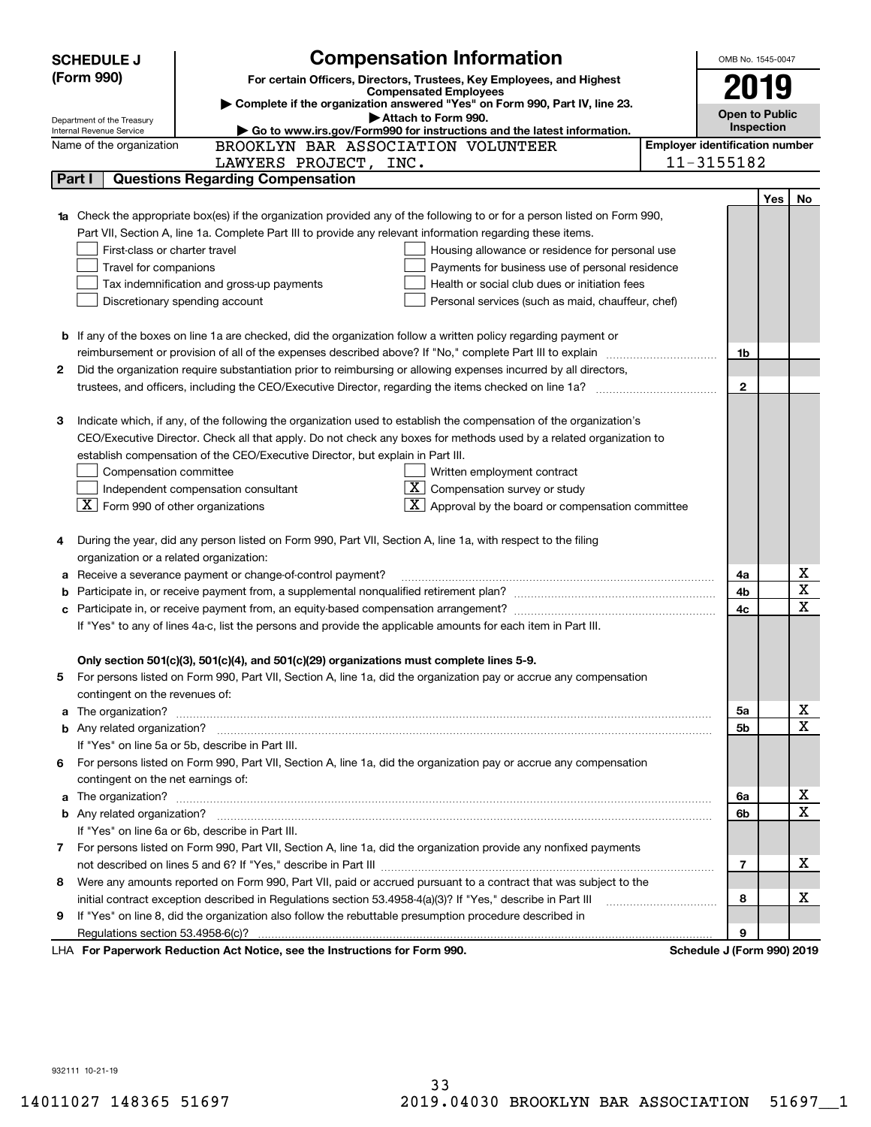|    | <b>SCHEDULE J</b>                                                                                  | <b>Compensation Information</b>                                                                                                               |  | OMB No. 1545-0047                     |     |             |  |
|----|----------------------------------------------------------------------------------------------------|-----------------------------------------------------------------------------------------------------------------------------------------------|--|---------------------------------------|-----|-------------|--|
|    | (Form 990)                                                                                         | For certain Officers, Directors, Trustees, Key Employees, and Highest                                                                         |  |                                       |     |             |  |
|    |                                                                                                    | <b>Compensated Employees</b><br>Complete if the organization answered "Yes" on Form 990, Part IV, line 23.                                    |  | 2019                                  |     |             |  |
|    | Department of the Treasury                                                                         | Attach to Form 990.                                                                                                                           |  | <b>Open to Public</b><br>Inspection   |     |             |  |
|    | Go to www.irs.gov/Form990 for instructions and the latest information.<br>Internal Revenue Service |                                                                                                                                               |  |                                       |     |             |  |
|    | Name of the organization                                                                           | BROOKLYN BAR ASSOCIATION VOLUNTEER                                                                                                            |  | <b>Employer identification number</b> |     |             |  |
|    |                                                                                                    | LAWYERS PROJECT, INC.<br><b>Questions Regarding Compensation</b>                                                                              |  | 11-3155182                            |     |             |  |
|    | Part I                                                                                             |                                                                                                                                               |  |                                       |     |             |  |
|    |                                                                                                    |                                                                                                                                               |  |                                       | Yes | No          |  |
|    |                                                                                                    | Check the appropriate box(es) if the organization provided any of the following to or for a person listed on Form 990,                        |  |                                       |     |             |  |
|    |                                                                                                    | Part VII, Section A, line 1a. Complete Part III to provide any relevant information regarding these items.                                    |  |                                       |     |             |  |
|    | First-class or charter travel                                                                      | Housing allowance or residence for personal use                                                                                               |  |                                       |     |             |  |
|    | Travel for companions                                                                              | Payments for business use of personal residence<br>Tax indemnification and gross-up payments<br>Health or social club dues or initiation fees |  |                                       |     |             |  |
|    |                                                                                                    | Discretionary spending account<br>Personal services (such as maid, chauffeur, chef)                                                           |  |                                       |     |             |  |
|    |                                                                                                    |                                                                                                                                               |  |                                       |     |             |  |
|    |                                                                                                    | <b>b</b> If any of the boxes on line 1a are checked, did the organization follow a written policy regarding payment or                        |  |                                       |     |             |  |
|    |                                                                                                    | reimbursement or provision of all of the expenses described above? If "No," complete Part III to explain                                      |  | 1b                                    |     |             |  |
| 2  |                                                                                                    | Did the organization require substantiation prior to reimbursing or allowing expenses incurred by all directors,                              |  |                                       |     |             |  |
|    |                                                                                                    | trustees, and officers, including the CEO/Executive Director, regarding the items checked on line 1a?                                         |  | $\mathbf{2}$                          |     |             |  |
|    |                                                                                                    |                                                                                                                                               |  |                                       |     |             |  |
| З  |                                                                                                    | Indicate which, if any, of the following the organization used to establish the compensation of the organization's                            |  |                                       |     |             |  |
|    |                                                                                                    | CEO/Executive Director. Check all that apply. Do not check any boxes for methods used by a related organization to                            |  |                                       |     |             |  |
|    |                                                                                                    | establish compensation of the CEO/Executive Director, but explain in Part III.                                                                |  |                                       |     |             |  |
|    | Compensation committee                                                                             | Written employment contract                                                                                                                   |  |                                       |     |             |  |
|    |                                                                                                    | $X$ Compensation survey or study<br>Independent compensation consultant                                                                       |  |                                       |     |             |  |
|    | $\boxed{\textbf{X}}$ Form 990 of other organizations                                               | $\overline{X}$ Approval by the board or compensation committee                                                                                |  |                                       |     |             |  |
|    |                                                                                                    |                                                                                                                                               |  |                                       |     |             |  |
|    |                                                                                                    | During the year, did any person listed on Form 990, Part VII, Section A, line 1a, with respect to the filing                                  |  |                                       |     |             |  |
|    | organization or a related organization:                                                            |                                                                                                                                               |  |                                       |     |             |  |
| а  |                                                                                                    | Receive a severance payment or change-of-control payment?                                                                                     |  | 4a                                    |     | х           |  |
| b  |                                                                                                    |                                                                                                                                               |  | 4b                                    |     | $\mathbf X$ |  |
| c  |                                                                                                    |                                                                                                                                               |  | 4c                                    |     | X           |  |
|    |                                                                                                    | If "Yes" to any of lines 4a-c, list the persons and provide the applicable amounts for each item in Part III.                                 |  |                                       |     |             |  |
|    |                                                                                                    |                                                                                                                                               |  |                                       |     |             |  |
|    |                                                                                                    | Only section 501(c)(3), 501(c)(4), and 501(c)(29) organizations must complete lines 5-9.                                                      |  |                                       |     |             |  |
|    |                                                                                                    | For persons listed on Form 990, Part VII, Section A, line 1a, did the organization pay or accrue any compensation                             |  |                                       |     |             |  |
|    | contingent on the revenues of:                                                                     |                                                                                                                                               |  |                                       |     |             |  |
| a  |                                                                                                    |                                                                                                                                               |  | 5a                                    |     | х           |  |
|    |                                                                                                    |                                                                                                                                               |  | 5b                                    |     | X           |  |
|    |                                                                                                    | If "Yes" on line 5a or 5b, describe in Part III.                                                                                              |  |                                       |     |             |  |
| 6. |                                                                                                    | For persons listed on Form 990, Part VII, Section A, line 1a, did the organization pay or accrue any compensation                             |  |                                       |     |             |  |
|    | contingent on the net earnings of:                                                                 |                                                                                                                                               |  |                                       |     |             |  |
| a  |                                                                                                    |                                                                                                                                               |  | 6a                                    |     | х           |  |
|    |                                                                                                    |                                                                                                                                               |  | 6b                                    |     | X           |  |
|    |                                                                                                    | If "Yes" on line 6a or 6b, describe in Part III.                                                                                              |  |                                       |     |             |  |
|    |                                                                                                    | 7 For persons listed on Form 990, Part VII, Section A, line 1a, did the organization provide any nonfixed payments                            |  |                                       |     |             |  |
|    |                                                                                                    |                                                                                                                                               |  | 7                                     |     | x           |  |
| 8  |                                                                                                    | Were any amounts reported on Form 990, Part VII, paid or accrued pursuant to a contract that was subject to the                               |  |                                       |     |             |  |
|    |                                                                                                    | initial contract exception described in Regulations section 53.4958-4(a)(3)? If "Yes," describe in Part III                                   |  | 8                                     |     | х           |  |
| 9  |                                                                                                    | If "Yes" on line 8, did the organization also follow the rebuttable presumption procedure described in                                        |  |                                       |     |             |  |
|    | Regulations section 53.4958-6(c)?                                                                  |                                                                                                                                               |  | 9                                     |     |             |  |
|    |                                                                                                    | LHA For Paperwork Reduction Act Notice, see the Instructions for Form 990.                                                                    |  | Schedule J (Form 990) 2019            |     |             |  |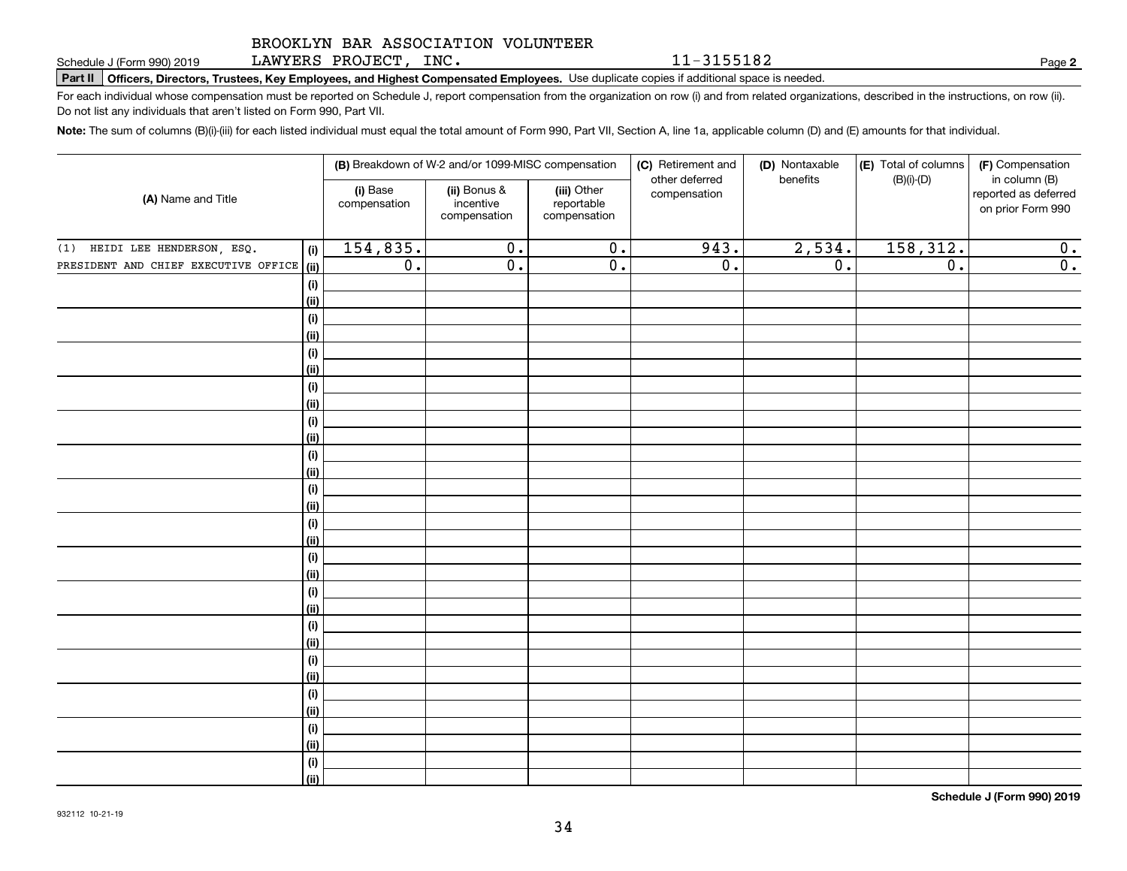LAWYERS PROJECT, INC.

**Part II Officers, Directors, Trustees, Key Employees, and Highest Compensated Employees.**  Schedule J (Form 990) 2019 Page Use duplicate copies if additional space is needed.

For each individual whose compensation must be reported on Schedule J, report compensation from the organization on row (i) and from related organizations, described in the instructions, on row (ii). Do not list any individuals that aren't listed on Form 990, Part VII.

**Note:**  The sum of columns (B)(i)-(iii) for each listed individual must equal the total amount of Form 990, Part VII, Section A, line 1a, applicable column (D) and (E) amounts for that individual.

| (A) Name and Title                   |             | (B) Breakdown of W-2 and/or 1099-MISC compensation |                                           |                                           | (C) Retirement and             | (D) Nontaxable<br>benefits | (E) Total of columns | (F) Compensation<br>in column (B)         |
|--------------------------------------|-------------|----------------------------------------------------|-------------------------------------------|-------------------------------------------|--------------------------------|----------------------------|----------------------|-------------------------------------------|
|                                      |             | (i) Base<br>compensation                           | (ii) Bonus &<br>incentive<br>compensation | (iii) Other<br>reportable<br>compensation | other deferred<br>compensation |                            | $(B)(i)-(D)$         | reported as deferred<br>on prior Form 990 |
| (1) HEIDI LEE HENDERSON, ESQ.        | (i)         | 154,835.                                           | $\overline{0}$ .                          | $\overline{0}$ .                          | 943.                           | 2,534.                     | 158, 312.            | 0.                                        |
| PRESIDENT AND CHIEF EXECUTIVE OFFICE | <u>(ii)</u> | $\overline{0}$ .                                   | $\overline{\mathfrak{0}}$ .               | $\overline{\mathfrak{0}}$ .               | $\overline{0}$ .               | $\overline{0}$ .           | $\overline{0}$ .     | $\overline{0}$ .                          |
|                                      | (i)         |                                                    |                                           |                                           |                                |                            |                      |                                           |
|                                      | (ii)        |                                                    |                                           |                                           |                                |                            |                      |                                           |
|                                      | (i)         |                                                    |                                           |                                           |                                |                            |                      |                                           |
|                                      | (ii)        |                                                    |                                           |                                           |                                |                            |                      |                                           |
|                                      | (i)         |                                                    |                                           |                                           |                                |                            |                      |                                           |
|                                      | (ii)        |                                                    |                                           |                                           |                                |                            |                      |                                           |
|                                      | (i)         |                                                    |                                           |                                           |                                |                            |                      |                                           |
|                                      | (ii)        |                                                    |                                           |                                           |                                |                            |                      |                                           |
|                                      | (i)         |                                                    |                                           |                                           |                                |                            |                      |                                           |
|                                      | (ii)        |                                                    |                                           |                                           |                                |                            |                      |                                           |
|                                      | (i)         |                                                    |                                           |                                           |                                |                            |                      |                                           |
|                                      | (ii)        |                                                    |                                           |                                           |                                |                            |                      |                                           |
|                                      | $(\sf{i})$  |                                                    |                                           |                                           |                                |                            |                      |                                           |
|                                      | (ii)        |                                                    |                                           |                                           |                                |                            |                      |                                           |
|                                      | (i)         |                                                    |                                           |                                           |                                |                            |                      |                                           |
|                                      | (ii)<br>(i) |                                                    |                                           |                                           |                                |                            |                      |                                           |
|                                      | (ii)        |                                                    |                                           |                                           |                                |                            |                      |                                           |
|                                      | (i)         |                                                    |                                           |                                           |                                |                            |                      |                                           |
|                                      | (ii)        |                                                    |                                           |                                           |                                |                            |                      |                                           |
|                                      | (i)         |                                                    |                                           |                                           |                                |                            |                      |                                           |
|                                      | (ii)        |                                                    |                                           |                                           |                                |                            |                      |                                           |
|                                      | (i)         |                                                    |                                           |                                           |                                |                            |                      |                                           |
|                                      | (ii)        |                                                    |                                           |                                           |                                |                            |                      |                                           |
|                                      | (i)         |                                                    |                                           |                                           |                                |                            |                      |                                           |
|                                      | (ii)        |                                                    |                                           |                                           |                                |                            |                      |                                           |
|                                      | (i)         |                                                    |                                           |                                           |                                |                            |                      |                                           |
|                                      | (ii)        |                                                    |                                           |                                           |                                |                            |                      |                                           |
|                                      | (i)         |                                                    |                                           |                                           |                                |                            |                      |                                           |
|                                      | (ii)        |                                                    |                                           |                                           |                                |                            |                      |                                           |

**Schedule J (Form 990) 2019**

**2**

11-3155182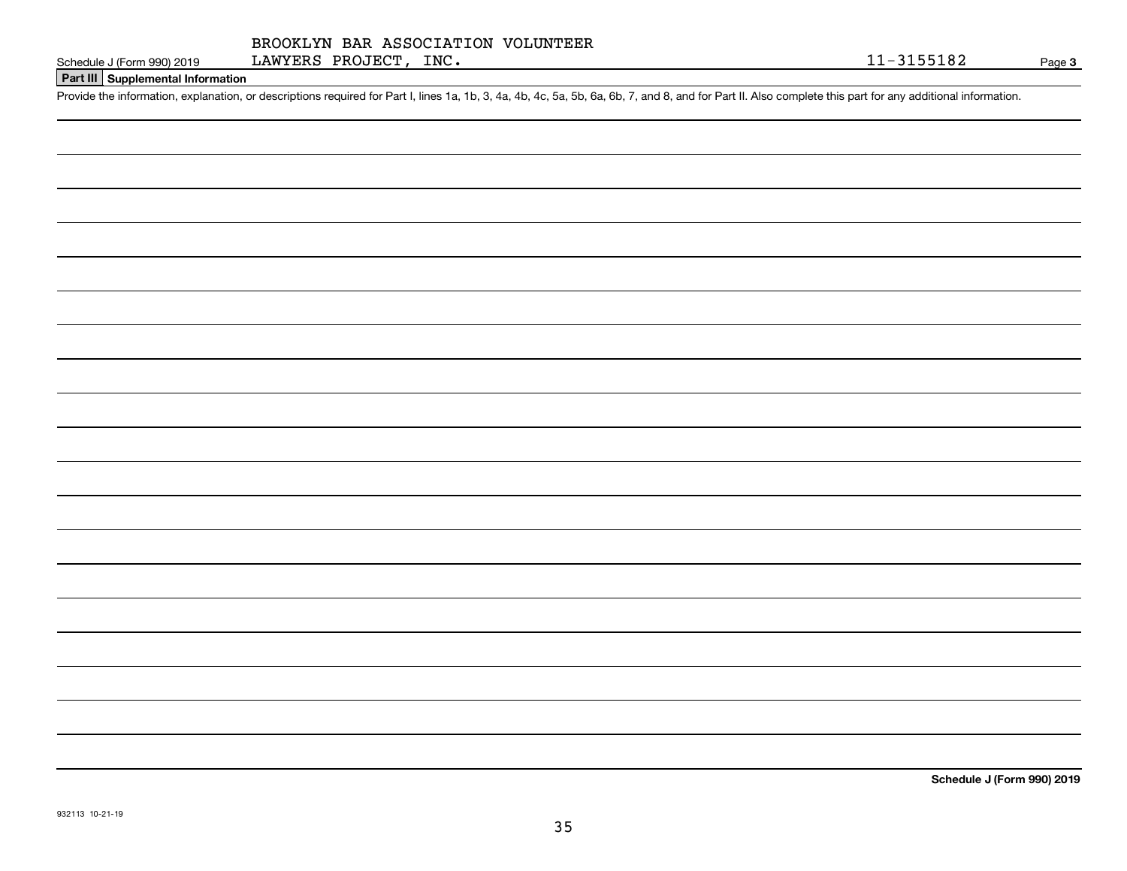# **Part III Supplemental Information**

Schedule J (Form 990) 2019 LAWYERS PROJECT, INC.<br>Part III Supplemental Information<br>Provide the information, explanation, or descriptions required for Part I, lines 1a, 1b, 3, 4a, 4b, 4c, 5a, 5b, 6a, 6b, 7, and 8, and for P

**Schedule J (Form 990) 2019**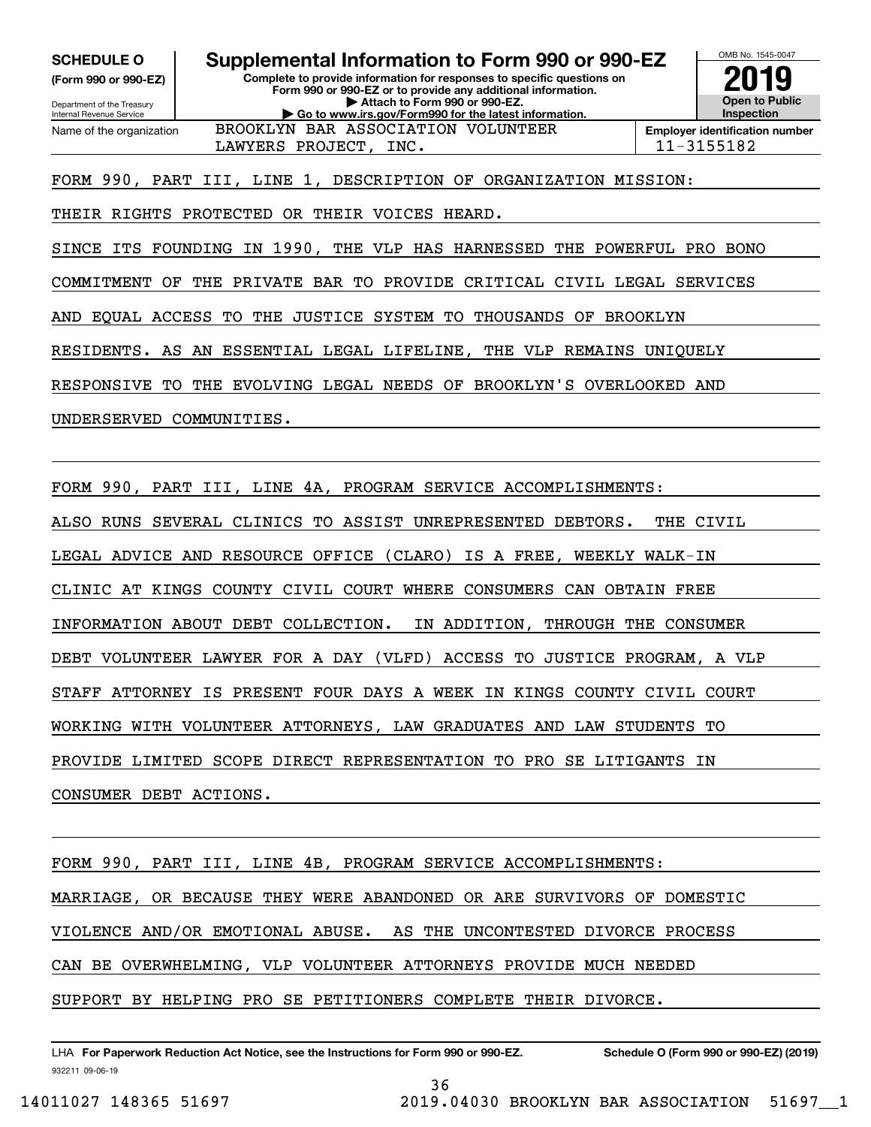**(Form 990 or 990-EZ)**

Department of the Treasury Internal Revenue Service Name of the organization

#### **Complete to provide information for responses to specific questions on Form 990 or 990-EZ or to provide any additional information. | Attach to Form 990 or 990-EZ. | Go to www.irs.gov/Form990 for the latest information. SCHEDULE O Supplemental Information to Form 990 or 990-EZ**



LAWYERS PROJECT, INC. 11-3155182

FORM 990, PART III, LINE 1, DESCRIPTION OF ORGANIZATION MISSION:

BROOKLYN BAR ASSOCIATION VOLUNTEER

THEIR RIGHTS PROTECTED OR THEIR VOICES HEARD.

SINCE ITS FOUNDING IN 1990, THE VLP HAS HARNESSED THE POWERFUL PRO BONO

COMMITMENT OF THE PRIVATE BAR TO PROVIDE CRITICAL CIVIL LEGAL SERVICES

AND EQUAL ACCESS TO THE JUSTICE SYSTEM TO THOUSANDS OF BROOKLYN

RESIDENTS. AS AN ESSENTIAL LEGAL LIFELINE, THE VLP REMAINS UNIQUELY

RESPONSIVE TO THE EVOLVING LEGAL NEEDS OF BROOKLYN'S OVERLOOKED AND

UNDERSERVED COMMUNITIES.

FORM 990, PART III, LINE 4A, PROGRAM SERVICE ACCOMPLISHMENTS:

ALSO RUNS SEVERAL CLINICS TO ASSIST UNREPRESENTED DEBTORS. THE CIVIL

LEGAL ADVICE AND RESOURCE OFFICE (CLARO) IS A FREE, WEEKLY WALK-IN

CLINIC AT KINGS COUNTY CIVIL COURT WHERE CONSUMERS CAN OBTAIN FREE

INFORMATION ABOUT DEBT COLLECTION. IN ADDITION, THROUGH THE CONSUMER

DEBT VOLUNTEER LAWYER FOR A DAY (VLFD) ACCESS TO JUSTICE PROGRAM, A VLP

STAFF ATTORNEY IS PRESENT FOUR DAYS A WEEK IN KINGS COUNTY CIVIL COURT

WORKING WITH VOLUNTEER ATTORNEYS, LAW GRADUATES AND LAW STUDENTS TO

PROVIDE LIMITED SCOPE DIRECT REPRESENTATION TO PRO SE LITIGANTS IN

CONSUMER DEBT ACTIONS.

FORM 990, PART III, LINE 4B, PROGRAM SERVICE ACCOMPLISHMENTS: MARRIAGE, OR BECAUSE THEY WERE ABANDONED OR ARE SURVIVORS OF DOMESTIC VIOLENCE AND/OR EMOTIONAL ABUSE. AS THE UNCONTESTED DIVORCE PROCESS CAN BE OVERWHELMING, VLP VOLUNTEER ATTORNEYS PROVIDE MUCH NEEDED SUPPORT BY HELPING PRO SE PETITIONERS COMPLETE THEIR DIVORCE.

932211 09-06-19 LHA For Paperwork Reduction Act Notice, see the Instructions for Form 990 or 990-EZ. Schedule O (Form 990 or 990-EZ) (2019)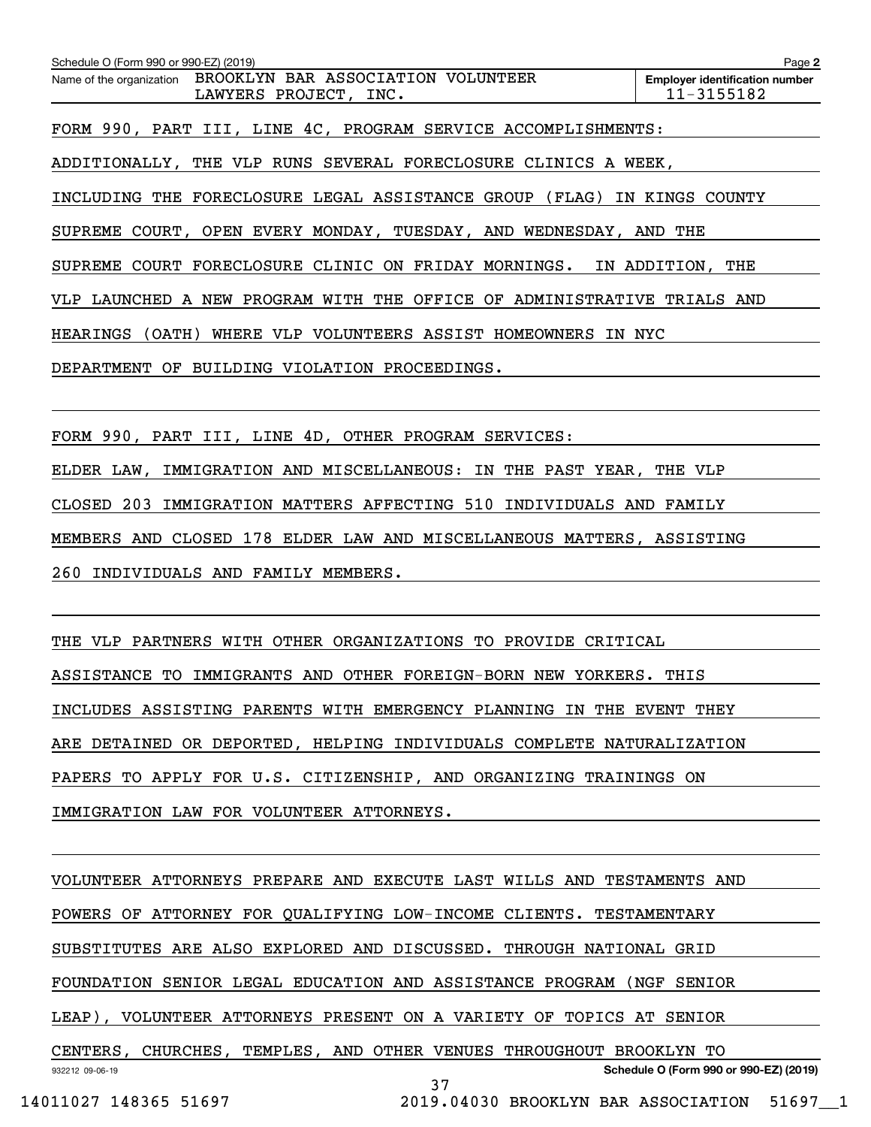**2Employer identification number** Schedule O (Form 990 or 990-EZ) (2019) Page Name of the organization BROOKLYN BAR ASSOCIATION VOLUNTEER FORM 990, PART III, LINE 4C, PROGRAM SERVICE ACCOMPLISHMENTS: ADDITIONALLY, THE VLP RUNS SEVERAL FORECLOSURE CLINICS A WEEK, INCLUDING THE FORECLOSURE LEGAL ASSISTANCE GROUP (FLAG) IN KINGS COUNTY SUPREME COURT, OPEN EVERY MONDAY, TUESDAY, AND WEDNESDAY, AND THE SUPREME COURT FORECLOSURE CLINIC ON FRIDAY MORNINGS. IN ADDITION, THE VLP LAUNCHED A NEW PROGRAM WITH THE OFFICE OF ADMINISTRATIVE TRIALS AND HEARINGS (OATH) WHERE VLP VOLUNTEERS ASSIST HOMEOWNERS IN NYC DEPARTMENT OF BUILDING VIOLATION PROCEEDINGS. LAWYERS PROJECT, INC. 11-3155182

FORM 990, PART III, LINE 4D, OTHER PROGRAM SERVICES:

ELDER LAW, IMMIGRATION AND MISCELLANEOUS: IN THE PAST YEAR, THE VLP

CLOSED 203 IMMIGRATION MATTERS AFFECTING 510 INDIVIDUALS AND FAMILY

MEMBERS AND CLOSED 178 ELDER LAW AND MISCELLANEOUS MATTERS, ASSISTING

260 INDIVIDUALS AND FAMILY MEMBERS.

THE VLP PARTNERS WITH OTHER ORGANIZATIONS TO PROVIDE CRITICAL

ASSISTANCE TO IMMIGRANTS AND OTHER FOREIGN-BORN NEW YORKERS. THIS

INCLUDES ASSISTING PARENTS WITH EMERGENCY PLANNING IN THE EVENT THEY

ARE DETAINED OR DEPORTED, HELPING INDIVIDUALS COMPLETE NATURALIZATION

PAPERS TO APPLY FOR U.S. CITIZENSHIP, AND ORGANIZING TRAININGS ON

IMMIGRATION LAW FOR VOLUNTEER ATTORNEYS.

932212 09-06-19 **Schedule O (Form 990 or 990-EZ) (2019)** VOLUNTEER ATTORNEYS PREPARE AND EXECUTE LAST WILLS AND TESTAMENTS AND POWERS OF ATTORNEY FOR QUALIFYING LOW-INCOME CLIENTS. TESTAMENTARY SUBSTITUTES ARE ALSO EXPLORED AND DISCUSSED. THROUGH NATIONAL GRID FOUNDATION SENIOR LEGAL EDUCATION AND ASSISTANCE PROGRAM (NGF SENIOR LEAP), VOLUNTEER ATTORNEYS PRESENT ON A VARIETY OF TOPICS AT SENIOR CENTERS, CHURCHES, TEMPLES, AND OTHER VENUES THROUGHOUT BROOKLYN TO 37

```
 14011027 148365 51697 2019.04030 BROOKLYN BAR ASSOCIATION 51697__1
```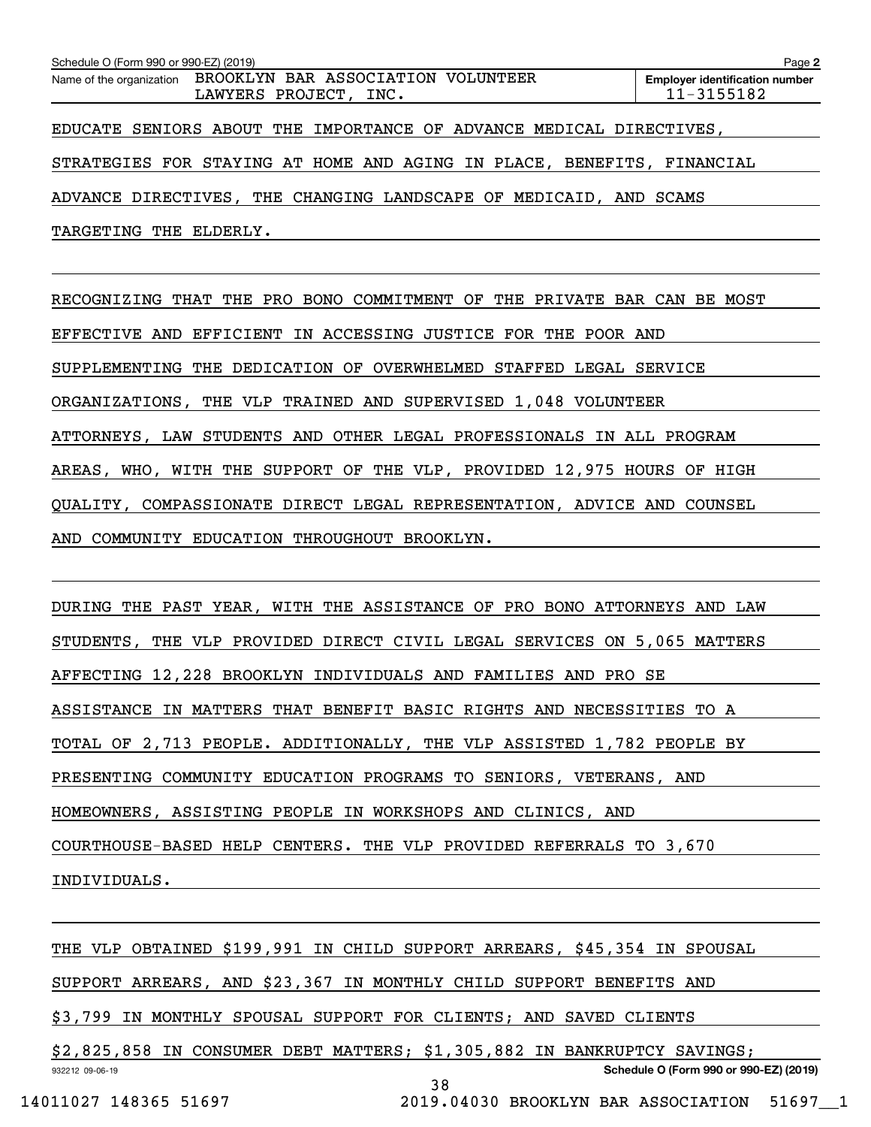| Schedule O (Form 990 or 990-EZ) (2019) |                                                                                      | Page 2                                              |
|----------------------------------------|--------------------------------------------------------------------------------------|-----------------------------------------------------|
|                                        | Name of the organization BROOKLYN BAR ASSOCIATION VOLUNTEER<br>LAWYERS PROJECT, INC. | <b>Employer identification number</b><br>11-3155182 |
|                                        | EDUCATE SENIORS ABOUT THE IMPORTANCE OF ADVANCE MEDICAL DIRECTIVES,                  |                                                     |
|                                        | STRATEGIES FOR STAYING AT HOME AND AGING IN PLACE, BENEFITS, FINANCIAL               |                                                     |
|                                        | ADVANCE DIRECTIVES, THE CHANGING LANDSCAPE OF MEDICAID, AND SCAMS                    |                                                     |
| TARGETING THE ELDERLY.                 |                                                                                      |                                                     |

RECOGNIZING THAT THE PRO BONO COMMITMENT OF THE PRIVATE BAR CAN BE MOST EFFECTIVE AND EFFICIENT IN ACCESSING JUSTICE FOR THE POOR AND SUPPLEMENTING THE DEDICATION OF OVERWHELMED STAFFED LEGAL SERVICE ORGANIZATIONS, THE VLP TRAINED AND SUPERVISED 1,048 VOLUNTEER ATTORNEYS, LAW STUDENTS AND OTHER LEGAL PROFESSIONALS IN ALL PROGRAM AREAS, WHO, WITH THE SUPPORT OF THE VLP, PROVIDED 12,975 HOURS OF HIGH QUALITY, COMPASSIONATE DIRECT LEGAL REPRESENTATION, ADVICE AND COUNSEL AND COMMUNITY EDUCATION THROUGHOUT BROOKLYN.

DURING THE PAST YEAR, WITH THE ASSISTANCE OF PRO BONO ATTORNEYS AND LAW STUDENTS, THE VLP PROVIDED DIRECT CIVIL LEGAL SERVICES ON 5,065 MATTERS AFFECTING 12,228 BROOKLYN INDIVIDUALS AND FAMILIES AND PRO SE ASSISTANCE IN MATTERS THAT BENEFIT BASIC RIGHTS AND NECESSITIES TO A TOTAL OF 2,713 PEOPLE. ADDITIONALLY, THE VLP ASSISTED 1,782 PEOPLE BY PRESENTING COMMUNITY EDUCATION PROGRAMS TO SENIORS, VETERANS, AND HOMEOWNERS, ASSISTING PEOPLE IN WORKSHOPS AND CLINICS, AND COURTHOUSE-BASED HELP CENTERS. THE VLP PROVIDED REFERRALS TO 3,670 INDIVIDUALS.

932212 09-06-19 **Schedule O (Form 990 or 990-EZ) (2019)** THE VLP OBTAINED \$199,991 IN CHILD SUPPORT ARREARS, \$45,354 IN SPOUSAL SUPPORT ARREARS, AND \$23,367 IN MONTHLY CHILD SUPPORT BENEFITS AND \$3,799 IN MONTHLY SPOUSAL SUPPORT FOR CLIENTS; AND SAVED CLIENTS \$2,825,858 IN CONSUMER DEBT MATTERS; \$1,305,882 IN BANKRUPTCY SAVINGS; 38 14011027 148365 51697 2019.04030 BROOKLYN BAR ASSOCIATION 51697\_\_1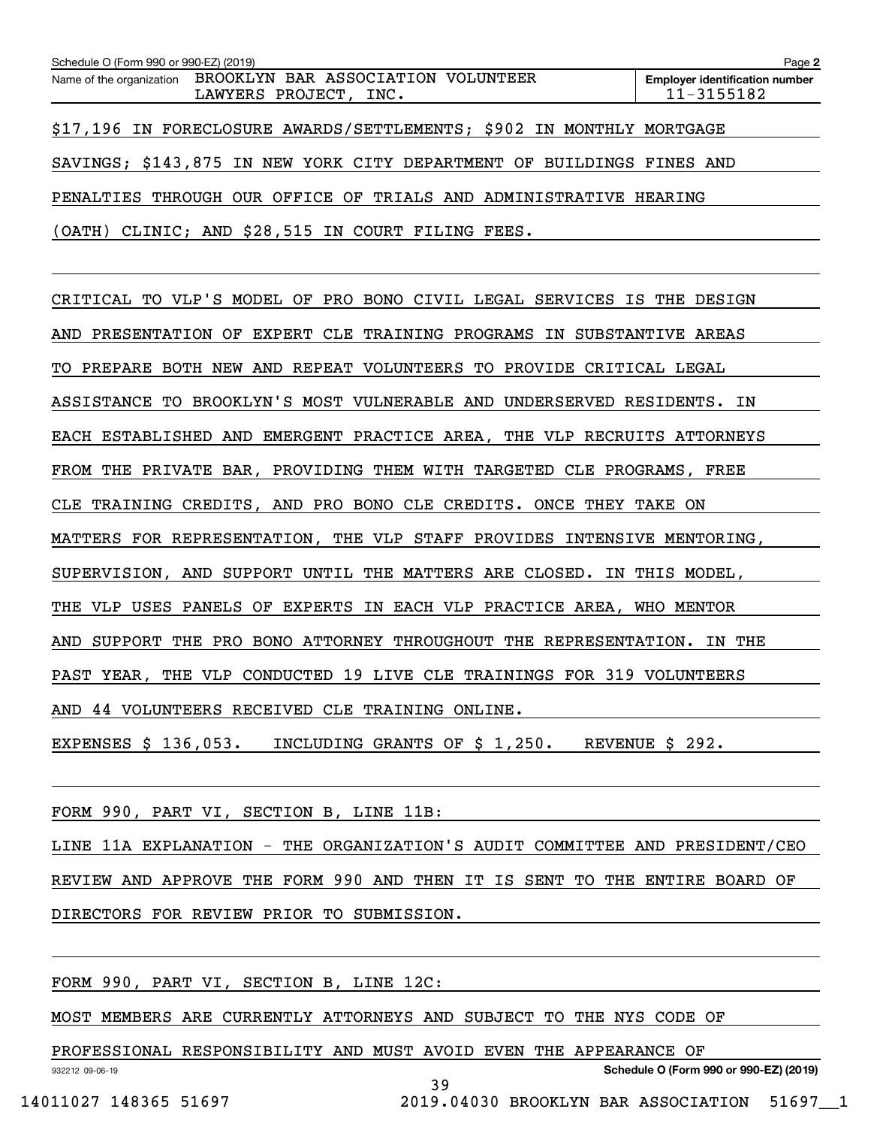| Schedule O (Form 990 or 990-EZ) (2019) |                                                                                      | Page 2                                              |
|----------------------------------------|--------------------------------------------------------------------------------------|-----------------------------------------------------|
|                                        | Name of the organization BROOKLYN BAR ASSOCIATION VOLUNTEER<br>LAWYERS PROJECT, INC. | <b>Employer identification number</b><br>11-3155182 |
|                                        | \$17,196 IN FORECLOSURE AWARDS/SETTLEMENTS; \$902 IN MONTHLY MORTGAGE                |                                                     |
|                                        | SAVINGS; \$143,875 IN NEW YORK CITY DEPARTMENT OF BUILDINGS FINES AND                |                                                     |
|                                        | PENALTIES THROUGH OUR OFFICE OF TRIALS AND ADMINISTRATIVE HEARING                    |                                                     |
|                                        | (OATH) CLINIC; AND \$28,515 IN COURT FILING FEES.                                    |                                                     |

CRITICAL TO VLP'S MODEL OF PRO BONO CIVIL LEGAL SERVICES IS THE DESIGN AND PRESENTATION OF EXPERT CLE TRAINING PROGRAMS IN SUBSTANTIVE AREAS TO PREPARE BOTH NEW AND REPEAT VOLUNTEERS TO PROVIDE CRITICAL LEGAL ASSISTANCE TO BROOKLYN'S MOST VULNERABLE AND UNDERSERVED RESIDENTS. IN EACH ESTABLISHED AND EMERGENT PRACTICE AREA, THE VLP RECRUITS ATTORNEYS FROM THE PRIVATE BAR, PROVIDING THEM WITH TARGETED CLE PROGRAMS, FREE CLE TRAINING CREDITS, AND PRO BONO CLE CREDITS. ONCE THEY TAKE ON MATTERS FOR REPRESENTATION, THE VLP STAFF PROVIDES INTENSIVE MENTORING, SUPERVISION, AND SUPPORT UNTIL THE MATTERS ARE CLOSED. IN THIS MODEL, THE VLP USES PANELS OF EXPERTS IN EACH VLP PRACTICE AREA, WHO MENTOR AND SUPPORT THE PRO BONO ATTORNEY THROUGHOUT THE REPRESENTATION. IN THE PAST YEAR, THE VLP CONDUCTED 19 LIVE CLE TRAININGS FOR 319 VOLUNTEERS AND 44 VOLUNTEERS RECEIVED CLE TRAINING ONLINE. EXPENSES \$ 136,053. INCLUDING GRANTS OF \$ 1,250. REVENUE \$ 292.

FORM 990, PART VI, SECTION B, LINE 11B:

LINE 11A EXPLANATION - THE ORGANIZATION'S AUDIT COMMITTEE AND PRESIDENT/CEO REVIEW AND APPROVE THE FORM 990 AND THEN IT IS SENT TO THE ENTIRE BOARD OF DIRECTORS FOR REVIEW PRIOR TO SUBMISSION.

39

FORM 990, PART VI, SECTION B, LINE 12C:

MOST MEMBERS ARE CURRENTLY ATTORNEYS AND SUBJECT TO THE NYS CODE OF

PROFESSIONAL RESPONSIBILITY AND MUST AVOID EVEN THE APPEARANCE OF

932212 09-06-19

**Schedule O (Form 990 or 990-EZ) (2019)**

14011027 148365 51697 2019.04030 BROOKLYN BAR ASSOCIATION 51697\_\_1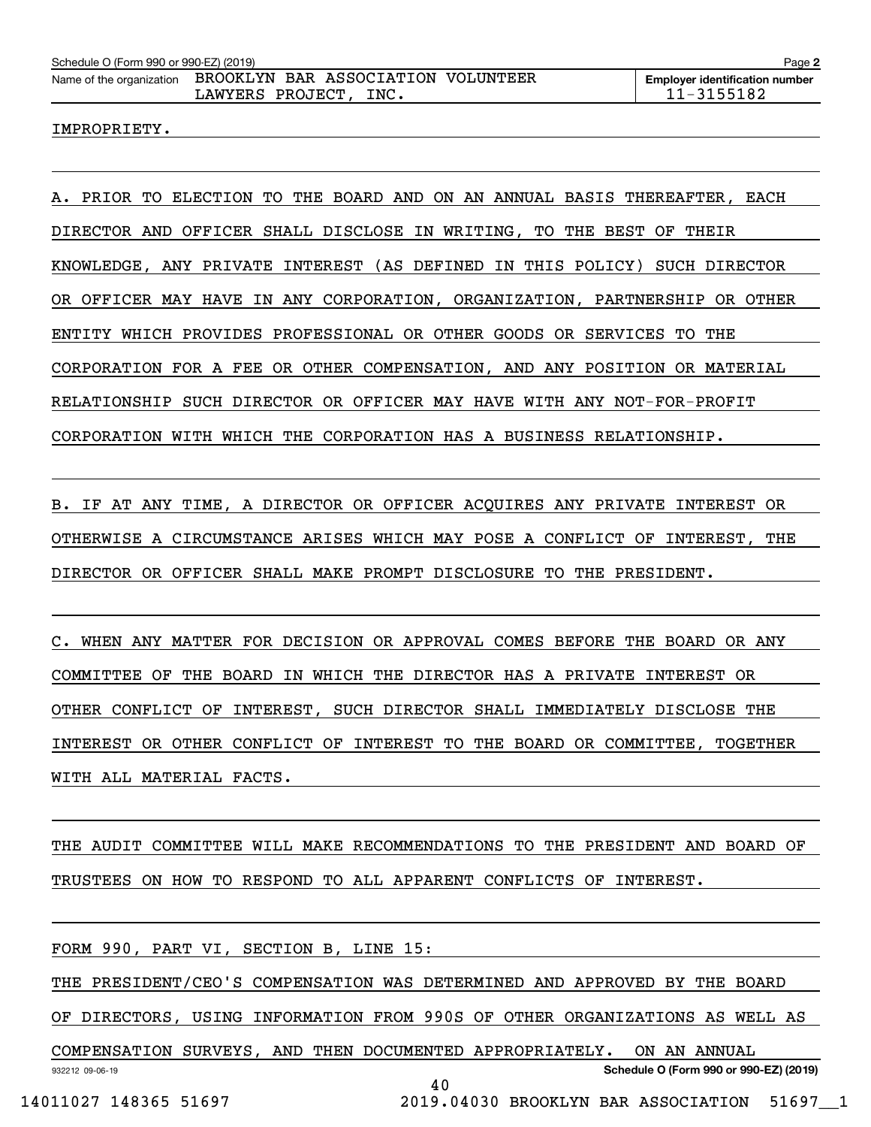#### IMPROPRIETY.

A. PRIOR TO ELECTION TO THE BOARD AND ON AN ANNUAL BASIS THEREAFTER, EACH DIRECTOR AND OFFICER SHALL DISCLOSE IN WRITING, TO THE BEST OF THEIR KNOWLEDGE, ANY PRIVATE INTEREST (AS DEFINED IN THIS POLICY) SUCH DIRECTOR OR OFFICER MAY HAVE IN ANY CORPORATION, ORGANIZATION, PARTNERSHIP OR OTHER ENTITY WHICH PROVIDES PROFESSIONAL OR OTHER GOODS OR SERVICES TO THE CORPORATION FOR A FEE OR OTHER COMPENSATION, AND ANY POSITION OR MATERIAL RELATIONSHIP SUCH DIRECTOR OR OFFICER MAY HAVE WITH ANY NOT-FOR-PROFIT CORPORATION WITH WHICH THE CORPORATION HAS A BUSINESS RELATIONSHIP.

B. IF AT ANY TIME, A DIRECTOR OR OFFICER ACQUIRES ANY PRIVATE INTEREST OR OTHERWISE A CIRCUMSTANCE ARISES WHICH MAY POSE A CONFLICT OF INTEREST, THE DIRECTOR OR OFFICER SHALL MAKE PROMPT DISCLOSURE TO THE PRESIDENT.

C. WHEN ANY MATTER FOR DECISION OR APPROVAL COMES BEFORE THE BOARD OR ANY COMMITTEE OF THE BOARD IN WHICH THE DIRECTOR HAS A PRIVATE INTEREST OR OTHER CONFLICT OF INTEREST, SUCH DIRECTOR SHALL IMMEDIATELY DISCLOSE THE INTEREST OR OTHER CONFLICT OF INTEREST TO THE BOARD OR COMMITTEE, TOGETHER WITH ALL MATERIAL FACTS.

THE AUDIT COMMITTEE WILL MAKE RECOMMENDATIONS TO THE PRESIDENT AND BOARD OF TRUSTEES ON HOW TO RESPOND TO ALL APPARENT CONFLICTS OF INTEREST.

FORM 990, PART VI, SECTION B, LINE 15:

THE PRESIDENT/CEO'S COMPENSATION WAS DETERMINED AND APPROVED BY THE BOARD

OF DIRECTORS, USING INFORMATION FROM 990S OF OTHER ORGANIZATIONS AS WELL AS

932212 09-06-19 **Schedule O (Form 990 or 990-EZ) (2019)** COMPENSATION SURVEYS, AND THEN DOCUMENTED APPROPRIATELY. ON AN ANNUAL 40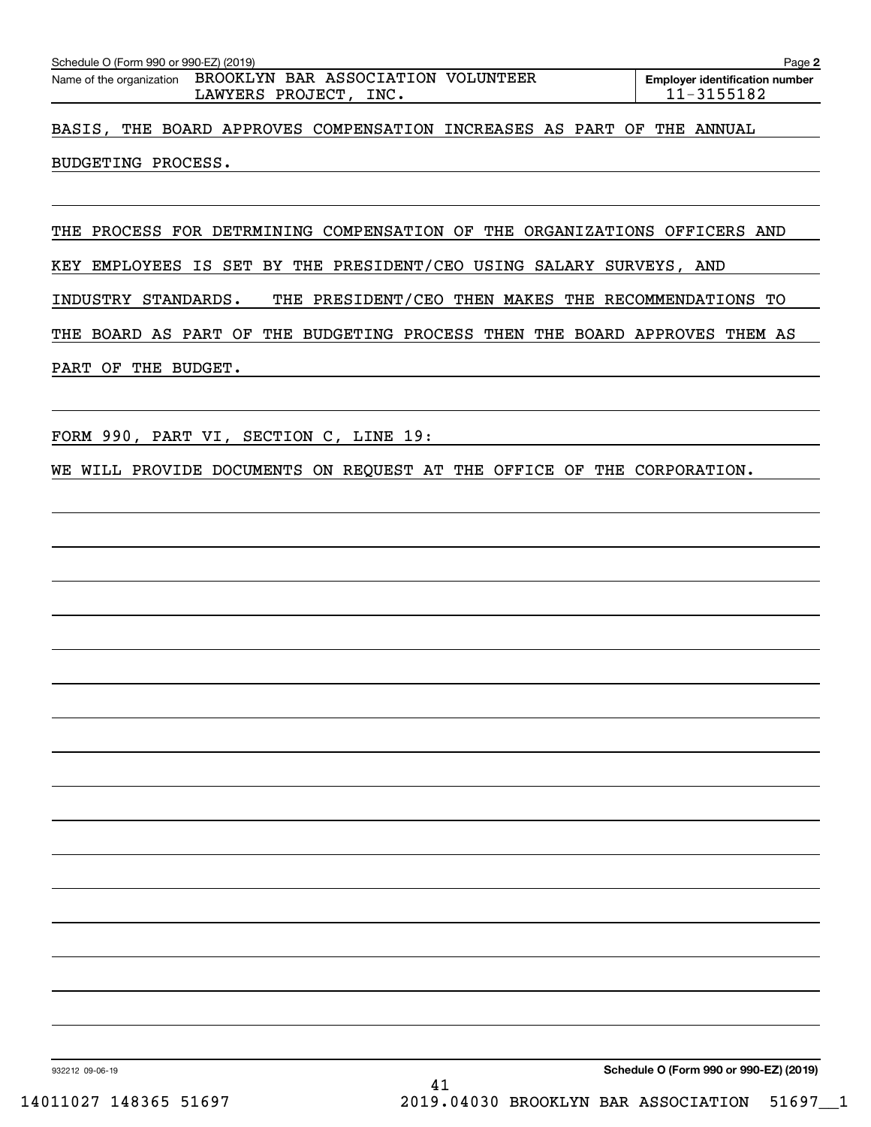| Schedule O (Form 990 or 990-EZ) (2019)<br>Page 2                       |                       |  |  |  |  |  |  |                                                         |  |  |  |
|------------------------------------------------------------------------|-----------------------|--|--|--|--|--|--|---------------------------------------------------------|--|--|--|
| Name of the organization BROOKLYN BAR ASSOCIATION VOLUNTEER            | LAWYERS PROJECT, INC. |  |  |  |  |  |  | <b>Employer identification number</b><br>$11 - 3155182$ |  |  |  |
| BASIS, THE BOARD APPROVES COMPENSATION INCREASES AS PART OF THE ANNUAL |                       |  |  |  |  |  |  |                                                         |  |  |  |
| BUDGETING PROCESS.                                                     |                       |  |  |  |  |  |  |                                                         |  |  |  |

THE PROCESS FOR DETRMINING COMPENSATION OF THE ORGANIZATIONS OFFICERS AND

KEY EMPLOYEES IS SET BY THE PRESIDENT/CEO USING SALARY SURVEYS, AND

INDUSTRY STANDARDS. THE PRESIDENT/CEO THEN MAKES THE RECOMMENDATIONS TO

THE BOARD AS PART OF THE BUDGETING PROCESS THEN THE BOARD APPROVES THEM AS PART OF THE BUDGET.

FORM 990, PART VI, SECTION C, LINE 19:

WE WILL PROVIDE DOCUMENTS ON REQUEST AT THE OFFICE OF THE CORPORATION.

932212 09-06-19